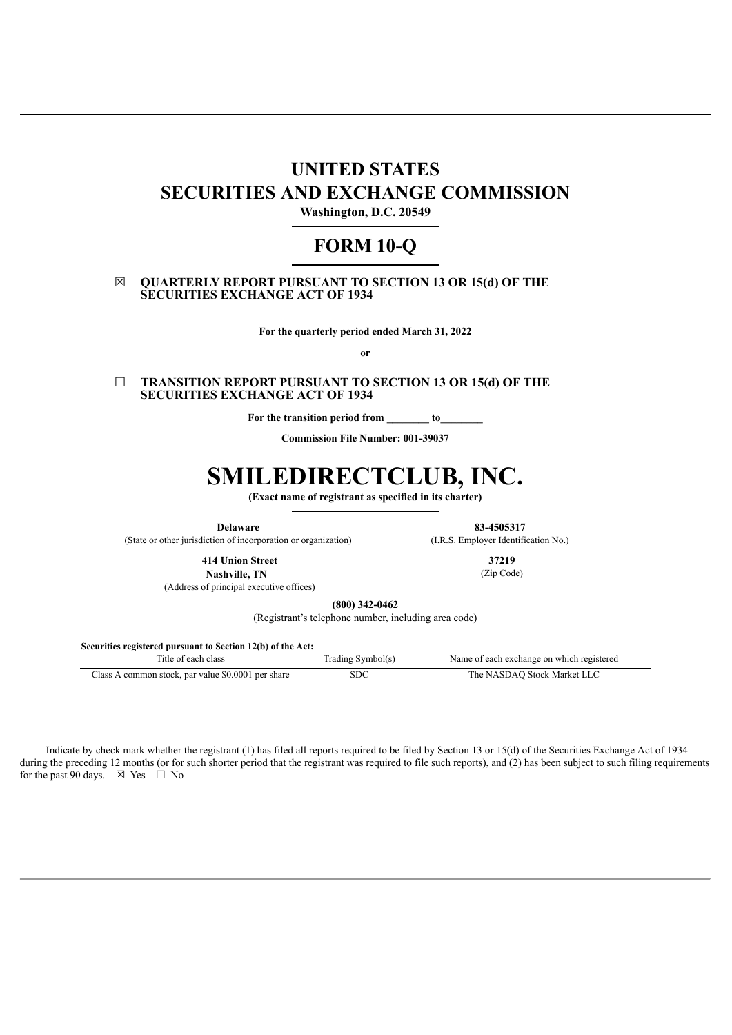# **UNITED STATES SECURITIES AND EXCHANGE COMMISSION**

**Washington, D.C. 20549**

## **FORM 10-Q**

## ☒ **QUARTERLY REPORT PURSUANT TO SECTION 13 OR 15(d) OF THE SECURITIES EXCHANGE ACT OF 1934**

**For the quarterly period ended March 31, 2022**

**or**

☐ **TRANSITION REPORT PURSUANT TO SECTION 13 OR 15(d) OF THE SECURITIES EXCHANGE ACT OF 1934**

**For the transition period from \_\_\_\_\_\_\_\_ to\_\_\_\_\_\_\_\_**

**Commission File Number: 001-39037**

# **SMILEDIRECTCLUB, INC.**

**(Exact name of registrant as specified in its charter)**

**Delaware 83-4505317**

(State or other jurisdiction of incorporation or organization) (I.R.S. Employer Identification No.)

**414 Union Street 37219**

**Nashville, TN** (Zip Code) (Address of principal executive offices)

**(800) 342-0462**

**Securities registered pursuant to Section 12(b) of the Act:**

Title of each class Trading Symbol(s) Name of each exchange on which registered Class A common stock, par value \$0.0001 per share SDC The NASDAQ Stock Market LLC

Indicate by check mark whether the registrant (1) has filed all reports required to be filed by Section 13 or 15(d) of the Securities Exchange Act of 1934 during the preceding 12 months (or for such shorter period that the registrant was required to file such reports), and (2) has been subject to such filing requirements for the past 90 days.  $\boxtimes$  Yes  $\Box$  No

(Registrant's telephone number, including area code)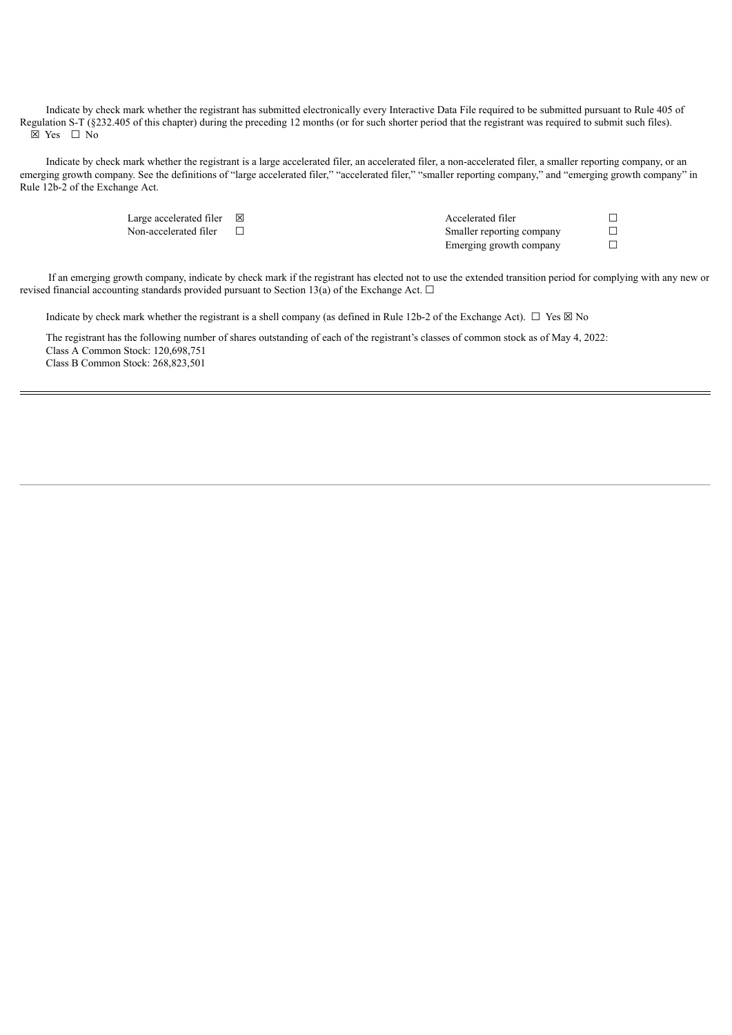Indicate by check mark whether the registrant has submitted electronically every Interactive Data File required to be submitted pursuant to Rule 405 of Regulation S-T (§232.405 of this chapter) during the preceding 12 months (or for such shorter period that the registrant was required to submit such files).  $\overline{\boxtimes}$  Yes  $\Box$  No

Indicate by check mark whether the registrant is a large accelerated filer, an accelerated filer, a non-accelerated filer, a smaller reporting company, or an emerging growth company. See the definitions of "large accelerated filer," "accelerated filer," "smaller reporting company," and "emerging growth company" in Rule 12b-2 of the Exchange Act.

| Large accelerated filer $\boxtimes$ | Accelerated filer         |  |
|-------------------------------------|---------------------------|--|
| Non-accelerated filer               | Smaller reporting company |  |
|                                     | Emerging growth company   |  |

If an emerging growth company, indicate by check mark if the registrant has elected not to use the extended transition period for complying with any new or revised financial accounting standards provided pursuant to Section 13(a) of the Exchange Act.  $\Box$ 

Indicate by check mark whether the registrant is a shell company (as defined in Rule 12b-2 of the Exchange Act).  $\Box$  Yes  $\boxtimes$  No

The registrant has the following number of shares outstanding of each of the registrant's classes of common stock as of May 4, 2022: Class A Common Stock: 120,698,751 Class B Common Stock: 268,823,501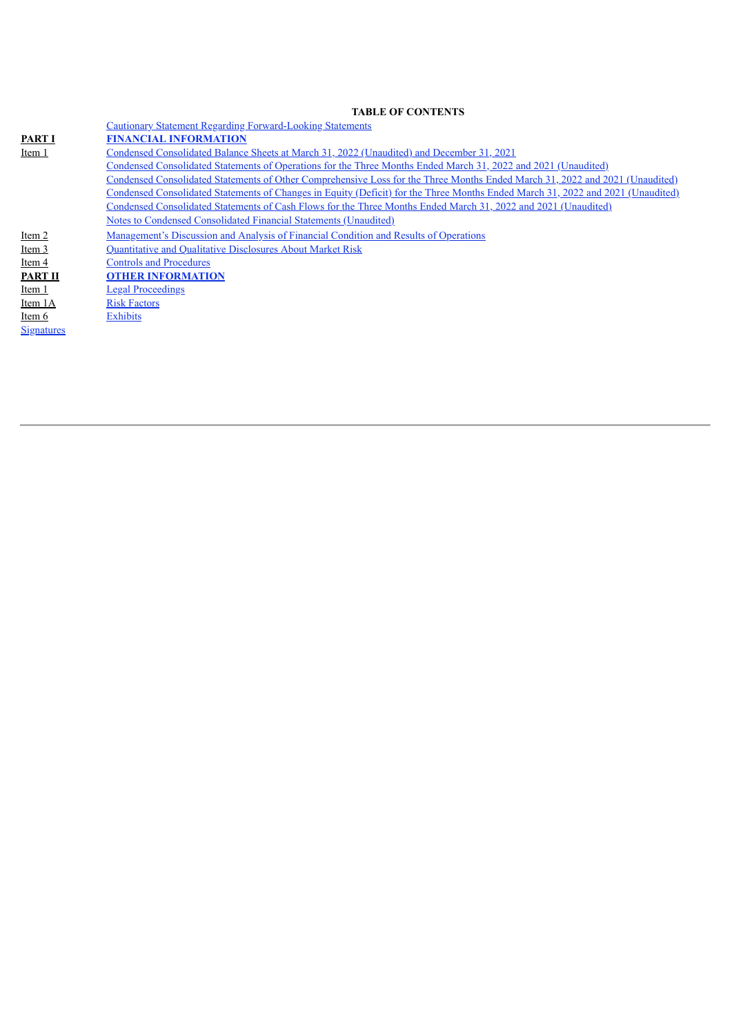## **TABLE OF CONTENTS**

<span id="page-2-0"></span>

|                   | <b>Cautionary Statement Regarding Forward-Looking Statements</b>                                                                |
|-------------------|---------------------------------------------------------------------------------------------------------------------------------|
| PART I            | <b>FINANCIAL INFORMATION</b>                                                                                                    |
| Item 1            | Condensed Consolidated Balance Sheets at March 31, 2022 (Unaudited) and December 31, 2021                                       |
|                   | Condensed Consolidated Statements of Operations for the Three Months Ended March 31, 2022 and 2021 (Unaudited)                  |
|                   | Condensed Consolidated Statements of Other Comprehensive Loss for the Three Months Ended March 31, 2022 and 2021 (Unaudited)    |
|                   | Condensed Consolidated Statements of Changes in Equity (Deficit) for the Three Months Ended March 31, 2022 and 2021 (Unaudited) |
|                   | Condensed Consolidated Statements of Cash Flows for the Three Months Ended March 31, 2022 and 2021 (Unaudited)                  |
|                   | Notes to Condensed Consolidated Financial Statements (Unaudited)                                                                |
| Item 2            | Management's Discussion and Analysis of Financial Condition and Results of Operations                                           |
| Item 3            | <b>Ouantitative and Oualitative Disclosures About Market Risk</b>                                                               |
| Item 4            | <b>Controls and Procedures</b>                                                                                                  |
| <b>PART II</b>    | <b>OTHER INFORMATION</b>                                                                                                        |
| Item 1            | <b>Legal Proceedings</b>                                                                                                        |
| Item 1A           | <b>Risk Factors</b>                                                                                                             |
| Item 6            | Exhibits                                                                                                                        |
| <b>Signatures</b> |                                                                                                                                 |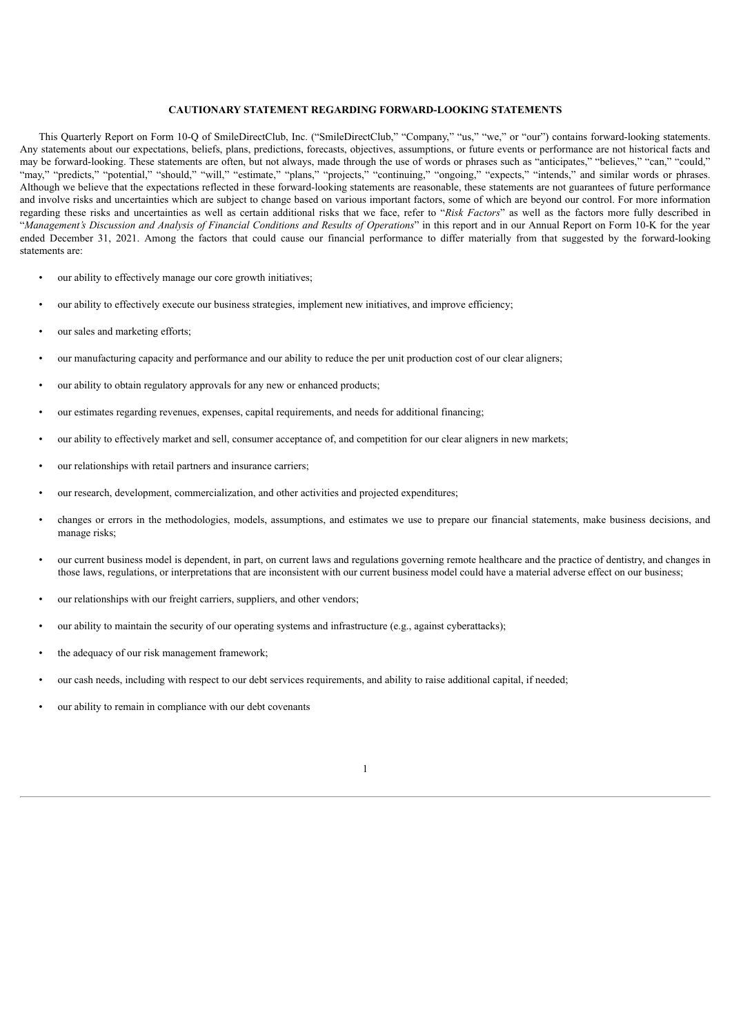#### **CAUTIONARY STATEMENT REGARDING FORWARD-LOOKING STATEMENTS**

This Quarterly Report on Form 10-Q of SmileDirectClub, Inc. ("SmileDirectClub," "Company," "us," "we," or "our") contains forward-looking statements. Any statements about our expectations, beliefs, plans, predictions, forecasts, objectives, assumptions, or future events or performance are not historical facts and may be forward-looking. These statements are often, but not always, made through the use of words or phrases such as "anticipates," "believes," "can," "could," "may," "predicts," "potential," "should," "will," "estimate," "plans," "projects," "continuing," "ongoing," "expects," "intends," and similar words or phrases. Although we believe that the expectations reflected in these forward-looking statements are reasonable, these statements are not guarantees of future performance and involve risks and uncertainties which are subject to change based on various important factors, some of which are beyond our control. For more information regarding these risks and uncertainties as well as certain additional risks that we face, refer to "*Risk Factors*" as well as the factors more fully described in "Management's Discussion and Analysis of Financial Conditions and Results of Operations" in this report and in our Annual Report on Form 10-K for the year ended December 31, 2021. Among the factors that could cause our financial performance to differ materially from that suggested by the forward-looking statements are:

- our ability to effectively manage our core growth initiatives;
- our ability to effectively execute our business strategies, implement new initiatives, and improve efficiency;
- our sales and marketing efforts;
- our manufacturing capacity and performance and our ability to reduce the per unit production cost of our clear aligners;
- our ability to obtain regulatory approvals for any new or enhanced products;
- our estimates regarding revenues, expenses, capital requirements, and needs for additional financing;
- our ability to effectively market and sell, consumer acceptance of, and competition for our clear aligners in new markets;
- our relationships with retail partners and insurance carriers;
- our research, development, commercialization, and other activities and projected expenditures;
- changes or errors in the methodologies, models, assumptions, and estimates we use to prepare our financial statements, make business decisions, and manage risks;
- our current business model is dependent, in part, on current laws and regulations governing remote healthcare and the practice of dentistry, and changes in those laws, regulations, or interpretations that are inconsistent with our current business model could have a material adverse effect on our business;
- our relationships with our freight carriers, suppliers, and other vendors;
- our ability to maintain the security of our operating systems and infrastructure (e.g., against cyberattacks);
- the adequacy of our risk management framework;
- our cash needs, including with respect to our debt services requirements, and ability to raise additional capital, if needed;
- our ability to remain in compliance with our debt covenants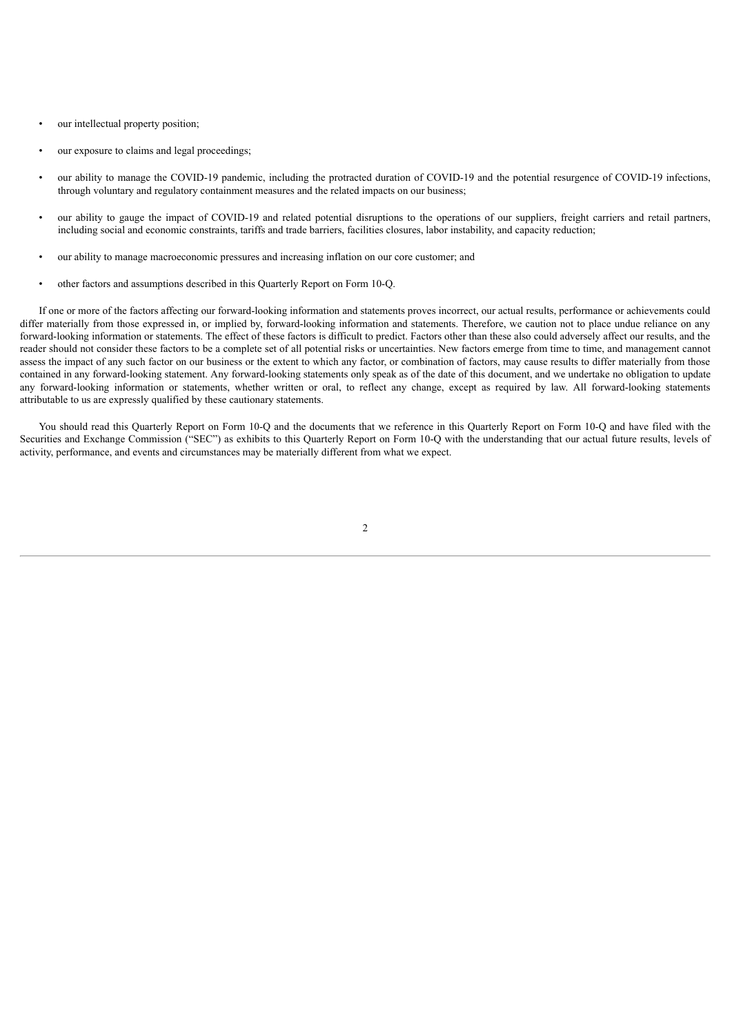- our intellectual property position;
- our exposure to claims and legal proceedings;
- our ability to manage the COVID-19 pandemic, including the protracted duration of COVID-19 and the potential resurgence of COVID-19 infections, through voluntary and regulatory containment measures and the related impacts on our business;
- our ability to gauge the impact of COVID-19 and related potential disruptions to the operations of our suppliers, freight carriers and retail partners, including social and economic constraints, tariffs and trade barriers, facilities closures, labor instability, and capacity reduction;
- our ability to manage macroeconomic pressures and increasing inflation on our core customer; and
- other factors and assumptions described in this Quarterly Report on Form 10-Q.

If one or more of the factors affecting our forward-looking information and statements proves incorrect, our actual results, performance or achievements could differ materially from those expressed in, or implied by, forward-looking information and statements. Therefore, we caution not to place undue reliance on any forward-looking information or statements. The effect of these factors is difficult to predict. Factors other than these also could adversely affect our results, and the reader should not consider these factors to be a complete set of all potential risks or uncertainties. New factors emerge from time to time, and management cannot assess the impact of any such factor on our business or the extent to which any factor, or combination of factors, may cause results to differ materially from those contained in any forward-looking statement. Any forward-looking statements only speak as of the date of this document, and we undertake no obligation to update any forward-looking information or statements, whether written or oral, to reflect any change, except as required by law. All forward-looking statements attributable to us are expressly qualified by these cautionary statements.

<span id="page-4-0"></span>You should read this Quarterly Report on Form 10-Q and the documents that we reference in this Quarterly Report on Form 10-Q and have filed with the Securities and Exchange Commission ("SEC") as exhibits to this Quarterly Report on Form 10-Q with the understanding that our actual future results, levels of activity, performance, and events and circumstances may be materially different from what we expect.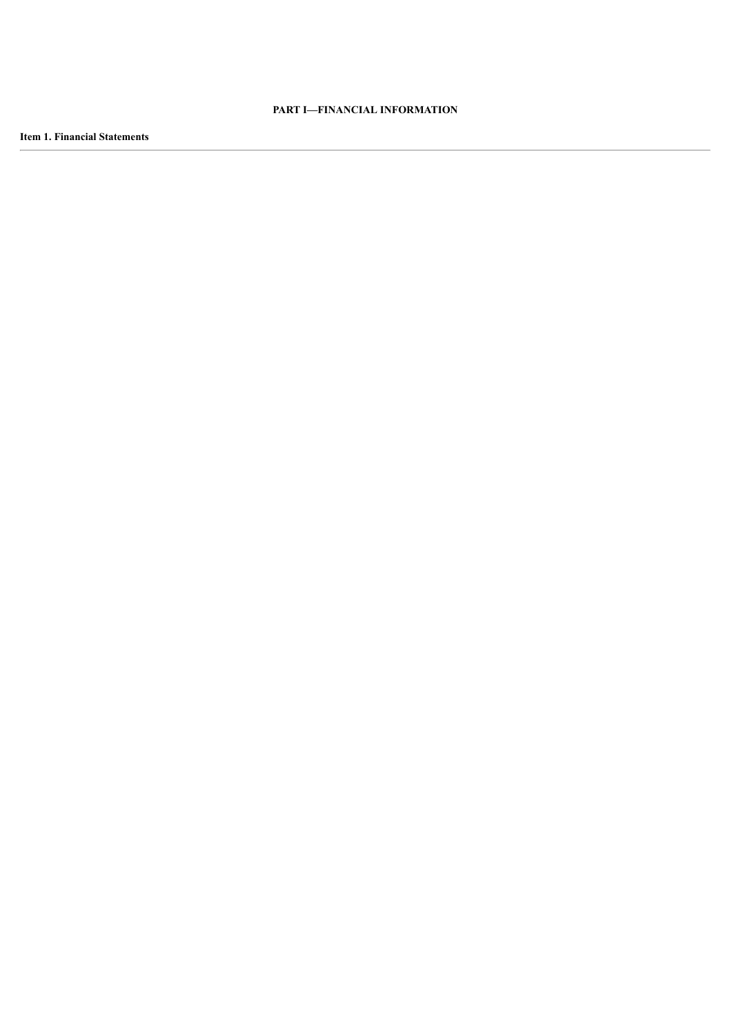## <span id="page-5-0"></span>**PART I—FINANCIAL INFORMATION**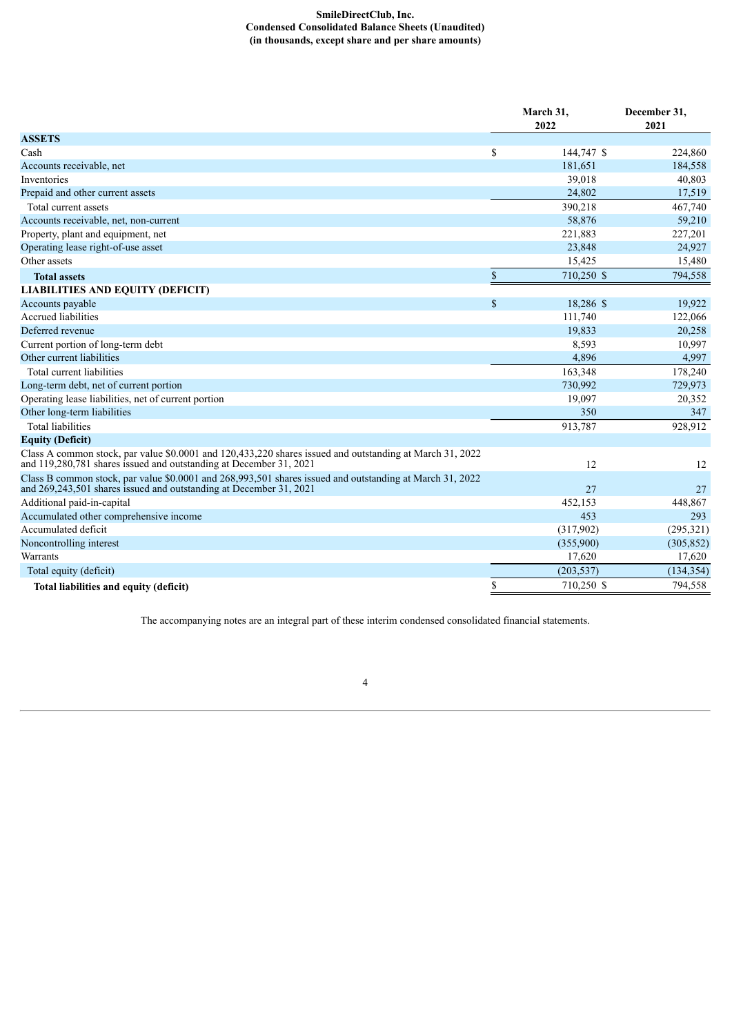## **SmileDirectClub, Inc. Condensed Consolidated Balance Sheets (Unaudited) (in thousands, except share and per share amounts)**

|                                                                                                                                                                                |      | March 31,<br>2022 | December 31,<br>2021 |
|--------------------------------------------------------------------------------------------------------------------------------------------------------------------------------|------|-------------------|----------------------|
| <b>ASSETS</b>                                                                                                                                                                  |      |                   |                      |
| Cash                                                                                                                                                                           | \$   | 144,747 \$        | 224,860              |
| Accounts receivable, net                                                                                                                                                       |      | 181,651           | 184,558              |
| Inventories                                                                                                                                                                    |      | 39,018            | 40,803               |
| Prepaid and other current assets                                                                                                                                               |      | 24,802            | 17,519               |
| Total current assets                                                                                                                                                           |      | 390,218           | 467,740              |
| Accounts receivable, net, non-current                                                                                                                                          |      | 58,876            | 59,210               |
| Property, plant and equipment, net                                                                                                                                             |      | 221,883           | 227,201              |
| Operating lease right-of-use asset                                                                                                                                             |      | 23,848            | 24,927               |
| Other assets                                                                                                                                                                   |      | 15,425            | 15,480               |
| <b>Total assets</b>                                                                                                                                                            | $\$$ | 710,250 \$        | 794,558              |
| <b>LIABILITIES AND EQUITY (DEFICIT)</b>                                                                                                                                        |      |                   |                      |
| Accounts payable                                                                                                                                                               | \$   | 18,286 \$         | 19,922               |
| <b>Accrued liabilities</b>                                                                                                                                                     |      | 111,740           | 122,066              |
| Deferred revenue                                                                                                                                                               |      | 19,833            | 20,258               |
| Current portion of long-term debt                                                                                                                                              |      | 8,593             | 10,997               |
| Other current liabilities                                                                                                                                                      |      | 4,896             | 4,997                |
| Total current liabilities                                                                                                                                                      |      | 163,348           | 178,240              |
| Long-term debt, net of current portion                                                                                                                                         |      | 730,992           | 729,973              |
| Operating lease liabilities, net of current portion                                                                                                                            |      | 19,097            | 20,352               |
| Other long-term liabilities                                                                                                                                                    |      | 350               | 347                  |
| <b>Total liabilities</b>                                                                                                                                                       |      | 913,787           | 928,912              |
| <b>Equity (Deficit)</b>                                                                                                                                                        |      |                   |                      |
| Class A common stock, par value \$0.0001 and 120,433,220 shares issued and outstanding at March 31, 2022<br>and 119,280,781 shares issued and outstanding at December 31, 2021 |      | 12                | 12                   |
| Class B common stock, par value \$0.0001 and 268,993,501 shares issued and outstanding at March 31, 2022<br>and 269,243,501 shares issued and outstanding at December 31, 2021 |      | 27                | 27                   |
| Additional paid-in-capital                                                                                                                                                     |      | 452,153           | 448,867              |
| Accumulated other comprehensive income                                                                                                                                         |      | 453               | 293                  |
| Accumulated deficit                                                                                                                                                            |      | (317,902)         | (295, 321)           |
| Noncontrolling interest                                                                                                                                                        |      | (355,900)         | (305, 852)           |
| Warrants                                                                                                                                                                       |      | 17,620            | 17,620               |
| Total equity (deficit)                                                                                                                                                         |      | (203, 537)        | (134, 354)           |
| Total liabilities and equity (deficit)                                                                                                                                         | \$   | 710,250 \$        | 794,558              |

<span id="page-6-0"></span>The accompanying notes are an integral part of these interim condensed consolidated financial statements.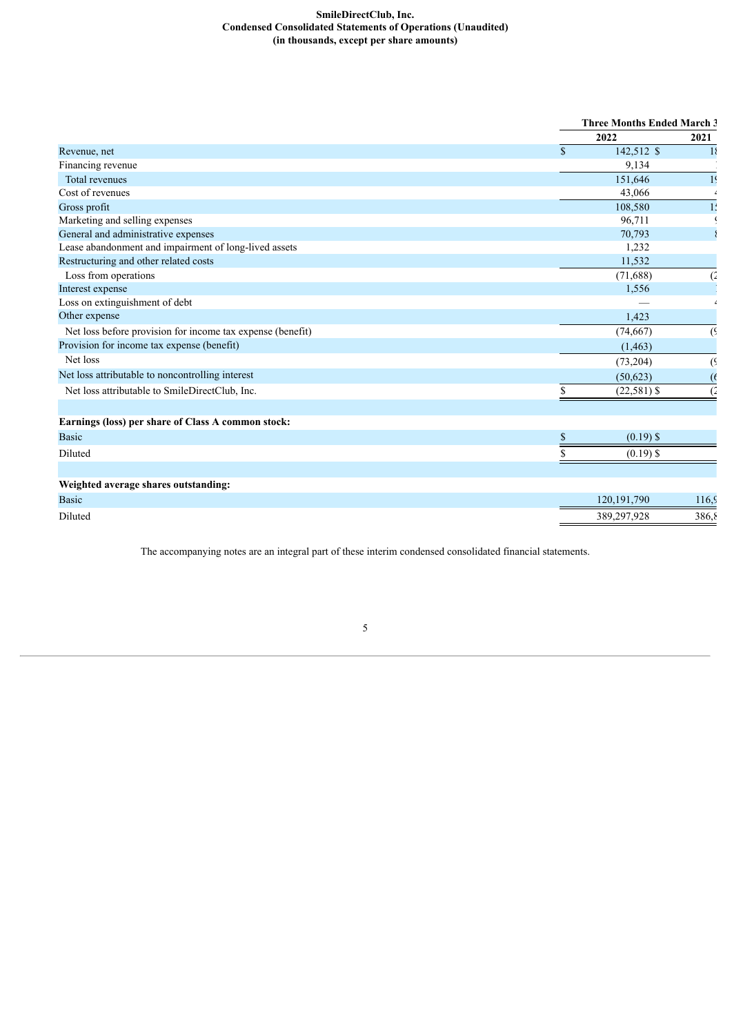#### **SmileDirectClub, Inc. Condensed Consolidated Statements of Operations (Unaudited) (in thousands, except per share amounts)**

|                                                            |    | <b>Three Months Ended March 3</b> |                |  |
|------------------------------------------------------------|----|-----------------------------------|----------------|--|
|                                                            |    | 2022                              | 2021           |  |
| Revenue, net                                               | \$ | 142,512 \$                        | $1\ell$        |  |
| Financing revenue                                          |    | 9,134                             |                |  |
| Total revenues                                             |    | 151,646                           | 19             |  |
| Cost of revenues                                           |    | 43,066                            |                |  |
| Gross profit                                               |    | 108,580                           | 1 <sup>′</sup> |  |
| Marketing and selling expenses                             |    | 96,711                            |                |  |
| General and administrative expenses                        |    | 70,793                            |                |  |
| Lease abandonment and impairment of long-lived assets      |    | 1,232                             |                |  |
| Restructuring and other related costs                      |    | 11,532                            |                |  |
| Loss from operations                                       |    | (71,688)                          | $\overline{c}$ |  |
| Interest expense                                           |    | 1,556                             |                |  |
| Loss on extinguishment of debt                             |    |                                   |                |  |
| Other expense                                              |    | 1,423                             |                |  |
| Net loss before provision for income tax expense (benefit) |    | (74, 667)                         | $\mathfrak{S}$ |  |
| Provision for income tax expense (benefit)                 |    | (1, 463)                          |                |  |
| Net loss                                                   |    | (73,204)                          | (              |  |
| Net loss attributable to noncontrolling interest           |    | (50,623)                          | (6)            |  |
| Net loss attributable to SmileDirectClub, Inc.             | S  | $(22,581)$ \$                     | $\overline{c}$ |  |
| Earnings (loss) per share of Class A common stock:         |    |                                   |                |  |
| <b>Basic</b>                                               | \$ | $(0.19)$ \$                       |                |  |
| Diluted                                                    |    | $(0.19)$ \$                       |                |  |
|                                                            |    |                                   |                |  |
| Weighted average shares outstanding:                       |    |                                   |                |  |
| <b>Basic</b>                                               |    | 120, 191, 790                     | 116,9          |  |
| Diluted                                                    |    | 389,297,928                       | 386,8          |  |

<span id="page-7-0"></span>The accompanying notes are an integral part of these interim condensed consolidated financial statements.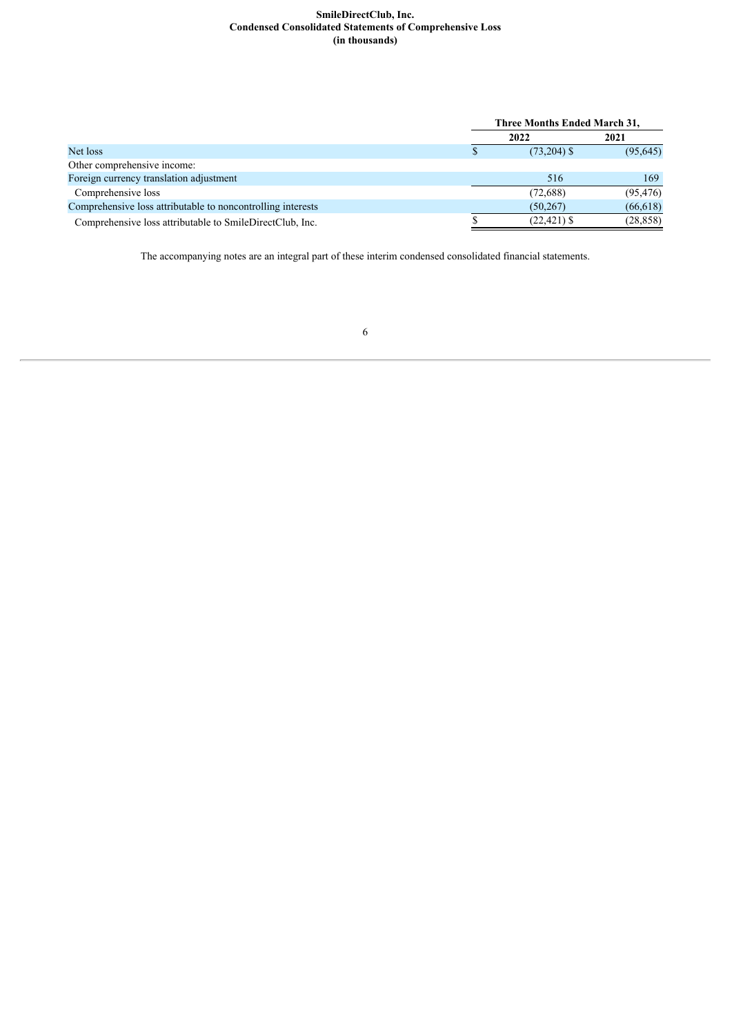## **SmileDirectClub, Inc. Condensed Consolidated Statements of Comprehensive Loss (in thousands)**

|                                                             | Three Months Ended March 31, |           |  |  |
|-------------------------------------------------------------|------------------------------|-----------|--|--|
|                                                             | 2022                         | 2021      |  |  |
| Net loss                                                    | $(73,204)$ \$                | (95, 645) |  |  |
| Other comprehensive income:                                 |                              |           |  |  |
| Foreign currency translation adjustment                     | 516                          | 169       |  |  |
| Comprehensive loss                                          | (72,688)                     | (95, 476) |  |  |
| Comprehensive loss attributable to noncontrolling interests | (50, 267)                    | (66, 618) |  |  |
| Comprehensive loss attributable to SmileDirectClub, Inc.    | $(22, 421)$ \$               | (28, 858) |  |  |

The accompanying notes are an integral part of these interim condensed consolidated financial statements.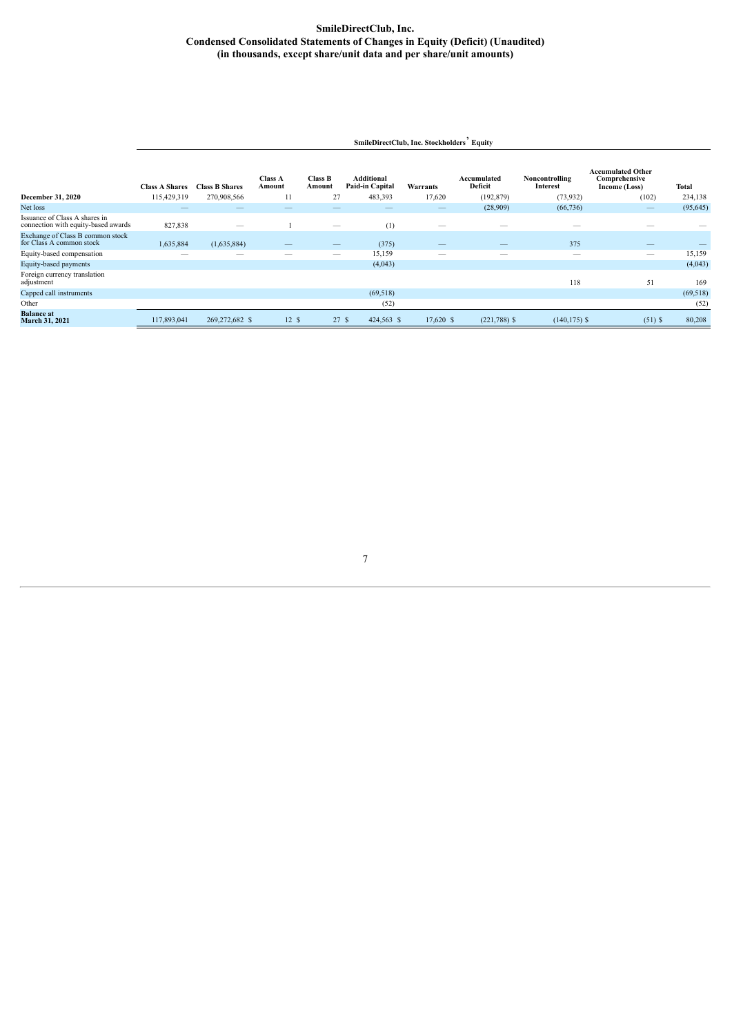## **SmileDirectClub, Inc. Condensed Consolidated Statements of Changes in Equity (Deficit) (Unaudited) (in thousands, except share/unit data and per share/unit amounts)**

<span id="page-9-0"></span>

|                                                                      | SmileDirectClub, Inc. Stockholders Equity |                       |                          |                          |                                      |                          |                        |                            |                                                            |           |
|----------------------------------------------------------------------|-------------------------------------------|-----------------------|--------------------------|--------------------------|--------------------------------------|--------------------------|------------------------|----------------------------|------------------------------------------------------------|-----------|
|                                                                      | <b>Class A Shares</b>                     | <b>Class B Shares</b> | <b>Class A</b><br>Amount | <b>Class B</b><br>Amount | <b>Additional</b><br>Paid-in Capital | Warrants                 | Accumulated<br>Deficit | Noncontrolling<br>Interest | <b>Accumulated Other</b><br>Comprehensive<br>Income (Loss) | Total     |
| December 31, 2020                                                    | 115,429,319                               | 270,908,566           | 11                       | 27                       | 483,393                              | 17,620                   | (192, 879)             | (73, 932)                  | (102)                                                      | 234,138   |
| Net loss                                                             |                                           |                       |                          |                          |                                      |                          | (28,909)               | (66, 736)                  |                                                            | (95, 645) |
| Issuance of Class A shares in<br>connection with equity-based awards | 827,838                                   |                       |                          |                          | (1)                                  |                          |                        |                            |                                                            |           |
| Exchange of Class B common stock<br>for Class A common stock         | 1,635,884                                 | (1,635,884)           | $-$                      |                          | (375)                                | $\qquad \qquad - \qquad$ |                        | 375                        | $-$                                                        |           |
| Equity-based compensation                                            |                                           |                       |                          |                          | 15,159                               | -                        | _                      |                            |                                                            | 15,159    |
| Equity-based payments                                                |                                           |                       |                          |                          | (4,043)                              |                          |                        |                            |                                                            | (4,043)   |
| Foreign currency translation<br>adjustment                           |                                           |                       |                          |                          |                                      |                          |                        | 118                        | 51                                                         | 169       |
| Capped call instruments                                              |                                           |                       |                          |                          | (69, 518)                            |                          |                        |                            |                                                            | (69, 518) |
| Other                                                                |                                           |                       |                          |                          | (52)                                 |                          |                        |                            |                                                            | (52)      |
| <b>Balance</b> at<br><b>March 31, 2021</b>                           | 117,893,041                               | 269,272,682 \$        | 12S                      | 27S                      | 424,563 \$                           | 17,620 \$                | $(221,788)$ \$         | $(140, 175)$ \$            | $(51)$ \$                                                  | 80,208    |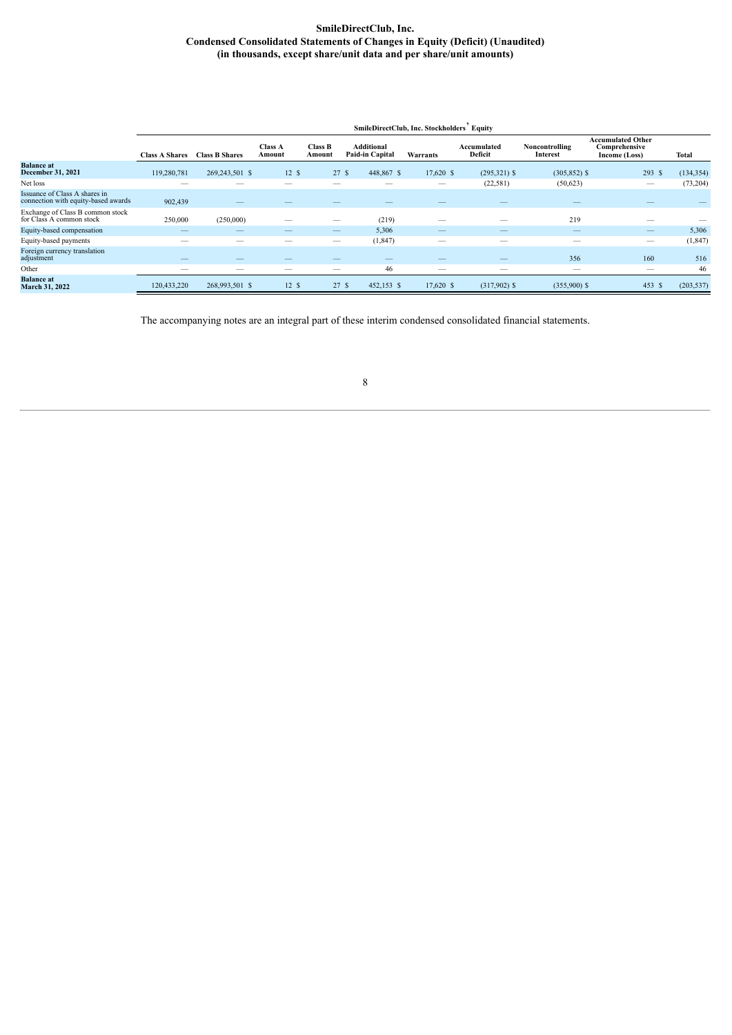## **SmileDirectClub, Inc. Condensed Consolidated Statements of Changes in Equity (Deficit) (Unaudited) (in thousands, except share/unit data and per share/unit amounts)**

|                                                                      | Sunctriculture, Inc. Stockholders Equity |                       |                          |                          |                                      |             |                        |                            |                                                            |            |
|----------------------------------------------------------------------|------------------------------------------|-----------------------|--------------------------|--------------------------|--------------------------------------|-------------|------------------------|----------------------------|------------------------------------------------------------|------------|
|                                                                      | <b>Class A Shares</b>                    | <b>Class B Shares</b> | <b>Class A</b><br>Amount | <b>Class B</b><br>Amount | <b>Additional</b><br>Paid-in Capital | Warrants    | Accumulated<br>Deficit | Noncontrolling<br>Interest | <b>Accumulated Other</b><br>Comprehensive<br>Income (Loss) | Total      |
| <b>Balance</b> at<br>December 31, 2021                               | 119,280,781                              | 269,243,501 \$        | 12S                      | 27S                      | 448,867 \$                           | $17,620$ \$ | $(295, 321)$ \$        | $(305, 852)$ \$            | 293S                                                       | (134, 354) |
| Net loss                                                             |                                          |                       |                          | _                        |                                      |             | (22, 581)              | (50, 623)                  |                                                            | (73, 204)  |
| Issuance of Class A shares in<br>connection with equity-based awards | 902,439                                  |                       |                          |                          |                                      |             | –                      |                            |                                                            |            |
| Exchange of Class B common stock<br>for Class A common stock         | 250,000                                  | (250,000)             |                          |                          | (219)                                | _           | _                      | 219                        | $\overline{\phantom{a}}$                                   |            |
| Equity-based compensation                                            |                                          |                       | _                        |                          | 5,306                                | _           |                        |                            |                                                            | 5,306      |
| Equity-based payments                                                |                                          |                       |                          | $\qquad \qquad$          | (1, 847)                             | -           |                        | $\overline{\phantom{a}}$   |                                                            | (1, 847)   |
| Foreign currency translation<br>adjustment                           | _                                        | _                     | $-$                      |                          | $\overline{\phantom{a}}$             | –           | $-$                    | 356                        | 160                                                        | 516        |
| Other                                                                | $\overline{\phantom{a}}$                 |                       | -                        | -                        | 46                                   | -           | -                      | $\overline{\phantom{a}}$   |                                                            | 46         |
| <b>Balance</b> at<br>March 31, 2022                                  | 120,433,220                              | 268,993,501 \$        | 12S                      | 27S                      | $452,153$ \$                         | 17,620 \$   | $(317,902)$ \$         | $(355,900)$ \$             | 453S                                                       | (203, 537) |

**SmileDirectClub, Inc. Stockholders**' **Equity**

<span id="page-10-0"></span>The accompanying notes are an integral part of these interim condensed consolidated financial statements.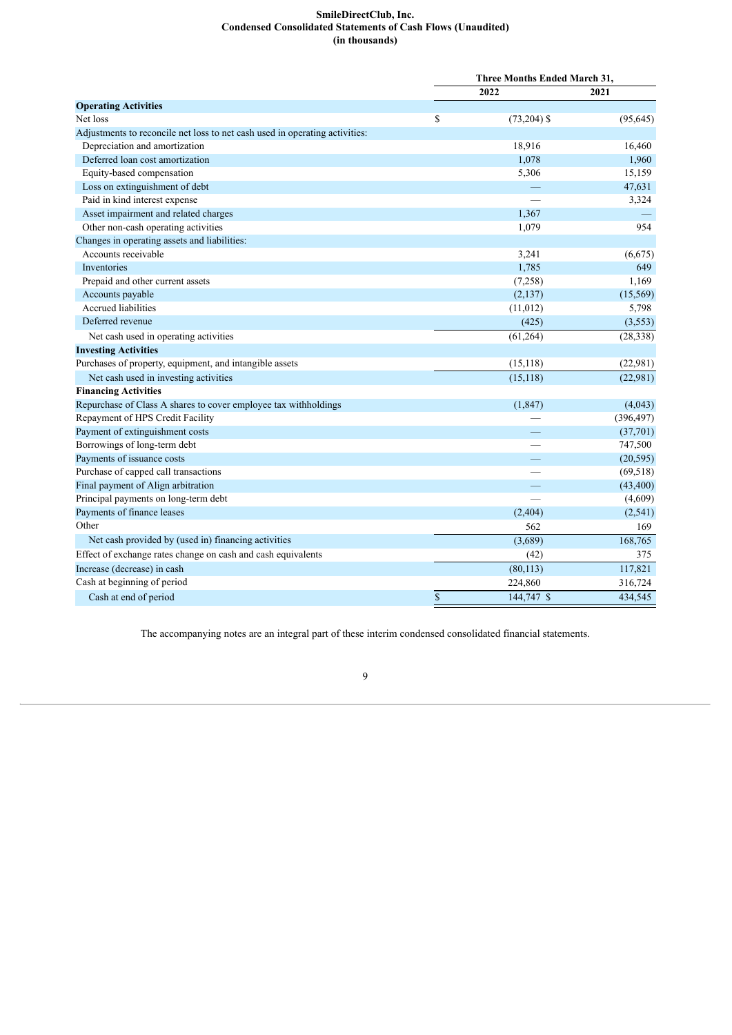## **SmileDirectClub, Inc. Condensed Consolidated Statements of Cash Flows (Unaudited) (in thousands)**

|                                                                             | Three Months Ended March 31, |               |            |
|-----------------------------------------------------------------------------|------------------------------|---------------|------------|
|                                                                             |                              | 2022          | 2021       |
| <b>Operating Activities</b>                                                 |                              |               |            |
| Net loss                                                                    | \$                           | $(73,204)$ \$ | (95, 645)  |
| Adjustments to reconcile net loss to net cash used in operating activities: |                              |               |            |
| Depreciation and amortization                                               |                              | 18,916        | 16,460     |
| Deferred loan cost amortization                                             |                              | 1,078         | 1,960      |
| Equity-based compensation                                                   |                              | 5,306         | 15,159     |
| Loss on extinguishment of debt                                              |                              |               | 47,631     |
| Paid in kind interest expense                                               |                              |               | 3,324      |
| Asset impairment and related charges                                        |                              | 1,367         |            |
| Other non-cash operating activities                                         |                              | 1,079         | 954        |
| Changes in operating assets and liabilities:                                |                              |               |            |
| Accounts receivable                                                         |                              | 3,241         | (6,675)    |
| Inventories                                                                 |                              | 1,785         | 649        |
| Prepaid and other current assets                                            |                              | (7,258)       | 1,169      |
| Accounts payable                                                            |                              | (2,137)       | (15, 569)  |
| <b>Accrued liabilities</b>                                                  |                              | (11, 012)     | 5,798      |
| Deferred revenue                                                            |                              | (425)         | (3, 553)   |
| Net cash used in operating activities                                       |                              | (61, 264)     | (28, 338)  |
| <b>Investing Activities</b>                                                 |                              |               |            |
| Purchases of property, equipment, and intangible assets                     |                              | (15, 118)     | (22,981)   |
| Net cash used in investing activities                                       |                              | (15, 118)     | (22,981)   |
| <b>Financing Activities</b>                                                 |                              |               |            |
| Repurchase of Class A shares to cover employee tax withholdings             |                              | (1, 847)      | (4,043)    |
| Repayment of HPS Credit Facility                                            |                              |               | (396, 497) |
| Payment of extinguishment costs                                             |                              |               | (37,701)   |
| Borrowings of long-term debt                                                |                              |               | 747,500    |
| Payments of issuance costs                                                  |                              |               | (20, 595)  |
| Purchase of capped call transactions                                        |                              |               | (69, 518)  |
| Final payment of Align arbitration                                          |                              |               | (43, 400)  |
| Principal payments on long-term debt                                        |                              |               | (4,609)    |
| Payments of finance leases                                                  |                              | (2, 404)      | (2, 541)   |
| Other                                                                       |                              | 562           | 169        |
| Net cash provided by (used in) financing activities                         |                              | (3,689)       | 168,765    |
| Effect of exchange rates change on cash and cash equivalents                |                              | (42)          | 375        |
| Increase (decrease) in cash                                                 |                              | (80, 113)     | 117,821    |
| Cash at beginning of period                                                 |                              | 224,860       | 316,724    |
| Cash at end of period                                                       | $\overline{\$}$              | 144,747 \$    | 434,545    |

The accompanying notes are an integral part of these interim condensed consolidated financial statements.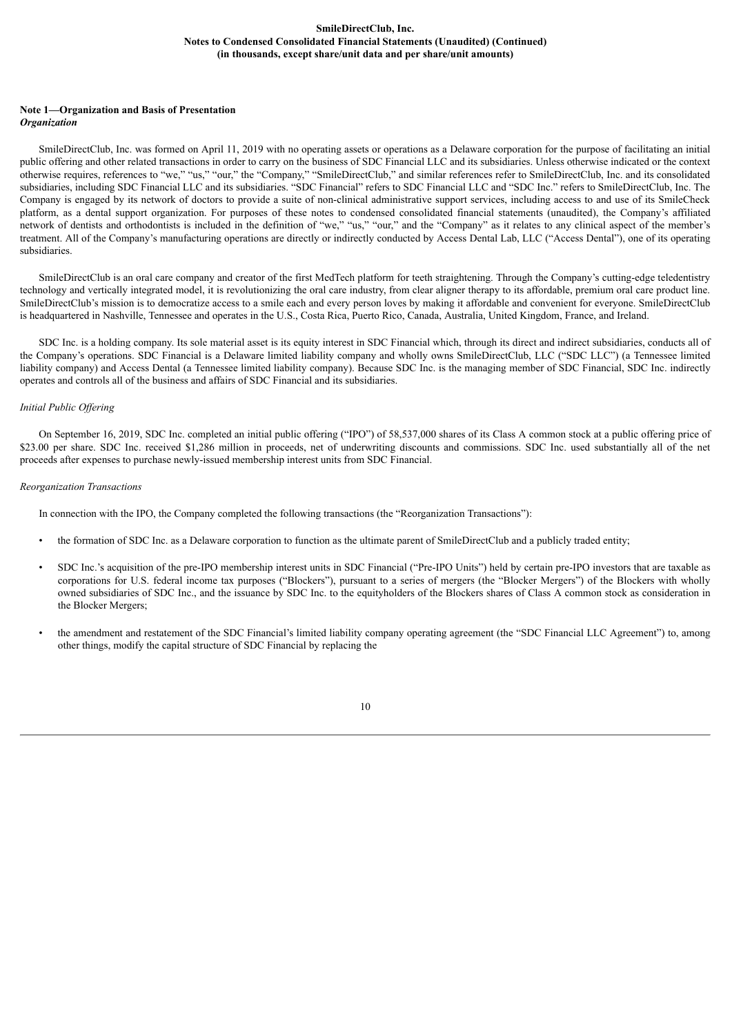#### **Note 1—Organization and Basis of Presentation** *Organization*

SmileDirectClub, Inc. was formed on April 11, 2019 with no operating assets or operations as a Delaware corporation for the purpose of facilitating an initial public offering and other related transactions in order to carry on the business of SDC Financial LLC and its subsidiaries. Unless otherwise indicated or the context otherwise requires, references to "we," "us," "our," the "Company," "SmileDirectClub," and similar references refer to SmileDirectClub, Inc. and its consolidated subsidiaries, including SDC Financial LLC and its subsidiaries. "SDC Financial" refers to SDC Financial LLC and "SDC Inc." refers to SmileDirectClub, Inc. The Company is engaged by its network of doctors to provide a suite of non-clinical administrative support services, including access to and use of its SmileCheck platform, as a dental support organization. For purposes of these notes to condensed consolidated financial statements (unaudited), the Company's affiliated network of dentists and orthodontists is included in the definition of "we," "us," "our," and the "Company" as it relates to any clinical aspect of the member's treatment. All of the Company's manufacturing operations are directly or indirectly conducted by Access Dental Lab, LLC ("Access Dental"), one of its operating subsidiaries.

SmileDirectClub is an oral care company and creator of the first MedTech platform for teeth straightening. Through the Company's cutting-edge teledentistry technology and vertically integrated model, it is revolutionizing the oral care industry, from clear aligner therapy to its affordable, premium oral care product line. SmileDirectClub's mission is to democratize access to a smile each and every person loves by making it affordable and convenient for everyone. SmileDirectClub is headquartered in Nashville, Tennessee and operates in the U.S., Costa Rica, Puerto Rico, Canada, Australia, United Kingdom, France, and Ireland.

SDC Inc. is a holding company. Its sole material asset is its equity interest in SDC Financial which, through its direct and indirect subsidiaries, conducts all of the Company's operations. SDC Financial is a Delaware limited liability company and wholly owns SmileDirectClub, LLC ("SDC LLC") (a Tennessee limited liability company) and Access Dental (a Tennessee limited liability company). Because SDC Inc. is the managing member of SDC Financial, SDC Inc. indirectly operates and controls all of the business and affairs of SDC Financial and its subsidiaries.

## *Initial Public Of ering*

On September 16, 2019, SDC Inc. completed an initial public offering ("IPO") of 58,537,000 shares of its Class A common stock at a public offering price of \$23.00 per share. SDC Inc. received \$1,286 million in proceeds, net of underwriting discounts and commissions. SDC Inc. used substantially all of the net proceeds after expenses to purchase newly-issued membership interest units from SDC Financial.

#### *Reorganization Transactions*

In connection with the IPO, the Company completed the following transactions (the "Reorganization Transactions"):

- the formation of SDC Inc. as a Delaware corporation to function as the ultimate parent of SmileDirectClub and a publicly traded entity;
- SDC Inc.'s acquisition of the pre-IPO membership interest units in SDC Financial ("Pre-IPO Units") held by certain pre-IPO investors that are taxable as corporations for U.S. federal income tax purposes ("Blockers"), pursuant to a series of mergers (the "Blocker Mergers") of the Blockers with wholly owned subsidiaries of SDC Inc., and the issuance by SDC Inc. to the equityholders of the Blockers shares of Class A common stock as consideration in the Blocker Mergers;
- the amendment and restatement of the SDC Financial's limited liability company operating agreement (the "SDC Financial LLC Agreement") to, among other things, modify the capital structure of SDC Financial by replacing the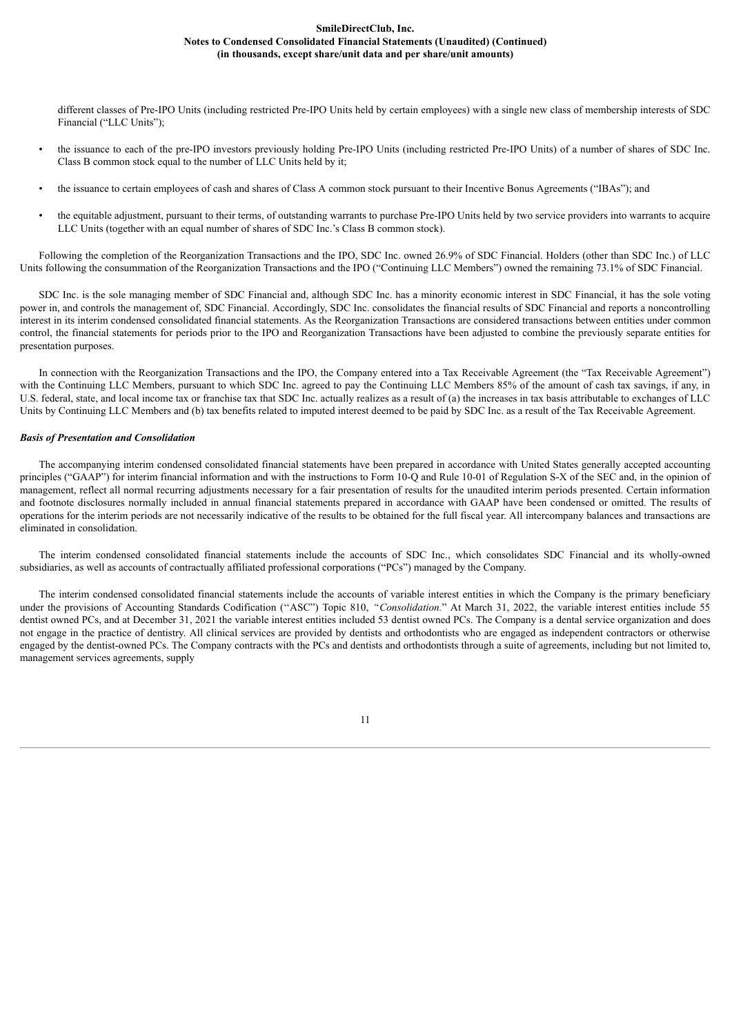different classes of Pre-IPO Units (including restricted Pre-IPO Units held by certain employees) with a single new class of membership interests of SDC Financial ("LLC Units");

- the issuance to each of the pre-IPO investors previously holding Pre-IPO Units (including restricted Pre-IPO Units) of a number of shares of SDC Inc. Class B common stock equal to the number of LLC Units held by it;
- the issuance to certain employees of cash and shares of Class A common stock pursuant to their Incentive Bonus Agreements ("IBAs"); and
- the equitable adjustment, pursuant to their terms, of outstanding warrants to purchase Pre-IPO Units held by two service providers into warrants to acquire LLC Units (together with an equal number of shares of SDC Inc.'s Class B common stock).

Following the completion of the Reorganization Transactions and the IPO, SDC Inc. owned 26.9% of SDC Financial. Holders (other than SDC Inc.) of LLC Units following the consummation of the Reorganization Transactions and the IPO ("Continuing LLC Members") owned the remaining 73.1% of SDC Financial.

SDC Inc. is the sole managing member of SDC Financial and, although SDC Inc. has a minority economic interest in SDC Financial, it has the sole voting power in, and controls the management of, SDC Financial. Accordingly, SDC Inc. consolidates the financial results of SDC Financial and reports a noncontrolling interest in its interim condensed consolidated financial statements. As the Reorganization Transactions are considered transactions between entities under common control, the financial statements for periods prior to the IPO and Reorganization Transactions have been adjusted to combine the previously separate entities for presentation purposes.

In connection with the Reorganization Transactions and the IPO, the Company entered into a Tax Receivable Agreement (the "Tax Receivable Agreement") with the Continuing LLC Members, pursuant to which SDC Inc. agreed to pay the Continuing LLC Members 85% of the amount of cash tax savings, if any, in U.S. federal, state, and local income tax or franchise tax that SDC Inc. actually realizes as a result of (a) the increases in tax basis attributable to exchanges of LLC Units by Continuing LLC Members and (b) tax benefits related to imputed interest deemed to be paid by SDC Inc. as a result of the Tax Receivable Agreement.

## *Basis of Presentation and Consolidation*

The accompanying interim condensed consolidated financial statements have been prepared in accordance with United States generally accepted accounting principles ("GAAP") for interim financial information and with the instructions to Form 10-Q and Rule 10-01 of Regulation S-X of the SEC and, in the opinion of management, reflect all normal recurring adjustments necessary for a fair presentation of results for the unaudited interim periods presented. Certain information and footnote disclosures normally included in annual financial statements prepared in accordance with GAAP have been condensed or omitted. The results of operations for the interim periods are not necessarily indicative of the results to be obtained for the full fiscal year. All intercompany balances and transactions are eliminated in consolidation.

The interim condensed consolidated financial statements include the accounts of SDC Inc., which consolidates SDC Financial and its wholly-owned subsidiaries, as well as accounts of contractually affiliated professional corporations ("PCs") managed by the Company.

The interim condensed consolidated financial statements include the accounts of variable interest entities in which the Company is the primary beneficiary under the provisions of Accounting Standards Codification (''ASC") Topic 810, *'*'*Consolidation.*" At March 31, 2022, the variable interest entities include 55 dentist owned PCs, and at December 31, 2021 the variable interest entities included 53 dentist owned PCs. The Company is a dental service organization and does not engage in the practice of dentistry. All clinical services are provided by dentists and orthodontists who are engaged as independent contractors or otherwise engaged by the dentist-owned PCs. The Company contracts with the PCs and dentists and orthodontists through a suite of agreements, including but not limited to, management services agreements, supply

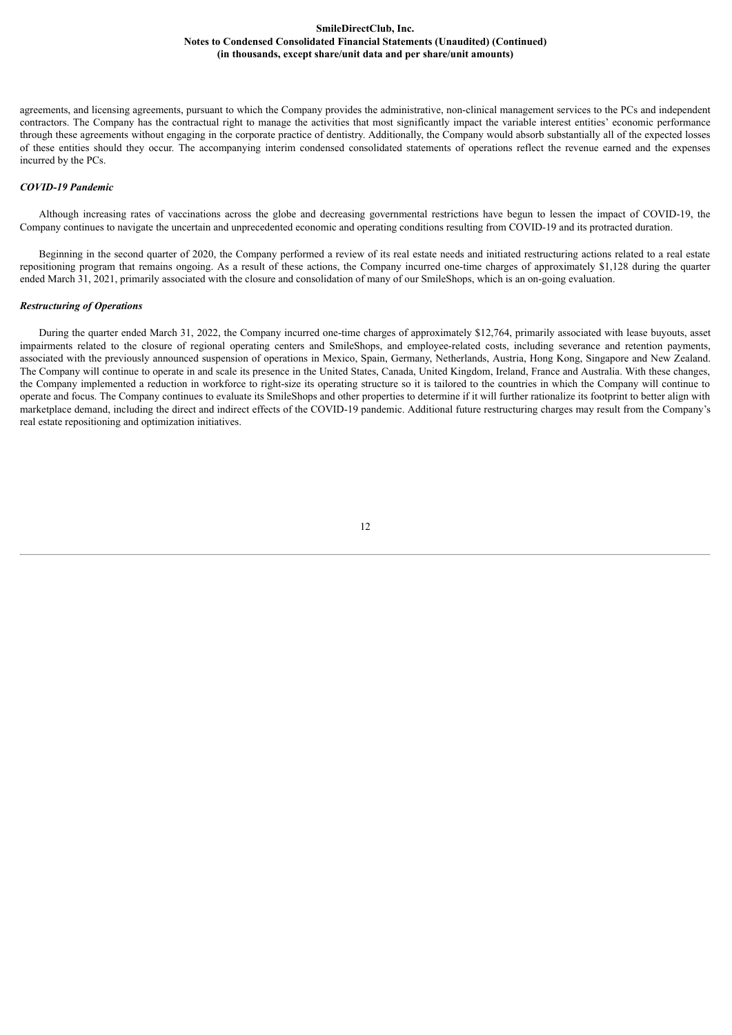agreements, and licensing agreements, pursuant to which the Company provides the administrative, non-clinical management services to the PCs and independent contractors. The Company has the contractual right to manage the activities that most significantly impact the variable interest entities' economic performance through these agreements without engaging in the corporate practice of dentistry. Additionally, the Company would absorb substantially all of the expected losses of these entities should they occur. The accompanying interim condensed consolidated statements of operations reflect the revenue earned and the expenses incurred by the PCs.

#### *COVID-19 Pandemic*

Although increasing rates of vaccinations across the globe and decreasing governmental restrictions have begun to lessen the impact of COVID-19, the Company continues to navigate the uncertain and unprecedented economic and operating conditions resulting from COVID-19 and its protracted duration.

Beginning in the second quarter of 2020, the Company performed a review of its real estate needs and initiated restructuring actions related to a real estate repositioning program that remains ongoing. As a result of these actions, the Company incurred one-time charges of approximately \$1,128 during the quarter ended March 31, 2021, primarily associated with the closure and consolidation of many of our SmileShops, which is an on-going evaluation.

#### *Restructuring of Operations*

During the quarter ended March 31, 2022, the Company incurred one-time charges of approximately \$12,764, primarily associated with lease buyouts, asset impairments related to the closure of regional operating centers and SmileShops, and employee-related costs, including severance and retention payments, associated with the previously announced suspension of operations in Mexico, Spain, Germany, Netherlands, Austria, Hong Kong, Singapore and New Zealand. The Company will continue to operate in and scale its presence in the United States, Canada, United Kingdom, Ireland, France and Australia. With these changes, the Company implemented a reduction in workforce to right-size its operating structure so it is tailored to the countries in which the Company will continue to operate and focus. The Company continues to evaluate its SmileShops and other properties to determine if it will further rationalize its footprint to better align with marketplace demand, including the direct and indirect effects of the COVID-19 pandemic. Additional future restructuring charges may result from the Company's real estate repositioning and optimization initiatives.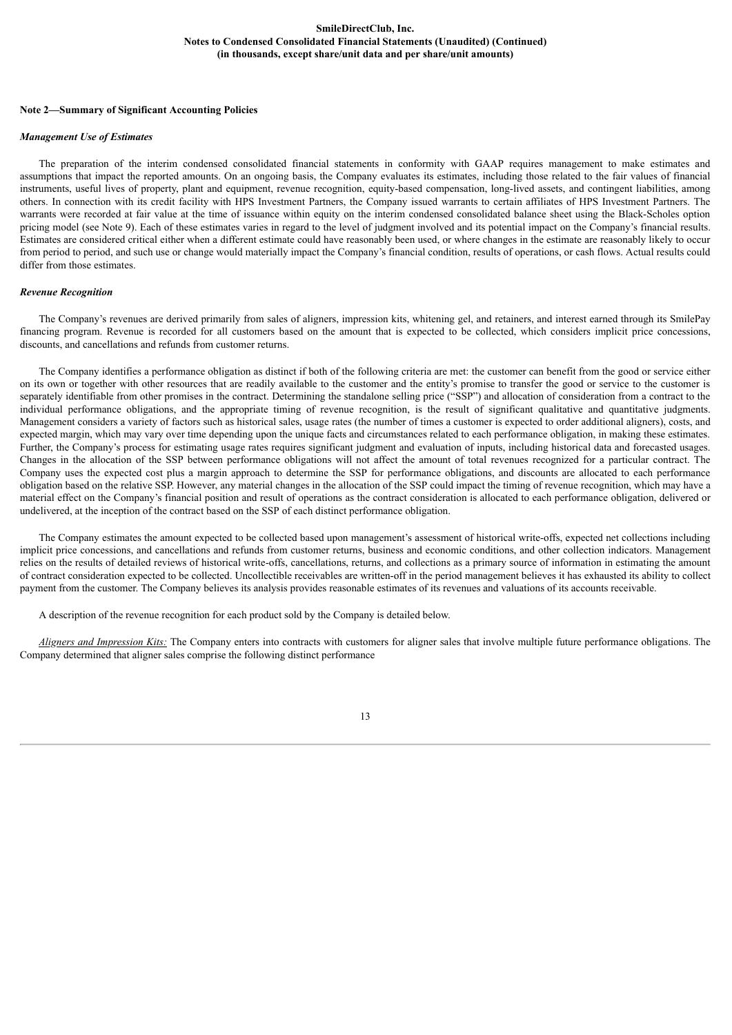#### **Note 2—Summary of Significant Accounting Policies**

#### *Management Use of Estimates*

The preparation of the interim condensed consolidated financial statements in conformity with GAAP requires management to make estimates and assumptions that impact the reported amounts. On an ongoing basis, the Company evaluates its estimates, including those related to the fair values of financial instruments, useful lives of property, plant and equipment, revenue recognition, equity-based compensation, long-lived assets, and contingent liabilities, among others. In connection with its credit facility with HPS Investment Partners, the Company issued warrants to certain affiliates of HPS Investment Partners. The warrants were recorded at fair value at the time of issuance within equity on the interim condensed consolidated balance sheet using the Black-Scholes option pricing model (see Note 9). Each of these estimates varies in regard to the level of judgment involved and its potential impact on the Company's financial results. Estimates are considered critical either when a different estimate could have reasonably been used, or where changes in the estimate are reasonably likely to occur from period to period, and such use or change would materially impact the Company's financial condition, results of operations, or cash flows. Actual results could differ from those estimates.

#### *Revenue Recognition*

The Company's revenues are derived primarily from sales of aligners, impression kits, whitening gel, and retainers, and interest earned through its SmilePay financing program. Revenue is recorded for all customers based on the amount that is expected to be collected, which considers implicit price concessions, discounts, and cancellations and refunds from customer returns.

The Company identifies a performance obligation as distinct if both of the following criteria are met: the customer can benefit from the good or service either on its own or together with other resources that are readily available to the customer and the entity's promise to transfer the good or service to the customer is separately identifiable from other promises in the contract. Determining the standalone selling price ("SSP") and allocation of consideration from a contract to the individual performance obligations, and the appropriate timing of revenue recognition, is the result of significant qualitative and quantitative judgments. Management considers a variety of factors such as historical sales, usage rates (the number of times a customer is expected to order additional aligners), costs, and expected margin, which may vary over time depending upon the unique facts and circumstances related to each performance obligation, in making these estimates. Further, the Company's process for estimating usage rates requires significant judgment and evaluation of inputs, including historical data and forecasted usages. Changes in the allocation of the SSP between performance obligations will not affect the amount of total revenues recognized for a particular contract. The Company uses the expected cost plus a margin approach to determine the SSP for performance obligations, and discounts are allocated to each performance obligation based on the relative SSP. However, any material changes in the allocation of the SSP could impact the timing of revenue recognition, which may have a material effect on the Company's financial position and result of operations as the contract consideration is allocated to each performance obligation, delivered or undelivered, at the inception of the contract based on the SSP of each distinct performance obligation.

The Company estimates the amount expected to be collected based upon management's assessment of historical write-offs, expected net collections including implicit price concessions, and cancellations and refunds from customer returns, business and economic conditions, and other collection indicators. Management relies on the results of detailed reviews of historical write-offs, cancellations, returns, and collections as a primary source of information in estimating the amount of contract consideration expected to be collected. Uncollectible receivables are written-off in the period management believes it has exhausted its ability to collect payment from the customer. The Company believes its analysis provides reasonable estimates of its revenues and valuations of its accounts receivable.

A description of the revenue recognition for each product sold by the Company is detailed below.

*Aligners and Impression Kits:* The Company enters into contracts with customers for aligner sales that involve multiple future performance obligations. The Company determined that aligner sales comprise the following distinct performance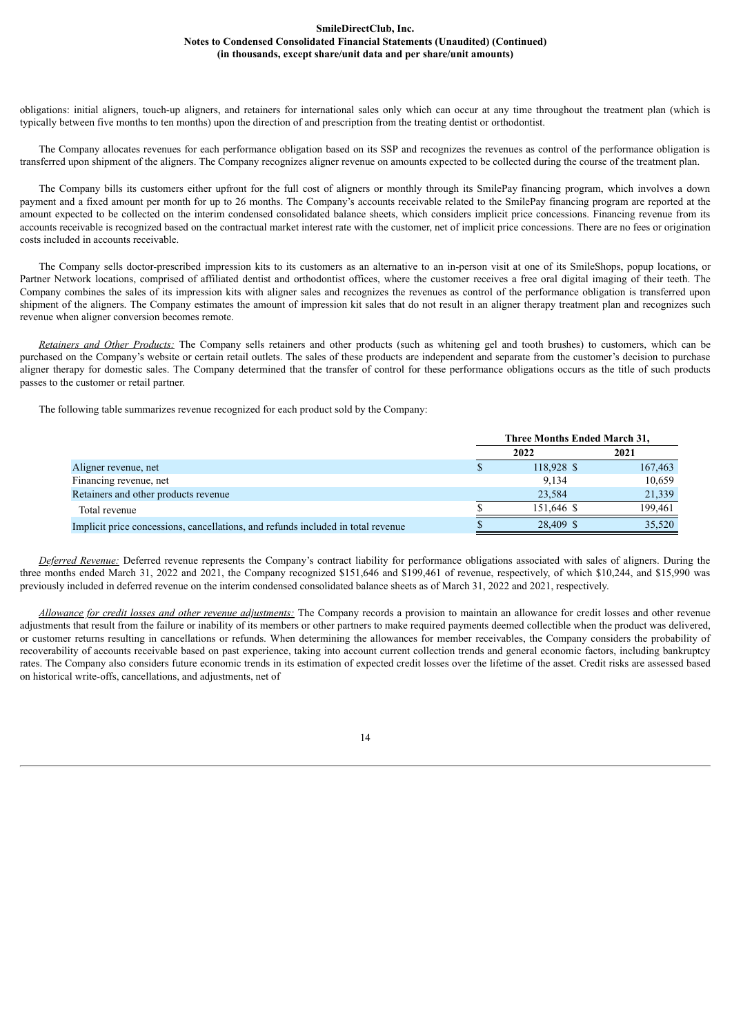obligations: initial aligners, touch-up aligners, and retainers for international sales only which can occur at any time throughout the treatment plan (which is typically between five months to ten months) upon the direction of and prescription from the treating dentist or orthodontist.

The Company allocates revenues for each performance obligation based on its SSP and recognizes the revenues as control of the performance obligation is transferred upon shipment of the aligners. The Company recognizes aligner revenue on amounts expected to be collected during the course of the treatment plan.

The Company bills its customers either upfront for the full cost of aligners or monthly through its SmilePay financing program, which involves a down payment and a fixed amount per month for up to 26 months. The Company's accounts receivable related to the SmilePay financing program are reported at the amount expected to be collected on the interim condensed consolidated balance sheets, which considers implicit price concessions. Financing revenue from its accounts receivable is recognized based on the contractual market interest rate with the customer, net of implicit price concessions. There are no fees or origination costs included in accounts receivable.

The Company sells doctor-prescribed impression kits to its customers as an alternative to an in-person visit at one of its SmileShops, popup locations, or Partner Network locations, comprised of affiliated dentist and orthodontist offices, where the customer receives a free oral digital imaging of their teeth. The Company combines the sales of its impression kits with aligner sales and recognizes the revenues as control of the performance obligation is transferred upon shipment of the aligners. The Company estimates the amount of impression kit sales that do not result in an aligner therapy treatment plan and recognizes such revenue when aligner conversion becomes remote.

*Retainers and Other Products:* The Company sells retainers and other products (such as whitening gel and tooth brushes) to customers, which can be purchased on the Company's website or certain retail outlets. The sales of these products are independent and separate from the customer's decision to purchase aligner therapy for domestic sales. The Company determined that the transfer of control for these performance obligations occurs as the title of such products passes to the customer or retail partner.

The following table summarizes revenue recognized for each product sold by the Company:

|                                                                                  | Three Months Ended March 31, |            |         |
|----------------------------------------------------------------------------------|------------------------------|------------|---------|
|                                                                                  |                              | 2022       | 2021    |
| Aligner revenue, net                                                             |                              | 118,928 \$ | 167,463 |
| Financing revenue, net                                                           |                              | 9.134      | 10,659  |
| Retainers and other products revenue                                             |                              | 23,584     | 21,339  |
| Total revenue                                                                    |                              | 151.646 \$ | 199,461 |
| Implicit price concessions, cancellations, and refunds included in total revenue |                              | 28.409 \$  | 35,520  |

*Deferred Revenue:* Deferred revenue represents the Company's contract liability for performance obligations associated with sales of aligners. During the three months ended March 31, 2022 and 2021, the Company recognized \$151,646 and \$199,461 of revenue, respectively, of which \$10,244, and \$15,990 was previously included in deferred revenue on the interim condensed consolidated balance sheets as of March 31, 2022 and 2021, respectively.

*Allowance for credit losses and other revenue adjustments:* The Company records a provision to maintain an allowance for credit losses and other revenue adjustments that result from the failure or inability of its members or other partners to make required payments deemed collectible when the product was delivered, or customer returns resulting in cancellations or refunds. When determining the allowances for member receivables, the Company considers the probability of recoverability of accounts receivable based on past experience, taking into account current collection trends and general economic factors, including bankruptcy rates. The Company also considers future economic trends in its estimation of expected credit losses over the lifetime of the asset. Credit risks are assessed based on historical write-offs, cancellations, and adjustments, net of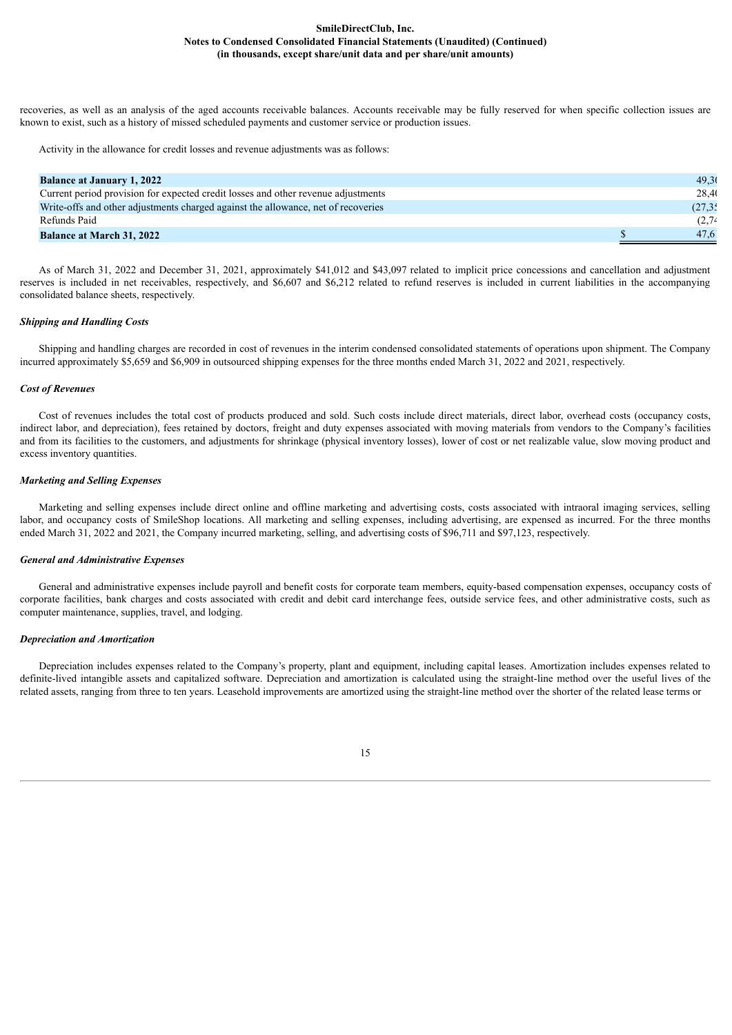recoveries, as well as an analysis of the aged accounts receivable balances. Accounts receivable may be fully reserved for when specific collection issues are known to exist, such as a history of missed scheduled payments and customer service or production issues.

Activity in the allowance for credit losses and revenue adjustments was as follows:

| <b>Balance at January 1, 2022</b>                                                 | 49.3(   |
|-----------------------------------------------------------------------------------|---------|
| Current period provision for expected credit losses and other revenue adjustments | 28.40   |
| Write-offs and other adjustments charged against the allowance, net of recoveries | (27.35) |
| Refunds Paid                                                                      | (2.74)  |
| <b>Balance at March 31, 2022</b>                                                  | 47.6    |

As of March 31, 2022 and December 31, 2021, approximately \$41,012 and \$43,097 related to implicit price concessions and cancellation and adjustment reserves is included in net receivables, respectively, and \$6,607 and \$6,212 related to refund reserves is included in current liabilities in the accompanying consolidated balance sheets, respectively.

#### *Shipping and Handling Costs*

Shipping and handling charges are recorded in cost of revenues in the interim condensed consolidated statements of operations upon shipment. The Company incurred approximately \$5,659 and \$6,909 in outsourced shipping expenses for the three months ended March 31, 2022 and 2021, respectively.

#### *Cost of Revenues*

Cost of revenues includes the total cost of products produced and sold. Such costs include direct materials, direct labor, overhead costs (occupancy costs, indirect labor, and depreciation), fees retained by doctors, freight and duty expenses associated with moving materials from vendors to the Company's facilities and from its facilities to the customers, and adjustments for shrinkage (physical inventory losses), lower of cost or net realizable value, slow moving product and excess inventory quantities.

## *Marketing and Selling Expenses*

Marketing and selling expenses include direct online and offline marketing and advertising costs, costs associated with intraoral imaging services, selling labor, and occupancy costs of SmileShop locations. All marketing and selling expenses, including advertising, are expensed as incurred. For the three months ended March 31, 2022 and 2021, the Company incurred marketing, selling, and advertising costs of \$96,711 and \$97,123, respectively.

## *General and Administrative Expenses*

General and administrative expenses include payroll and benefit costs for corporate team members, equity-based compensation expenses, occupancy costs of corporate facilities, bank charges and costs associated with credit and debit card interchange fees, outside service fees, and other administrative costs, such as computer maintenance, supplies, travel, and lodging.

#### *Depreciation and Amortization*

Depreciation includes expenses related to the Company's property, plant and equipment, including capital leases. Amortization includes expenses related to definite-lived intangible assets and capitalized software. Depreciation and amortization is calculated using the straight-line method over the useful lives of the related assets, ranging from three to ten years. Leasehold improvements are amortized using the straight-line method over the shorter of the related lease terms or

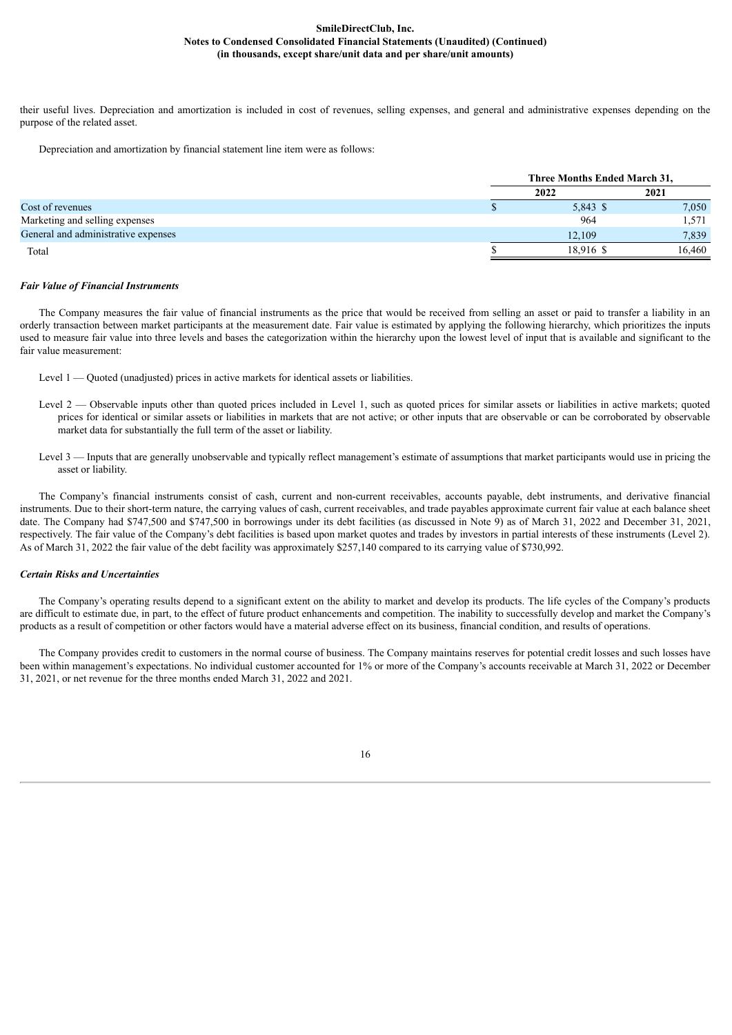their useful lives. Depreciation and amortization is included in cost of revenues, selling expenses, and general and administrative expenses depending on the purpose of the related asset.

Depreciation and amortization by financial statement line item were as follows:

|                                     | Three Months Ended March 31, |        |  |  |
|-------------------------------------|------------------------------|--------|--|--|
|                                     | 2022                         | 2021   |  |  |
| Cost of revenues                    | 5,843 \$                     | 7,050  |  |  |
| Marketing and selling expenses      | 964                          | 1,571  |  |  |
| General and administrative expenses | 12.109                       | 7,839  |  |  |
| Total                               | 18.916 \$                    | 16.460 |  |  |

#### *Fair Value of Financial Instruments*

The Company measures the fair value of financial instruments as the price that would be received from selling an asset or paid to transfer a liability in an orderly transaction between market participants at the measurement date. Fair value is estimated by applying the following hierarchy, which prioritizes the inputs used to measure fair value into three levels and bases the categorization within the hierarchy upon the lowest level of input that is available and significant to the fair value measurement:

- Level 1 Quoted (unadjusted) prices in active markets for identical assets or liabilities.
- Level 2 Observable inputs other than quoted prices included in Level 1, such as quoted prices for similar assets or liabilities in active markets; quoted prices for identical or similar assets or liabilities in markets that are not active; or other inputs that are observable or can be corroborated by observable market data for substantially the full term of the asset or liability.
- Level 3 Inputs that are generally unobservable and typically reflect management's estimate of assumptions that market participants would use in pricing the asset or liability.

The Company's financial instruments consist of cash, current and non-current receivables, accounts payable, debt instruments, and derivative financial instruments. Due to their short-term nature, the carrying values of cash, current receivables, and trade payables approximate current fair value at each balance sheet date. The Company had \$747,500 and \$747,500 in borrowings under its debt facilities (as discussed in Note 9) as of March 31, 2022 and December 31, 2021, respectively. The fair value of the Company's debt facilities is based upon market quotes and trades by investors in partial interests of these instruments (Level 2). As of March 31, 2022 the fair value of the debt facility was approximately \$257,140 compared to its carrying value of \$730,992.

#### *Certain Risks and Uncertainties*

The Company's operating results depend to a significant extent on the ability to market and develop its products. The life cycles of the Company's products are difficult to estimate due, in part, to the effect of future product enhancements and competition. The inability to successfully develop and market the Company's products as a result of competition or other factors would have a material adverse effect on its business, financial condition, and results of operations.

The Company provides credit to customers in the normal course of business. The Company maintains reserves for potential credit losses and such losses have been within management's expectations. No individual customer accounted for 1% or more of the Company's accounts receivable at March 31, 2022 or December 31, 2021, or net revenue for the three months ended March 31, 2022 and 2021.

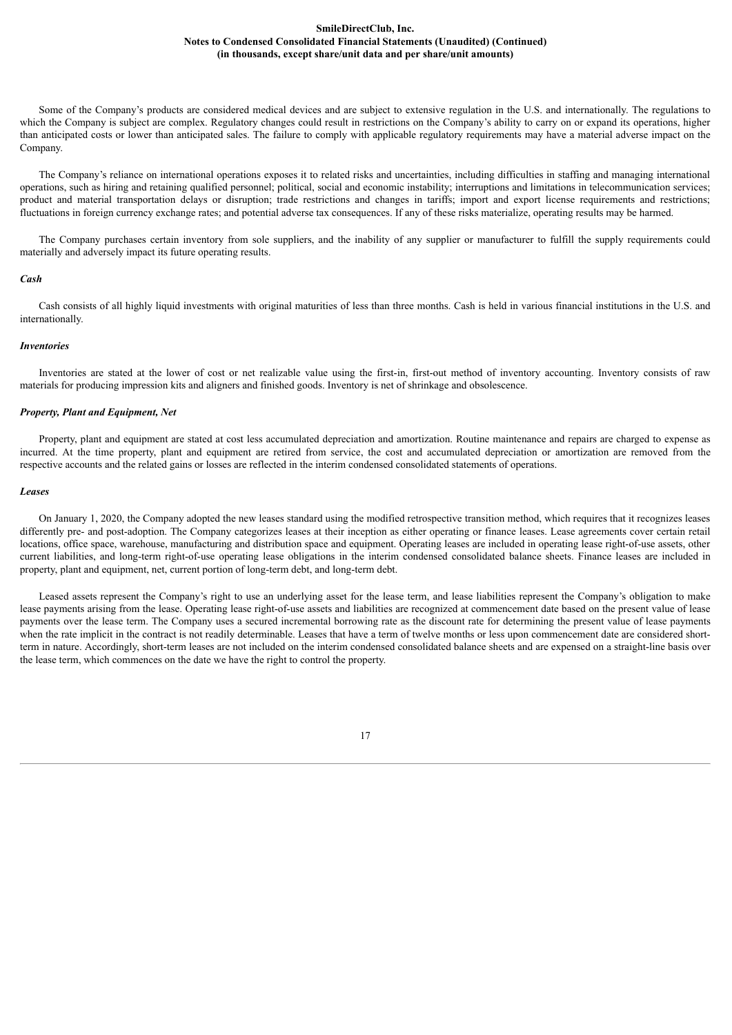Some of the Company's products are considered medical devices and are subject to extensive regulation in the U.S. and internationally. The regulations to which the Company is subject are complex. Regulatory changes could result in restrictions on the Company's ability to carry on or expand its operations, higher than anticipated costs or lower than anticipated sales. The failure to comply with applicable regulatory requirements may have a material adverse impact on the Company.

The Company's reliance on international operations exposes it to related risks and uncertainties, including difficulties in staffing and managing international operations, such as hiring and retaining qualified personnel; political, social and economic instability; interruptions and limitations in telecommunication services; product and material transportation delays or disruption; trade restrictions and changes in tariffs; import and export license requirements and restrictions; fluctuations in foreign currency exchange rates; and potential adverse tax consequences. If any of these risks materialize, operating results may be harmed.

The Company purchases certain inventory from sole suppliers, and the inability of any supplier or manufacturer to fulfill the supply requirements could materially and adversely impact its future operating results.

#### *Cash*

Cash consists of all highly liquid investments with original maturities of less than three months. Cash is held in various financial institutions in the U.S. and internationally.

## *Inventories*

Inventories are stated at the lower of cost or net realizable value using the first-in, first-out method of inventory accounting. Inventory consists of raw materials for producing impression kits and aligners and finished goods. Inventory is net of shrinkage and obsolescence.

## *Property, Plant and Equipment, Net*

Property, plant and equipment are stated at cost less accumulated depreciation and amortization. Routine maintenance and repairs are charged to expense as incurred. At the time property, plant and equipment are retired from service, the cost and accumulated depreciation or amortization are removed from the respective accounts and the related gains or losses are reflected in the interim condensed consolidated statements of operations.

#### *Leases*

On January 1, 2020, the Company adopted the new leases standard using the modified retrospective transition method, which requires that it recognizes leases differently pre- and post-adoption. The Company categorizes leases at their inception as either operating or finance leases. Lease agreements cover certain retail locations, office space, warehouse, manufacturing and distribution space and equipment. Operating leases are included in operating lease right-of-use assets, other current liabilities, and long-term right-of-use operating lease obligations in the interim condensed consolidated balance sheets. Finance leases are included in property, plant and equipment, net, current portion of long-term debt, and long-term debt.

Leased assets represent the Company's right to use an underlying asset for the lease term, and lease liabilities represent the Company's obligation to make lease payments arising from the lease. Operating lease right-of-use assets and liabilities are recognized at commencement date based on the present value of lease payments over the lease term. The Company uses a secured incremental borrowing rate as the discount rate for determining the present value of lease payments when the rate implicit in the contract is not readily determinable. Leases that have a term of twelve months or less upon commencement date are considered shortterm in nature. Accordingly, short-term leases are not included on the interim condensed consolidated balance sheets and are expensed on a straight-line basis over the lease term, which commences on the date we have the right to control the property.

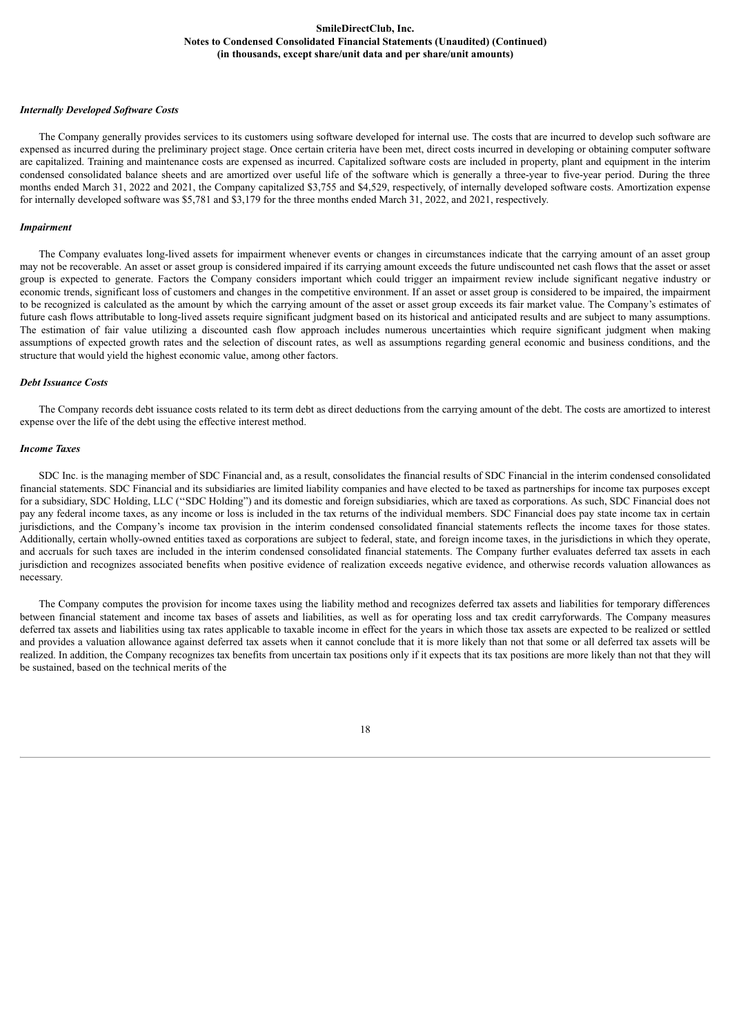#### *Internally Developed Software Costs*

The Company generally provides services to its customers using software developed for internal use. The costs that are incurred to develop such software are expensed as incurred during the preliminary project stage. Once certain criteria have been met, direct costs incurred in developing or obtaining computer software are capitalized. Training and maintenance costs are expensed as incurred. Capitalized software costs are included in property, plant and equipment in the interim condensed consolidated balance sheets and are amortized over useful life of the software which is generally a three-year to five-year period. During the three months ended March 31, 2022 and 2021, the Company capitalized \$3,755 and \$4,529, respectively, of internally developed software costs. Amortization expense for internally developed software was \$5,781 and \$3,179 for the three months ended March 31, 2022, and 2021, respectively.

#### *Impairment*

The Company evaluates long-lived assets for impairment whenever events or changes in circumstances indicate that the carrying amount of an asset group may not be recoverable. An asset or asset group is considered impaired if its carrying amount exceeds the future undiscounted net cash flows that the asset or asset group is expected to generate. Factors the Company considers important which could trigger an impairment review include significant negative industry or economic trends, significant loss of customers and changes in the competitive environment. If an asset or asset group is considered to be impaired, the impairment to be recognized is calculated as the amount by which the carrying amount of the asset or asset group exceeds its fair market value. The Company's estimates of future cash flows attributable to long-lived assets require significant judgment based on its historical and anticipated results and are subject to many assumptions. The estimation of fair value utilizing a discounted cash flow approach includes numerous uncertainties which require significant judgment when making assumptions of expected growth rates and the selection of discount rates, as well as assumptions regarding general economic and business conditions, and the structure that would yield the highest economic value, among other factors.

#### *Debt Issuance Costs*

The Company records debt issuance costs related to its term debt as direct deductions from the carrying amount of the debt. The costs are amortized to interest expense over the life of the debt using the effective interest method.

#### *Income Taxes*

SDC Inc. is the managing member of SDC Financial and, as a result, consolidates the financial results of SDC Financial in the interim condensed consolidated financial statements. SDC Financial and its subsidiaries are limited liability companies and have elected to be taxed as partnerships for income tax purposes except for a subsidiary, SDC Holding, LLC (''SDC Holding") and its domestic and foreign subsidiaries, which are taxed as corporations. As such, SDC Financial does not pay any federal income taxes, as any income or loss is included in the tax returns of the individual members. SDC Financial does pay state income tax in certain jurisdictions, and the Company's income tax provision in the interim condensed consolidated financial statements reflects the income taxes for those states. Additionally, certain wholly-owned entities taxed as corporations are subject to federal, state, and foreign income taxes, in the jurisdictions in which they operate, and accruals for such taxes are included in the interim condensed consolidated financial statements. The Company further evaluates deferred tax assets in each jurisdiction and recognizes associated benefits when positive evidence of realization exceeds negative evidence, and otherwise records valuation allowances as necessary.

The Company computes the provision for income taxes using the liability method and recognizes deferred tax assets and liabilities for temporary differences between financial statement and income tax bases of assets and liabilities, as well as for operating loss and tax credit carryforwards. The Company measures deferred tax assets and liabilities using tax rates applicable to taxable income in effect for the years in which those tax assets are expected to be realized or settled and provides a valuation allowance against deferred tax assets when it cannot conclude that it is more likely than not that some or all deferred tax assets will be realized. In addition, the Company recognizes tax benefits from uncertain tax positions only if it expects that its tax positions are more likely than not that they will be sustained, based on the technical merits of the

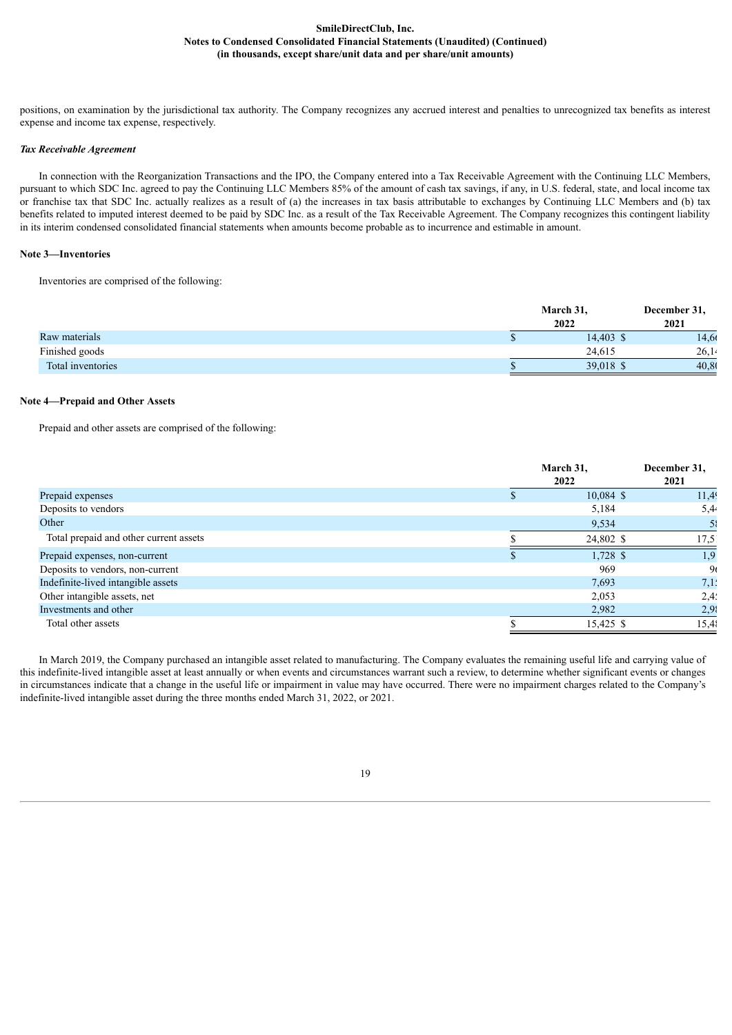positions, on examination by the jurisdictional tax authority. The Company recognizes any accrued interest and penalties to unrecognized tax benefits as interest expense and income tax expense, respectively.

#### *Tax Receivable Agreement*

In connection with the Reorganization Transactions and the IPO, the Company entered into a Tax Receivable Agreement with the Continuing LLC Members, pursuant to which SDC Inc. agreed to pay the Continuing LLC Members 85% of the amount of cash tax savings, if any, in U.S. federal, state, and local income tax or franchise tax that SDC Inc. actually realizes as a result of (a) the increases in tax basis attributable to exchanges by Continuing LLC Members and (b) tax benefits related to imputed interest deemed to be paid by SDC Inc. as a result of the Tax Receivable Agreement. The Company recognizes this contingent liability in its interim condensed consolidated financial statements when amounts become probable as to incurrence and estimable in amount.

#### **Note 3—Inventories**

Inventories are comprised of the following:

|                   | March 31, | December 31, |  |
|-------------------|-----------|--------------|--|
|                   | 2022      | 2021         |  |
| Raw materials     | 14,403 \$ | 14,66        |  |
| Finished goods    | 24.615    | 26.14        |  |
| Total inventories | 39,018 \$ | 40,80        |  |

## **Note 4—Prepaid and Other Assets**

Prepaid and other assets are comprised of the following:

|                                        | March 31,<br>2022 | December 31,<br>2021 |
|----------------------------------------|-------------------|----------------------|
| Prepaid expenses                       | $10,084$ \$       | 11,49                |
| Deposits to vendors                    | 5,184             | 5,44                 |
| Other                                  | 9,534             | $5\ell$              |
| Total prepaid and other current assets | 24,802 \$         | 17,51                |
| Prepaid expenses, non-current          | $1,728$ \$        | 1,9                  |
| Deposits to vendors, non-current       | 969               | 96                   |
| Indefinite-lived intangible assets     | 7,693             | 7,1'                 |
| Other intangible assets, net           | 2,053             | 2,4:                 |
| Investments and other                  | 2,982             | 2,98                 |
| Total other assets                     | 15,425 \$         | 15,48                |

In March 2019, the Company purchased an intangible asset related to manufacturing. The Company evaluates the remaining useful life and carrying value of this indefinite-lived intangible asset at least annually or when events and circumstances warrant such a review, to determine whether significant events or changes in circumstances indicate that a change in the useful life or impairment in value may have occurred. There were no impairment charges related to the Company's indefinite-lived intangible asset during the three months ended March 31, 2022, or 2021.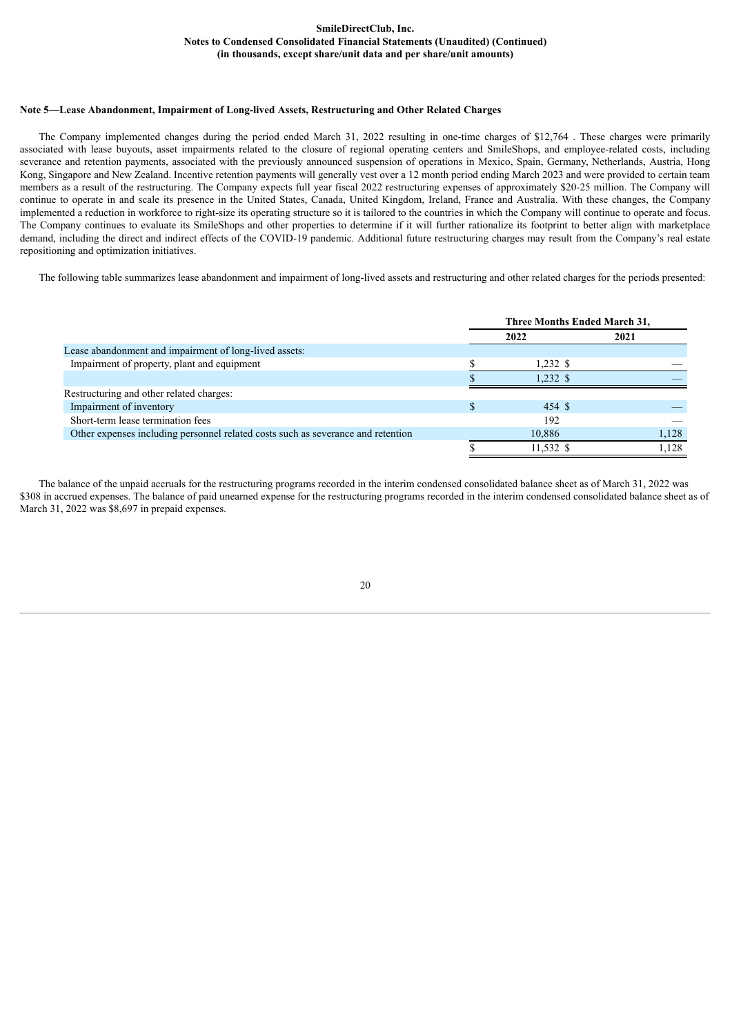#### **Note 5—Lease Abandonment, Impairment of Long-lived Assets, Restructuring and Other Related Charges**

The Company implemented changes during the period ended March 31, 2022 resulting in one-time charges of \$12,764 . These charges were primarily associated with lease buyouts, asset impairments related to the closure of regional operating centers and SmileShops, and employee-related costs, including severance and retention payments, associated with the previously announced suspension of operations in Mexico, Spain, Germany, Netherlands, Austria, Hong Kong, Singapore and New Zealand. Incentive retention payments will generally vest over a 12 month period ending March 2023 and were provided to certain team members as a result of the restructuring. The Company expects full year fiscal 2022 restructuring expenses of approximately \$20-25 million. The Company will continue to operate in and scale its presence in the United States, Canada, United Kingdom, Ireland, France and Australia. With these changes, the Company implemented a reduction in workforce to right-size its operating structure so it is tailored to the countries in which the Company will continue to operate and focus. The Company continues to evaluate its SmileShops and other properties to determine if it will further rationalize its footprint to better align with marketplace demand, including the direct and indirect effects of the COVID-19 pandemic. Additional future restructuring charges may result from the Company's real estate repositioning and optimization initiatives.

The following table summarizes lease abandonment and impairment of long-lived assets and restructuring and other related charges for the periods presented:

|                                                                                  | <b>Three Months Ended March 31,</b> |            |       |
|----------------------------------------------------------------------------------|-------------------------------------|------------|-------|
|                                                                                  |                                     | 2022       | 2021  |
| Lease abandonment and impairment of long-lived assets:                           |                                     |            |       |
| Impairment of property, plant and equipment                                      |                                     | $1,232$ \$ |       |
|                                                                                  |                                     | $1,232$ \$ |       |
| Restructuring and other related charges:                                         |                                     |            |       |
| Impairment of inventory                                                          |                                     | 454 \$     |       |
| Short-term lease termination fees                                                |                                     | 192        |       |
| Other expenses including personnel related costs such as severance and retention |                                     | 10,886     | 1,128 |
|                                                                                  |                                     | 11.532 \$  | .128  |

The balance of the unpaid accruals for the restructuring programs recorded in the interim condensed consolidated balance sheet as of March 31, 2022 was \$308 in accrued expenses. The balance of paid unearned expense for the restructuring programs recorded in the interim condensed consolidated balance sheet as of March 31, 2022 was \$8,697 in prepaid expenses.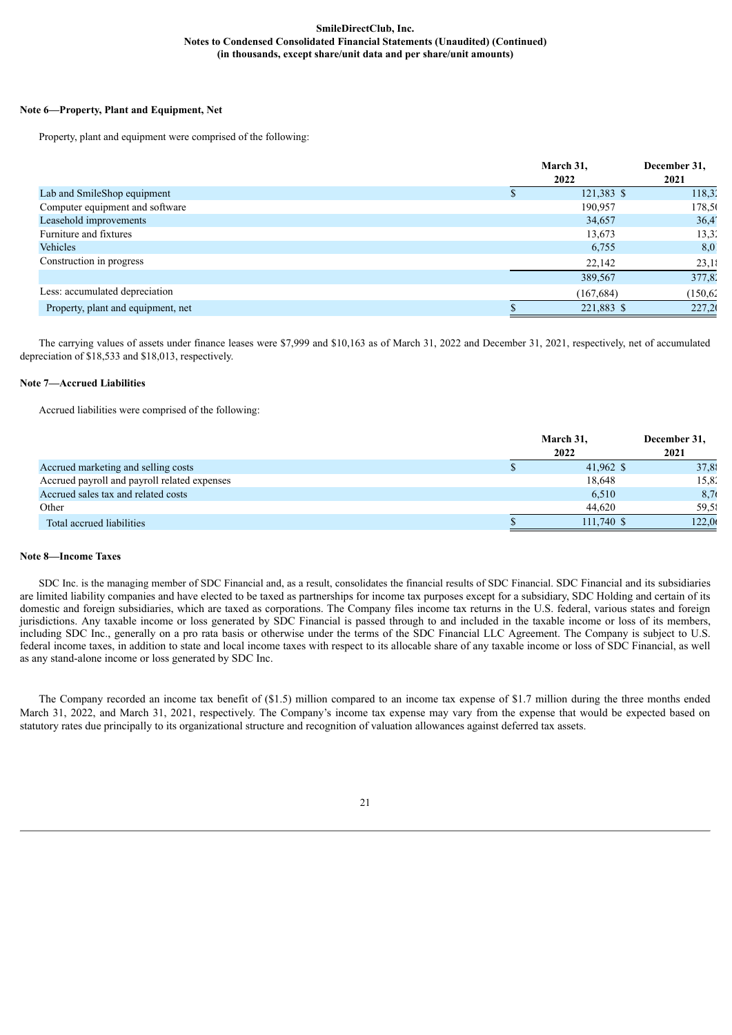#### **Note 6—Property, Plant and Equipment, Net**

Property, plant and equipment were comprised of the following:

|                                    | March 31,<br>2022 | December 31,<br>2021 |
|------------------------------------|-------------------|----------------------|
| Lab and SmileShop equipment        | $121,383$ \$      | 118,32               |
| Computer equipment and software    | 190,957           | 178,50               |
| Leasehold improvements             | 34,657            | $36,4^{\circ}$       |
| Furniture and fixtures             | 13,673            | 13,32                |
| Vehicles                           | 6,755             | 8,01                 |
| Construction in progress           | 22,142            | 23,18                |
|                                    | 389,567           | 377,82               |
| Less: accumulated depreciation     | (167, 684)        | (150, 62)            |
| Property, plant and equipment, net | 221,883 \$        | 227,20               |

The carrying values of assets under finance leases were \$7,999 and \$10,163 as of March 31, 2022 and December 31, 2021, respectively, net of accumulated depreciation of \$18,533 and \$18,013, respectively.

## **Note 7—Accrued Liabilities**

Accrued liabilities were comprised of the following:

|                                              | March 31,  | December 31, |  |
|----------------------------------------------|------------|--------------|--|
|                                              | 2022       | 2021         |  |
| Accrued marketing and selling costs          | 41.962 \$  | 37,88        |  |
| Accrued payroll and payroll related expenses | 18.648     | 15.8'        |  |
| Accrued sales tax and related costs          | 6,510      | 8,76         |  |
| Other                                        | 44.620     | 59.58        |  |
| Total accrued liabilities                    | 111.740 \$ | 122,06       |  |

## **Note 8—Income Taxes**

SDC Inc. is the managing member of SDC Financial and, as a result, consolidates the financial results of SDC Financial. SDC Financial and its subsidiaries are limited liability companies and have elected to be taxed as partnerships for income tax purposes except for a subsidiary, SDC Holding and certain of its domestic and foreign subsidiaries, which are taxed as corporations. The Company files income tax returns in the U.S. federal, various states and foreign jurisdictions. Any taxable income or loss generated by SDC Financial is passed through to and included in the taxable income or loss of its members, including SDC Inc., generally on a pro rata basis or otherwise under the terms of the SDC Financial LLC Agreement. The Company is subject to U.S. federal income taxes, in addition to state and local income taxes with respect to its allocable share of any taxable income or loss of SDC Financial, as well as any stand-alone income or loss generated by SDC Inc.

The Company recorded an income tax benefit of (\$1.5) million compared to an income tax expense of \$1.7 million during the three months ended March 31, 2022, and March 31, 2021, respectively. The Company's income tax expense may vary from the expense that would be expected based on statutory rates due principally to its organizational structure and recognition of valuation allowances against deferred tax assets.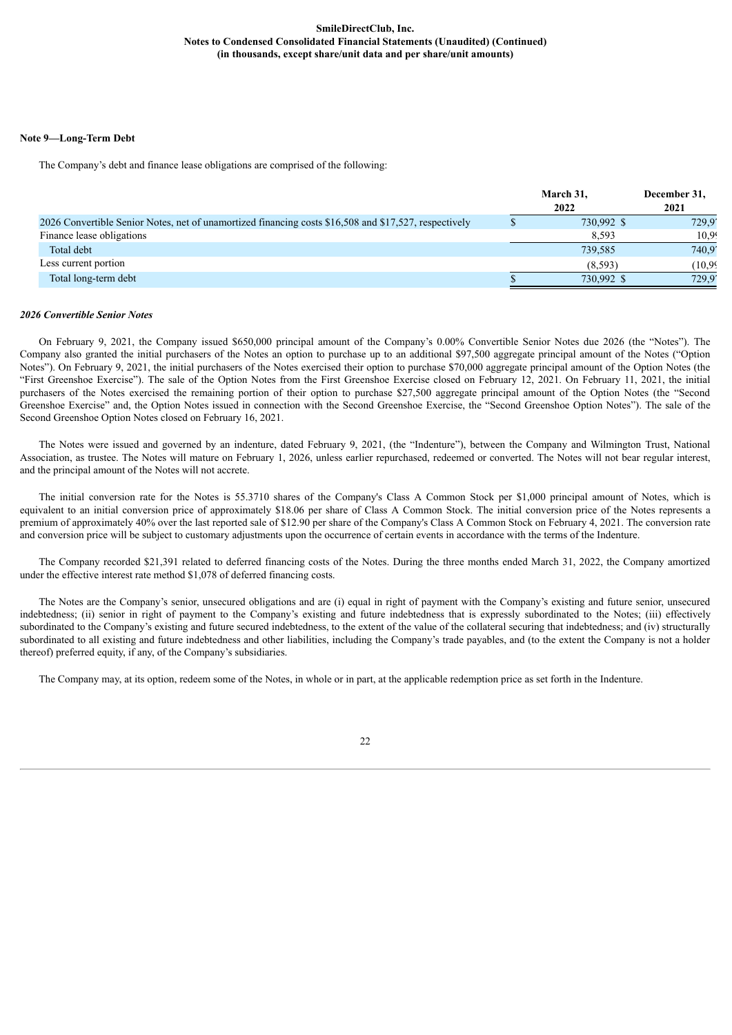#### **Note 9—Long-Term Debt**

The Company's debt and finance lease obligations are comprised of the following:

|                                                                                                       | March 31,  | December 31, |
|-------------------------------------------------------------------------------------------------------|------------|--------------|
|                                                                                                       | 2022       | 2021         |
| 2026 Convertible Senior Notes, net of unamortized financing costs \$16,508 and \$17,527, respectively | 730,992 \$ | 729.97       |
| Finance lease obligations                                                                             | 8.593      | 10.99        |
| Total debt                                                                                            | 739.585    | 740,91       |
| Less current portion                                                                                  | (8,593)    | (10.99)      |
| Total long-term debt                                                                                  | 730.992 \$ | 729.91       |

#### *2026 Convertible Senior Notes*

On February 9, 2021, the Company issued \$650,000 principal amount of the Company's 0.00% Convertible Senior Notes due 2026 (the "Notes"). The Company also granted the initial purchasers of the Notes an option to purchase up to an additional \$97,500 aggregate principal amount of the Notes ("Option Notes"). On February 9, 2021, the initial purchasers of the Notes exercised their option to purchase \$70,000 aggregate principal amount of the Option Notes (the "First Greenshoe Exercise"). The sale of the Option Notes from the First Greenshoe Exercise closed on February 12, 2021. On February 11, 2021, the initial purchasers of the Notes exercised the remaining portion of their option to purchase \$27,500 aggregate principal amount of the Option Notes (the "Second Greenshoe Exercise" and, the Option Notes issued in connection with the Second Greenshoe Exercise, the "Second Greenshoe Option Notes"). The sale of the Second Greenshoe Option Notes closed on February 16, 2021.

The Notes were issued and governed by an indenture, dated February 9, 2021, (the "Indenture"), between the Company and Wilmington Trust, National Association, as trustee. The Notes will mature on February 1, 2026, unless earlier repurchased, redeemed or converted. The Notes will not bear regular interest, and the principal amount of the Notes will not accrete.

The initial conversion rate for the Notes is 55.3710 shares of the Company's Class A Common Stock per \$1,000 principal amount of Notes, which is equivalent to an initial conversion price of approximately \$18.06 per share of Class A Common Stock. The initial conversion price of the Notes represents a premium of approximately 40% over the last reported sale of \$12.90 per share of the Company's Class A Common Stock on February 4, 2021. The conversion rate and conversion price will be subject to customary adjustments upon the occurrence of certain events in accordance with the terms of the Indenture.

The Company recorded \$21,391 related to deferred financing costs of the Notes. During the three months ended March 31, 2022, the Company amortized under the effective interest rate method \$1,078 of deferred financing costs.

The Notes are the Company's senior, unsecured obligations and are (i) equal in right of payment with the Company's existing and future senior, unsecured indebtedness; (ii) senior in right of payment to the Company's existing and future indebtedness that is expressly subordinated to the Notes; (iii) effectively subordinated to the Company's existing and future secured indebtedness, to the extent of the value of the collateral securing that indebtedness; and (iv) structurally subordinated to all existing and future indebtedness and other liabilities, including the Company's trade payables, and (to the extent the Company is not a holder thereof) preferred equity, if any, of the Company's subsidiaries.

The Company may, at its option, redeem some of the Notes, in whole or in part, at the applicable redemption price as set forth in the Indenture.

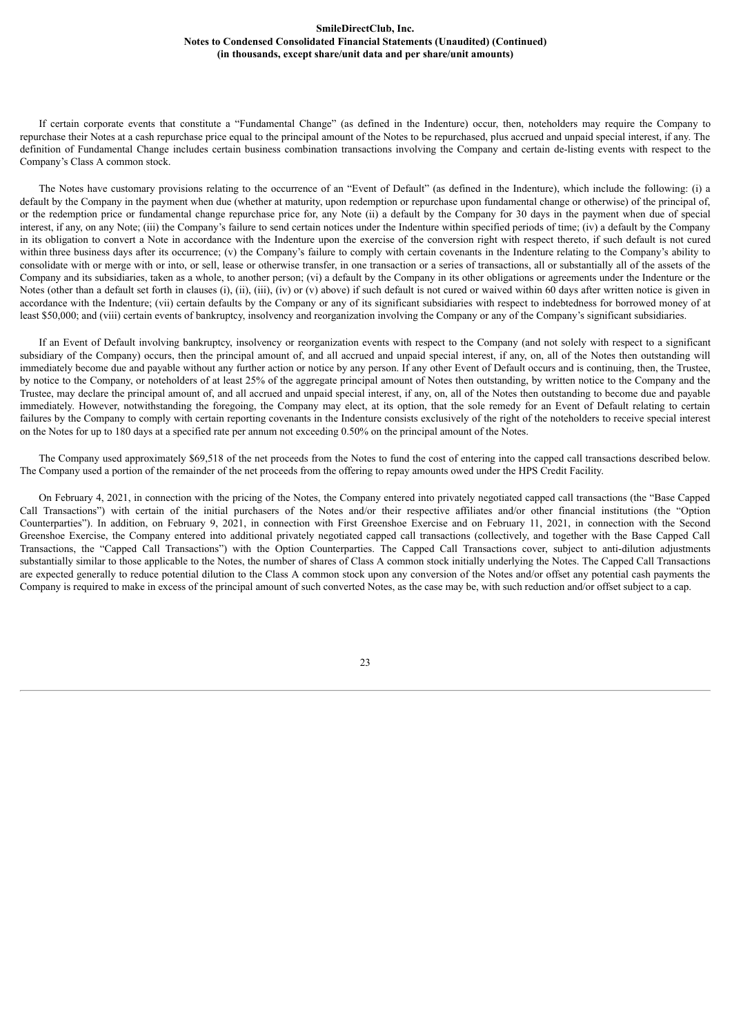If certain corporate events that constitute a "Fundamental Change" (as defined in the Indenture) occur, then, noteholders may require the Company to repurchase their Notes at a cash repurchase price equal to the principal amount of the Notes to be repurchased, plus accrued and unpaid special interest, if any. The definition of Fundamental Change includes certain business combination transactions involving the Company and certain de-listing events with respect to the Company's Class A common stock.

The Notes have customary provisions relating to the occurrence of an "Event of Default" (as defined in the Indenture), which include the following: (i) a default by the Company in the payment when due (whether at maturity, upon redemption or repurchase upon fundamental change or otherwise) of the principal of, or the redemption price or fundamental change repurchase price for, any Note (ii) a default by the Company for 30 days in the payment when due of special interest, if any, on any Note; (iii) the Company's failure to send certain notices under the Indenture within specified periods of time; (iv) a default by the Company in its obligation to convert a Note in accordance with the Indenture upon the exercise of the conversion right with respect thereto, if such default is not cured within three business days after its occurrence; (v) the Company's failure to comply with certain covenants in the Indenture relating to the Company's ability to consolidate with or merge with or into, or sell, lease or otherwise transfer, in one transaction or a series of transactions, all or substantially all of the assets of the Company and its subsidiaries, taken as a whole, to another person; (vi) a default by the Company in its other obligations or agreements under the Indenture or the Notes (other than a default set forth in clauses (i), (ii), (iii), (iv) or (v) above) if such default is not cured or waived within 60 days after written notice is given in accordance with the Indenture; (vii) certain defaults by the Company or any of its significant subsidiaries with respect to indebtedness for borrowed money of at least \$50,000; and (viii) certain events of bankruptcy, insolvency and reorganization involving the Company or any of the Company's significant subsidiaries.

If an Event of Default involving bankruptcy, insolvency or reorganization events with respect to the Company (and not solely with respect to a significant subsidiary of the Company) occurs, then the principal amount of, and all accrued and unpaid special interest, if any, on, all of the Notes then outstanding will immediately become due and payable without any further action or notice by any person. If any other Event of Default occurs and is continuing, then, the Trustee, by notice to the Company, or noteholders of at least 25% of the aggregate principal amount of Notes then outstanding, by written notice to the Company and the Trustee, may declare the principal amount of, and all accrued and unpaid special interest, if any, on, all of the Notes then outstanding to become due and payable immediately. However, notwithstanding the foregoing, the Company may elect, at its option, that the sole remedy for an Event of Default relating to certain failures by the Company to comply with certain reporting covenants in the Indenture consists exclusively of the right of the noteholders to receive special interest on the Notes for up to 180 days at a specified rate per annum not exceeding 0.50% on the principal amount of the Notes.

The Company used approximately \$69,518 of the net proceeds from the Notes to fund the cost of entering into the capped call transactions described below. The Company used a portion of the remainder of the net proceeds from the offering to repay amounts owed under the HPS Credit Facility.

On February 4, 2021, in connection with the pricing of the Notes, the Company entered into privately negotiated capped call transactions (the "Base Capped Call Transactions") with certain of the initial purchasers of the Notes and/or their respective affiliates and/or other financial institutions (the "Option Counterparties"). In addition, on February 9, 2021, in connection with First Greenshoe Exercise and on February 11, 2021, in connection with the Second Greenshoe Exercise, the Company entered into additional privately negotiated capped call transactions (collectively, and together with the Base Capped Call Transactions, the "Capped Call Transactions") with the Option Counterparties. The Capped Call Transactions cover, subject to anti-dilution adjustments substantially similar to those applicable to the Notes, the number of shares of Class A common stock initially underlying the Notes. The Capped Call Transactions are expected generally to reduce potential dilution to the Class A common stock upon any conversion of the Notes and/or offset any potential cash payments the Company is required to make in excess of the principal amount of such converted Notes, as the case may be, with such reduction and/or offset subject to a cap.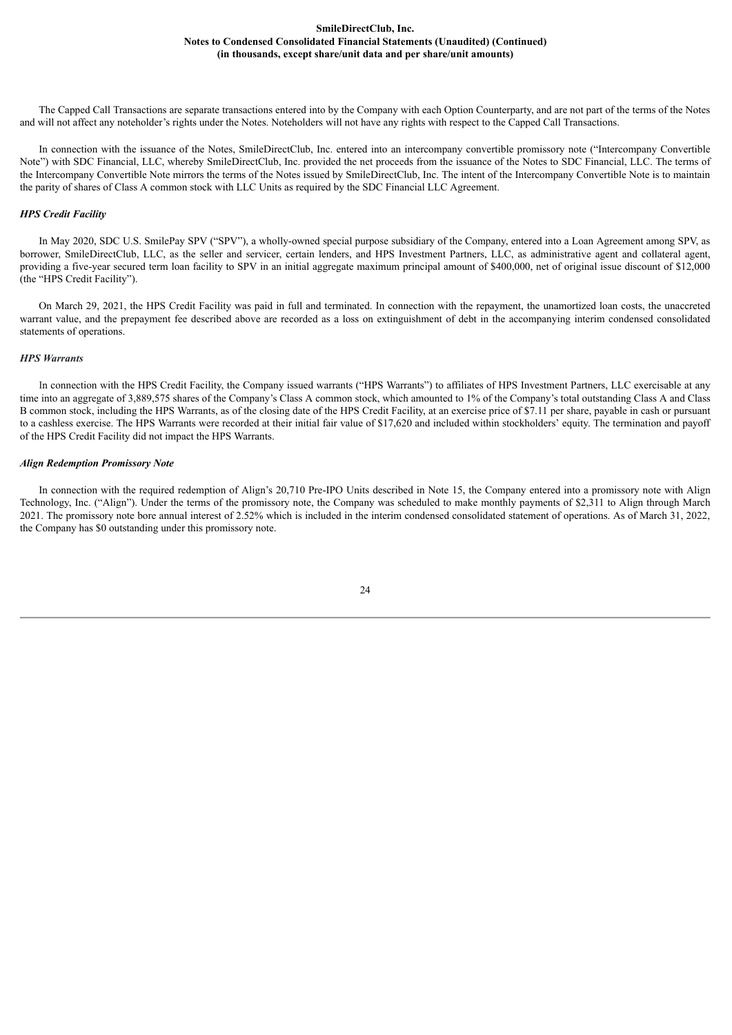The Capped Call Transactions are separate transactions entered into by the Company with each Option Counterparty, and are not part of the terms of the Notes and will not affect any noteholder's rights under the Notes. Noteholders will not have any rights with respect to the Capped Call Transactions.

In connection with the issuance of the Notes, SmileDirectClub, Inc. entered into an intercompany convertible promissory note ("Intercompany Convertible Note") with SDC Financial, LLC, whereby SmileDirectClub, Inc. provided the net proceeds from the issuance of the Notes to SDC Financial, LLC. The terms of the Intercompany Convertible Note mirrors the terms of the Notes issued by SmileDirectClub, Inc. The intent of the Intercompany Convertible Note is to maintain the parity of shares of Class A common stock with LLC Units as required by the SDC Financial LLC Agreement.

#### *HPS Credit Facility*

In May 2020, SDC U.S. SmilePay SPV ("SPV"), a wholly-owned special purpose subsidiary of the Company, entered into a Loan Agreement among SPV, as borrower, SmileDirectClub, LLC, as the seller and servicer, certain lenders, and HPS Investment Partners, LLC, as administrative agent and collateral agent, providing a five-year secured term loan facility to SPV in an initial aggregate maximum principal amount of \$400,000, net of original issue discount of \$12,000 (the "HPS Credit Facility").

On March 29, 2021, the HPS Credit Facility was paid in full and terminated. In connection with the repayment, the unamortized loan costs, the unaccreted warrant value, and the prepayment fee described above are recorded as a loss on extinguishment of debt in the accompanying interim condensed consolidated statements of operations.

#### *HPS Warrants*

In connection with the HPS Credit Facility, the Company issued warrants ("HPS Warrants") to affiliates of HPS Investment Partners, LLC exercisable at any time into an aggregate of 3,889,575 shares of the Company's Class A common stock, which amounted to 1% of the Company's total outstanding Class A and Class B common stock, including the HPS Warrants, as of the closing date of the HPS Credit Facility, at an exercise price of \$7.11 per share, payable in cash or pursuant to a cashless exercise. The HPS Warrants were recorded at their initial fair value of \$17,620 and included within stockholders' equity. The termination and payoff of the HPS Credit Facility did not impact the HPS Warrants.

#### *Align Redemption Promissory Note*

In connection with the required redemption of Align's 20,710 Pre-IPO Units described in Note 15, the Company entered into a promissory note with Align Technology, Inc. ("Align"). Under the terms of the promissory note, the Company was scheduled to make monthly payments of \$2,311 to Align through March 2021. The promissory note bore annual interest of 2.52% which is included in the interim condensed consolidated statement of operations. As of March 31, 2022, the Company has \$0 outstanding under this promissory note.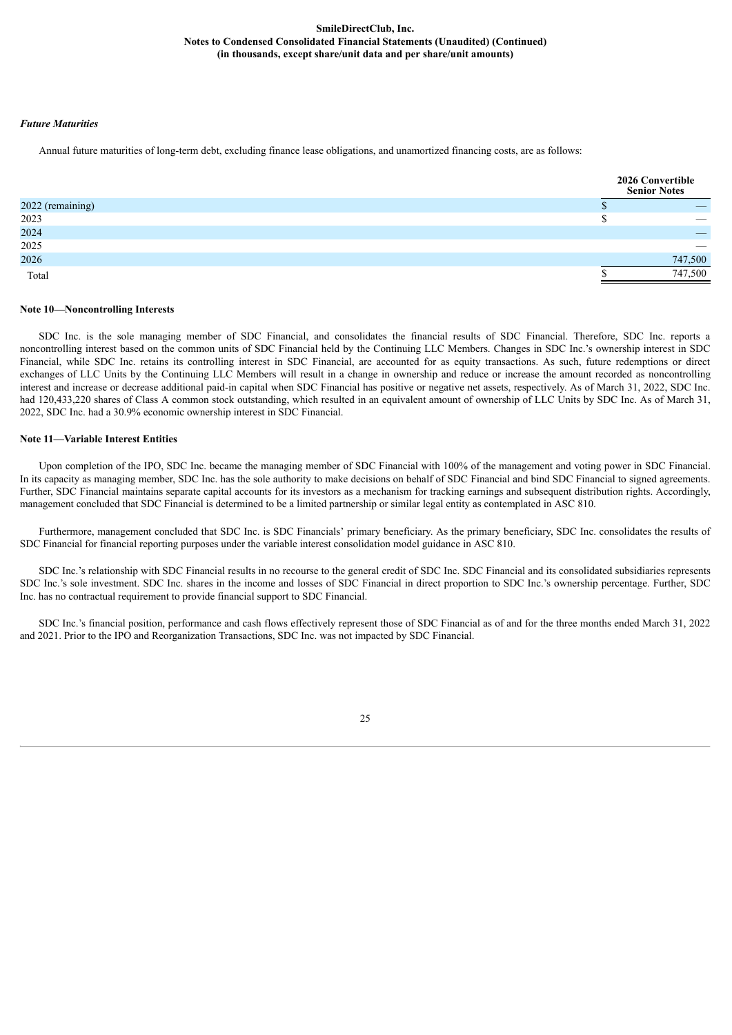#### *Future Maturities*

Annual future maturities of long-term debt, excluding finance lease obligations, and unamortized financing costs, are as follows:

|                  | 2026 Convertible<br><b>Senior Notes</b> |
|------------------|-----------------------------------------|
| 2022 (remaining) |                                         |
| 2023             |                                         |
| 2024             |                                         |
| 2025             |                                         |
| 2026             | 747,500                                 |
| Total            | 747,500                                 |

#### **Note 10—Noncontrolling Interests**

SDC Inc. is the sole managing member of SDC Financial, and consolidates the financial results of SDC Financial. Therefore, SDC Inc. reports a noncontrolling interest based on the common units of SDC Financial held by the Continuing LLC Members. Changes in SDC Inc.'s ownership interest in SDC Financial, while SDC Inc. retains its controlling interest in SDC Financial, are accounted for as equity transactions. As such, future redemptions or direct exchanges of LLC Units by the Continuing LLC Members will result in a change in ownership and reduce or increase the amount recorded as noncontrolling interest and increase or decrease additional paid-in capital when SDC Financial has positive or negative net assets, respectively. As of March 31, 2022, SDC Inc. had 120,433,220 shares of Class A common stock outstanding, which resulted in an equivalent amount of ownership of LLC Units by SDC Inc. As of March 31, 2022, SDC Inc. had a 30.9% economic ownership interest in SDC Financial.

#### **Note 11—Variable Interest Entities**

Upon completion of the IPO, SDC Inc. became the managing member of SDC Financial with 100% of the management and voting power in SDC Financial. In its capacity as managing member, SDC Inc. has the sole authority to make decisions on behalf of SDC Financial and bind SDC Financial to signed agreements. Further, SDC Financial maintains separate capital accounts for its investors as a mechanism for tracking earnings and subsequent distribution rights. Accordingly, management concluded that SDC Financial is determined to be a limited partnership or similar legal entity as contemplated in ASC 810.

Furthermore, management concluded that SDC Inc. is SDC Financials' primary beneficiary. As the primary beneficiary, SDC Inc. consolidates the results of SDC Financial for financial reporting purposes under the variable interest consolidation model guidance in ASC 810.

SDC Inc.'s relationship with SDC Financial results in no recourse to the general credit of SDC Inc. SDC Financial and its consolidated subsidiaries represents SDC Inc.'s sole investment. SDC Inc. shares in the income and losses of SDC Financial in direct proportion to SDC Inc.'s ownership percentage. Further, SDC Inc. has no contractual requirement to provide financial support to SDC Financial.

SDC Inc.'s financial position, performance and cash flows effectively represent those of SDC Financial as of and for the three months ended March 31, 2022 and 2021. Prior to the IPO and Reorganization Transactions, SDC Inc. was not impacted by SDC Financial.

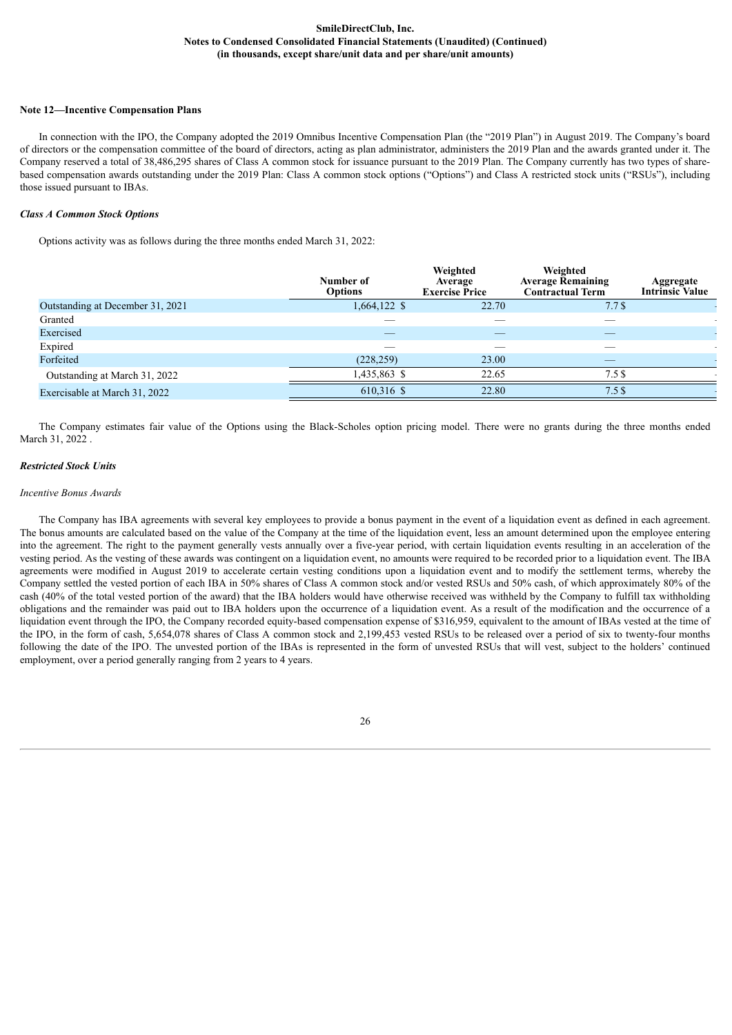#### **Note 12—Incentive Compensation Plans**

In connection with the IPO, the Company adopted the 2019 Omnibus Incentive Compensation Plan (the "2019 Plan") in August 2019. The Company's board of directors or the compensation committee of the board of directors, acting as plan administrator, administers the 2019 Plan and the awards granted under it. The Company reserved a total of 38,486,295 shares of Class A common stock for issuance pursuant to the 2019 Plan. The Company currently has two types of sharebased compensation awards outstanding under the 2019 Plan: Class A common stock options ("Options") and Class A restricted stock units ("RSUs"), including those issued pursuant to IBAs.

#### *Class A Common Stock Options*

Options activity was as follows during the three months ended March 31, 2022:

|                                  | Number of<br><b>Options</b> | Weighted<br>Average<br><b>Exercise Price</b> | Weighted<br><b>Average Remaining</b><br><b>Contractual Term</b> | Aggregate<br><b>Intrinsic Value</b> |
|----------------------------------|-----------------------------|----------------------------------------------|-----------------------------------------------------------------|-------------------------------------|
| Outstanding at December 31, 2021 | $1,664,122$ \$              | 22.70                                        | 7.7S                                                            |                                     |
| Granted                          |                             |                                              |                                                                 |                                     |
| Exercised                        |                             |                                              |                                                                 |                                     |
| Expired                          |                             |                                              |                                                                 |                                     |
| Forfeited                        | (228, 259)                  | 23.00                                        |                                                                 |                                     |
| Outstanding at March 31, 2022    | 1,435,863 \$                | 22.65                                        | 7.5S                                                            |                                     |
| Exercisable at March 31, 2022    | 610,316 \$                  | 22.80                                        | 7.5 <sub>3</sub>                                                |                                     |

The Company estimates fair value of the Options using the Black-Scholes option pricing model. There were no grants during the three months ended March 31, 2022 .

## *Restricted Stock Units*

#### *Incentive Bonus Awards*

The Company has IBA agreements with several key employees to provide a bonus payment in the event of a liquidation event as defined in each agreement. The bonus amounts are calculated based on the value of the Company at the time of the liquidation event, less an amount determined upon the employee entering into the agreement. The right to the payment generally vests annually over a five-year period, with certain liquidation events resulting in an acceleration of the vesting period. As the vesting of these awards was contingent on a liquidation event, no amounts were required to be recorded prior to a liquidation event. The IBA agreements were modified in August 2019 to accelerate certain vesting conditions upon a liquidation event and to modify the settlement terms, whereby the Company settled the vested portion of each IBA in 50% shares of Class A common stock and/or vested RSUs and 50% cash, of which approximately 80% of the cash (40% of the total vested portion of the award) that the IBA holders would have otherwise received was withheld by the Company to fulfill tax withholding obligations and the remainder was paid out to IBA holders upon the occurrence of a liquidation event. As a result of the modification and the occurrence of a liquidation event through the IPO, the Company recorded equity-based compensation expense of \$316,959, equivalent to the amount of IBAs vested at the time of the IPO, in the form of cash, 5,654,078 shares of Class A common stock and 2,199,453 vested RSUs to be released over a period of six to twenty-four months following the date of the IPO. The unvested portion of the IBAs is represented in the form of unvested RSUs that will vest, subject to the holders' continued employment, over a period generally ranging from 2 years to 4 years.

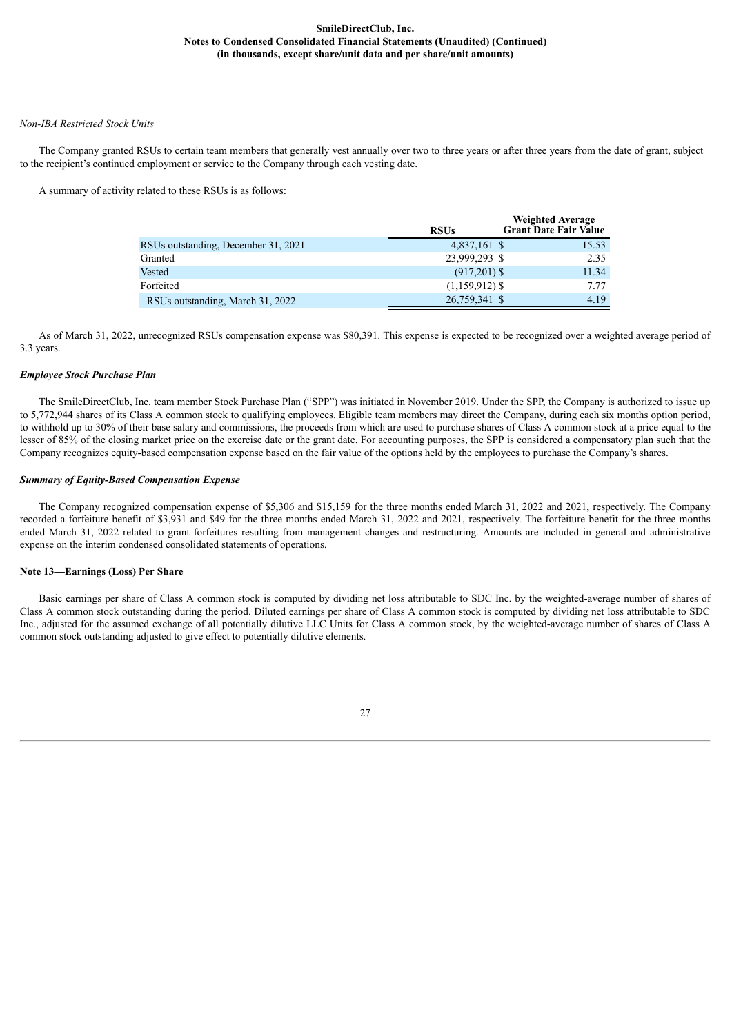#### *Non-IBA Restricted Stock Units*

The Company granted RSUs to certain team members that generally vest annually over two to three years or after three years from the date of grant, subject to the recipient's continued employment or service to the Company through each vesting date.

A summary of activity related to these RSUs is as follows:

|                                     | <b>RSUs</b>      | <b>Weighted Average</b><br><b>Grant Date Fair Value</b> |
|-------------------------------------|------------------|---------------------------------------------------------|
| RSUs outstanding, December 31, 2021 | 4,837,161 \$     | 15.53                                                   |
| Granted                             | 23,999,293 \$    | 2.35                                                    |
| <b>Vested</b>                       | $(917,201)$ \$   | 11.34                                                   |
| Forfeited                           | $(1,159,912)$ \$ | 7 77                                                    |
| RSUs outstanding, March 31, 2022    | 26,759,341 \$    | 4.19                                                    |

As of March 31, 2022, unrecognized RSUs compensation expense was \$80,391. This expense is expected to be recognized over a weighted average period of 3.3 years.

#### *Employee Stock Purchase Plan*

The SmileDirectClub, Inc. team member Stock Purchase Plan ("SPP") was initiated in November 2019. Under the SPP, the Company is authorized to issue up to 5,772,944 shares of its Class A common stock to qualifying employees. Eligible team members may direct the Company, during each six months option period, to withhold up to 30% of their base salary and commissions, the proceeds from which are used to purchase shares of Class A common stock at a price equal to the lesser of 85% of the closing market price on the exercise date or the grant date. For accounting purposes, the SPP is considered a compensatory plan such that the Company recognizes equity-based compensation expense based on the fair value of the options held by the employees to purchase the Company's shares.

## *Summary of Equity-Based Compensation Expense*

The Company recognized compensation expense of \$5,306 and \$15,159 for the three months ended March 31, 2022 and 2021, respectively. The Company recorded a forfeiture benefit of \$3,931 and \$49 for the three months ended March 31, 2022 and 2021, respectively. The forfeiture benefit for the three months ended March 31, 2022 related to grant forfeitures resulting from management changes and restructuring. Amounts are included in general and administrative expense on the interim condensed consolidated statements of operations.

#### **Note 13—Earnings (Loss) Per Share**

Basic earnings per share of Class A common stock is computed by dividing net loss attributable to SDC Inc. by the weighted-average number of shares of Class A common stock outstanding during the period. Diluted earnings per share of Class A common stock is computed by dividing net loss attributable to SDC Inc., adjusted for the assumed exchange of all potentially dilutive LLC Units for Class A common stock, by the weighted-average number of shares of Class A common stock outstanding adjusted to give effect to potentially dilutive elements.

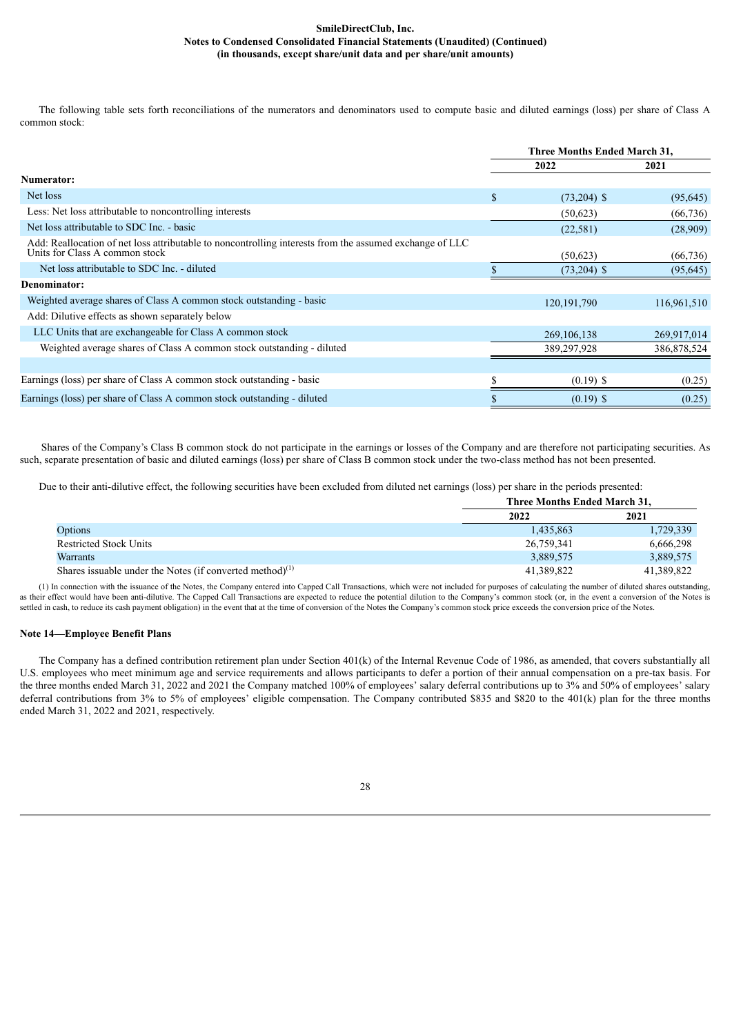The following table sets forth reconciliations of the numerators and denominators used to compute basic and diluted earnings (loss) per share of Class A common stock:

|                                                                                                                                           | <b>Three Months Ended March 31,</b> |               |             |
|-------------------------------------------------------------------------------------------------------------------------------------------|-------------------------------------|---------------|-------------|
|                                                                                                                                           |                                     | 2022          | 2021        |
| Numerator:                                                                                                                                |                                     |               |             |
| Net loss                                                                                                                                  | \$                                  | $(73,204)$ \$ | (95, 645)   |
| Less: Net loss attributable to noncontrolling interests                                                                                   |                                     | (50,623)      | (66, 736)   |
| Net loss attributable to SDC Inc. - basic                                                                                                 |                                     | (22, 581)     | (28,909)    |
| Add: Reallocation of net loss attributable to noncontrolling interests from the assumed exchange of LLC<br>Units for Class A common stock |                                     | (50,623)      | (66, 736)   |
| Net loss attributable to SDC Inc. - diluted                                                                                               |                                     | $(73,204)$ \$ | (95, 645)   |
| Denominator:                                                                                                                              |                                     |               |             |
| Weighted average shares of Class A common stock outstanding - basic                                                                       |                                     | 120, 191, 790 | 116,961,510 |
| Add: Dilutive effects as shown separately below                                                                                           |                                     |               |             |
| LLC Units that are exchangeable for Class A common stock                                                                                  |                                     | 269, 106, 138 | 269,917,014 |
| Weighted average shares of Class A common stock outstanding - diluted                                                                     |                                     | 389,297,928   | 386,878,524 |
|                                                                                                                                           |                                     |               |             |
| Earnings (loss) per share of Class A common stock outstanding - basic                                                                     |                                     | $(0.19)$ \$   | (0.25)      |
| Earnings (loss) per share of Class A common stock outstanding - diluted                                                                   |                                     | $(0.19)$ \$   | (0.25)      |

Shares of the Company's Class B common stock do not participate in the earnings or losses of the Company and are therefore not participating securities. As such, separate presentation of basic and diluted earnings (loss) per share of Class B common stock under the two-class method has not been presented.

Due to their anti-dilutive effect, the following securities have been excluded from diluted net earnings (loss) per share in the periods presented:

|                                                             |            | Three Months Ended March 31, |  |  |
|-------------------------------------------------------------|------------|------------------------------|--|--|
|                                                             | 2022       | 2021                         |  |  |
| Options                                                     | 1,435,863  | 1,729,339                    |  |  |
| <b>Restricted Stock Units</b>                               | 26,759,341 | 6,666,298                    |  |  |
| <b>Warrants</b>                                             | 3,889,575  | 3,889,575                    |  |  |
| Shares issuable under the Notes (if converted method) $(1)$ | 41,389,822 | 41,389,822                   |  |  |

(1) In connection with the issuance of the Notes, the Company entered into Capped Call Transactions, which were not included for purposes of calculating the number of diluted shares outstanding, as their effect would have been anti-dilutive. The Capped Call Transactions are expected to reduce the potential dilution to the Company's common stock (or, in the event a conversion of the Notes is settled in cash, to reduce its cash payment obligation) in the event that at the time of conversion of the Notes the Company's common stock price exceeds the conversion price of the Notes.

#### **Note 14—Employee Benefit Plans**

The Company has a defined contribution retirement plan under Section 401(k) of the Internal Revenue Code of 1986, as amended, that covers substantially all U.S. employees who meet minimum age and service requirements and allows participants to defer a portion of their annual compensation on a pre-tax basis. For the three months ended March 31, 2022 and 2021 the Company matched 100% of employees' salary deferral contributions up to 3% and 50% of employees' salary deferral contributions from 3% to 5% of employees' eligible compensation. The Company contributed \$835 and \$820 to the 401(k) plan for the three months ended March 31, 2022 and 2021, respectively.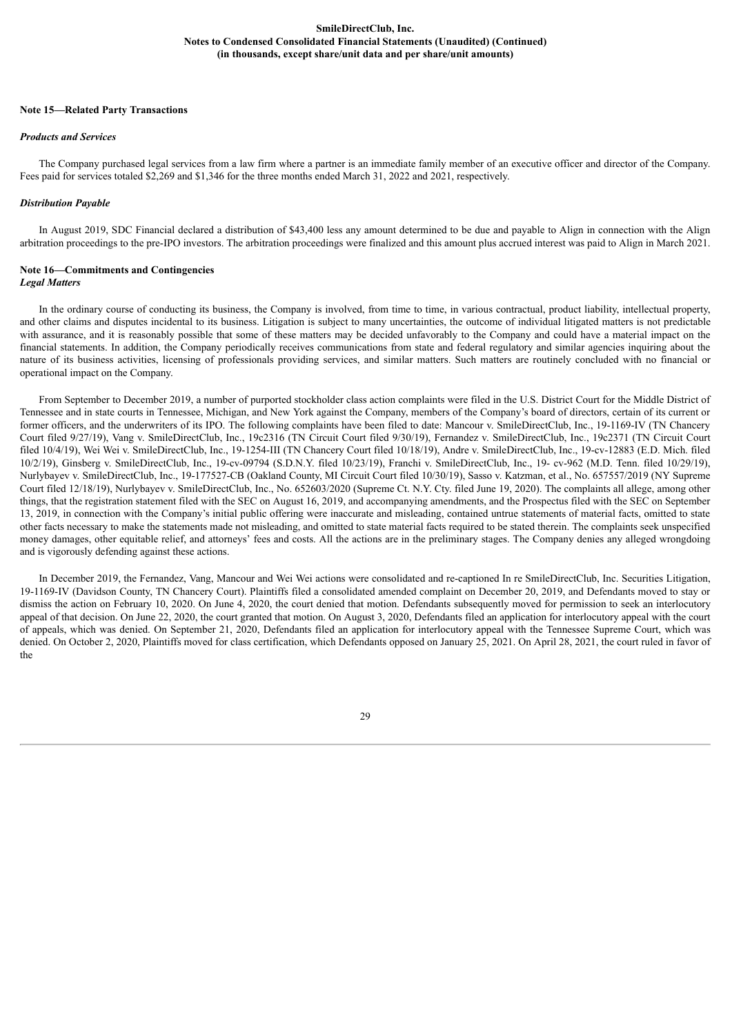#### **Note 15—Related Party Transactions**

#### *Products and Services*

The Company purchased legal services from a law firm where a partner is an immediate family member of an executive officer and director of the Company. Fees paid for services totaled \$2,269 and \$1,346 for the three months ended March 31, 2022 and 2021, respectively.

#### *Distribution Payable*

In August 2019, SDC Financial declared a distribution of \$43,400 less any amount determined to be due and payable to Align in connection with the Align arbitration proceedings to the pre-IPO investors. The arbitration proceedings were finalized and this amount plus accrued interest was paid to Align in March 2021.

#### <span id="page-31-0"></span>**Note 16—Commitments and Contingencies** *Legal Matters*

In the ordinary course of conducting its business, the Company is involved, from time to time, in various contractual, product liability, intellectual property, and other claims and disputes incidental to its business. Litigation is subject to many uncertainties, the outcome of individual litigated matters is not predictable with assurance, and it is reasonably possible that some of these matters may be decided unfavorably to the Company and could have a material impact on the financial statements. In addition, the Company periodically receives communications from state and federal regulatory and similar agencies inquiring about the nature of its business activities, licensing of professionals providing services, and similar matters. Such matters are routinely concluded with no financial or operational impact on the Company.

From September to December 2019, a number of purported stockholder class action complaints were filed in the U.S. District Court for the Middle District of Tennessee and in state courts in Tennessee, Michigan, and New York against the Company, members of the Company's board of directors, certain of its current or former officers, and the underwriters of its IPO. The following complaints have been filed to date: Mancour v. SmileDirectClub, Inc., 19-1169-IV (TN Chancery Court filed 9/27/19), Vang v. SmileDirectClub, Inc., 19c2316 (TN Circuit Court filed 9/30/19), Fernandez v. SmileDirectClub, Inc., 19c2371 (TN Circuit Court filed  $10/4/19$ ), Wei Wei v. SmileDirectClub, Inc., 19-1254-III (TN Chancery Court filed  $10/18/19$ ), Andre v. SmileDirectClub, Inc., 19-cv-12883 (E.D. Mich. filed 10/2/19), Ginsberg v. SmileDirectClub, Inc., 19-cv-09794 (S.D.N.Y. filed 10/23/19), Franchi v. SmileDirectClub, Inc., 19- cv-962 (M.D. Tenn. filed 10/29/19), Nurlybayev v. SmileDirectClub, Inc., 19-177527-CB (Oakland County, MI Circuit Court filed 10/30/19), Sasso v. Katzman, et al., No. 657557/2019 (NY Supreme Court filed 12/18/19), Nurlybayev v. SmileDirectClub, Inc., No. 652603/2020 (Supreme Ct. N.Y. Cty. filed June 19, 2020). The complaints all allege, among other things, that the registration statement filed with the SEC on August 16, 2019, and accompanying amendments, and the Prospectus filed with the SEC on September 13, 2019, in connection with the Company's initial public offering were inaccurate and misleading, contained untrue statements of material facts, omitted to state other facts necessary to make the statements made not misleading, and omitted to state material facts required to be stated therein. The complaints seek unspecified money damages, other equitable relief, and attorneys' fees and costs. All the actions are in the preliminary stages. The Company denies any alleged wrongdoing and is vigorously defending against these actions.

In December 2019, the Fernandez, Vang, Mancour and Wei Wei actions were consolidated and re-captioned In re SmileDirectClub, Inc. Securities Litigation, 19-1169-IV (Davidson County, TN Chancery Court). Plaintiffs filed a consolidated amended complaint on December 20, 2019, and Defendants moved to stay or dismiss the action on February 10, 2020. On June 4, 2020, the court denied that motion. Defendants subsequently moved for permission to seek an interlocutory appeal of that decision. On June 22, 2020, the court granted that motion. On August 3, 2020, Defendants filed an application for interlocutory appeal with the court of appeals, which was denied. On September 21, 2020, Defendants filed an application for interlocutory appeal with the Tennessee Supreme Court, which was denied. On October 2, 2020, Plaintiffs moved for class certification, which Defendants opposed on January 25, 2021. On April 28, 2021, the court ruled in favor of the

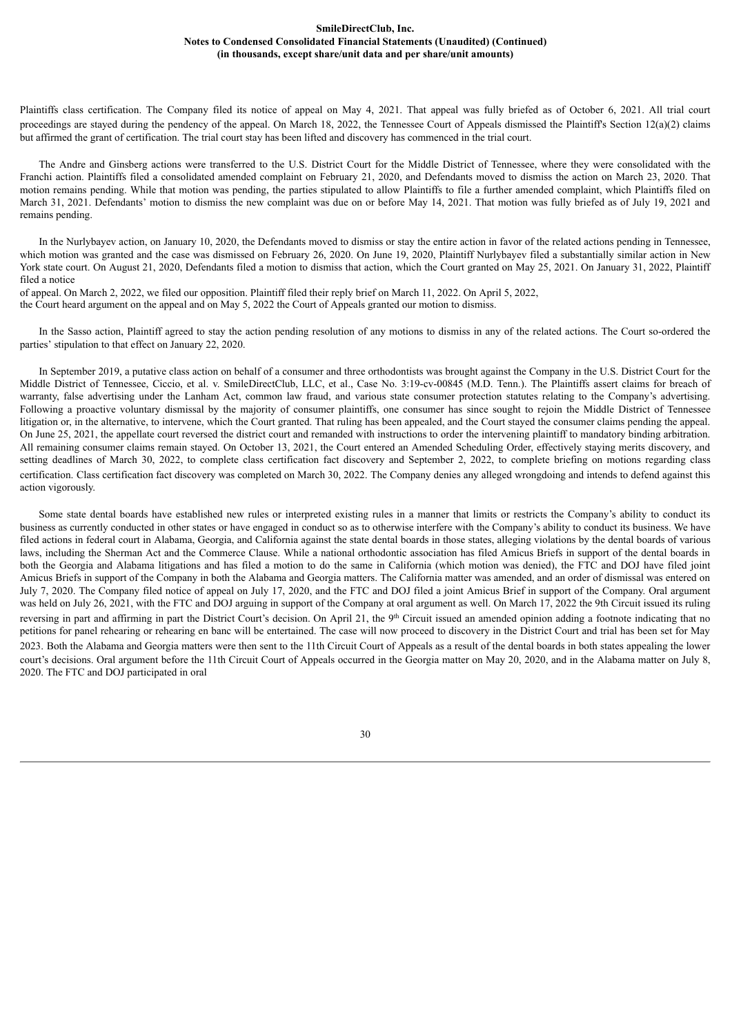Plaintiffs class certification. The Company filed its notice of appeal on May 4, 2021. That appeal was fully briefed as of October 6, 2021. All trial court proceedings are stayed during the pendency of the appeal. On March 18, 2022, the Tennessee Court of Appeals dismissed the Plaintiff's Section 12(a)(2) claims but affirmed the grant of certification. The trial court stay has been lifted and discovery has commenced in the trial court.

The Andre and Ginsberg actions were transferred to the U.S. District Court for the Middle District of Tennessee, where they were consolidated with the Franchi action. Plaintiffs filed a consolidated amended complaint on February 21, 2020, and Defendants moved to dismiss the action on March 23, 2020. That motion remains pending. While that motion was pending, the parties stipulated to allow Plaintiffs to file a further amended complaint, which Plaintiffs filed on March 31, 2021. Defendants' motion to dismiss the new complaint was due on or before May 14, 2021. That motion was fully briefed as of July 19, 2021 and remains pending.

In the Nurlybayev action, on January 10, 2020, the Defendants moved to dismiss or stay the entire action in favor of the related actions pending in Tennessee, which motion was granted and the case was dismissed on February 26, 2020. On June 19, 2020, Plaintiff Nurlybayev filed a substantially similar action in New York state court. On August 21, 2020, Defendants filed a motion to dismiss that action, which the Court granted on May 25, 2021. On January 31, 2022, Plaintiff filed a notice

of appeal. On March 2, 2022, we filed our opposition. Plaintiff filed their reply brief on March 11, 2022. On April 5, 2022, the Court heard argument on the appeal and on May 5, 2022 the Court of Appeals granted our motion to dismiss.

In the Sasso action, Plaintiff agreed to stay the action pending resolution of any motions to dismiss in any of the related actions. The Court so-ordered the parties' stipulation to that effect on January 22, 2020.

In September 2019, a putative class action on behalf of a consumer and three orthodontists was brought against the Company in the U.S. District Court for the Middle District of Tennessee, Ciccio, et al. v. SmileDirectClub, LLC, et al., Case No. 3:19-cv-00845 (M.D. Tenn.). The Plaintiffs assert claims for breach of warranty, false advertising under the Lanham Act, common law fraud, and various state consumer protection statutes relating to the Company's advertising. Following a proactive voluntary dismissal by the majority of consumer plaintiffs, one consumer has since sought to rejoin the Middle District of Tennessee litigation or, in the alternative, to intervene, which the Court granted. That ruling has been appealed, and the Court stayed the consumer claims pending the appeal. On June 25, 2021, the appellate court reversed the district court and remanded with instructions to order the intervening plaintiff to mandatory binding arbitration. All remaining consumer claims remain stayed. On October 13, 2021, the Court entered an Amended Scheduling Order, effectively staying merits discovery, and setting deadlines of March 30, 2022, to complete class certification fact discovery and September 2, 2022, to complete briefing on motions regarding class certification. Class certification fact discovery was completed on March 30, 2022. The Company denies any alleged wrongdoing and intends to defend against this action vigorously.

Some state dental boards have established new rules or interpreted existing rules in a manner that limits or restricts the Company's ability to conduct its business as currently conducted in other states or have engaged in conduct so as to otherwise interfere with the Company's ability to conduct its business. We have filed actions in federal court in Alabama, Georgia, and California against the state dental boards in those states, alleging violations by the dental boards of various laws, including the Sherman Act and the Commerce Clause. While a national orthodontic association has filed Amicus Briefs in support of the dental boards in both the Georgia and Alabama litigations and has filed a motion to do the same in California (which motion was denied), the FTC and DOJ have filed joint Amicus Briefs in support of the Company in both the Alabama and Georgia matters. The California matter was amended, and an order of dismissal was entered on July 7, 2020. The Company filed notice of appeal on July 17, 2020, and the FTC and DOJ filed a joint Amicus Brief in support of the Company. Oral argument was held on July 26, 2021, with the FTC and DOJ arguing in support of the Company at oral argument as well. On March 17, 2022 the 9th Circuit issued its ruling reversing in part and affirming in part the District Court's decision. On April 21, the 9<sup>th</sup> Circuit issued an amended opinion adding a footnote indicating that no petitions for panel rehearing or rehearing en banc will be entertained. The case will now proceed to discovery in the District Court and trial has been set for May 2023. Both the Alabama and Georgia matters were then sent to the 11th Circuit Court of Appeals as a result of the dental boards in both states appealing the lower court's decisions. Oral argument before the 11th Circuit Court of Appeals occurred in the Georgia matter on May 20, 2020, and in the Alabama matter on July 8, 2020. The FTC and DOJ participated in oral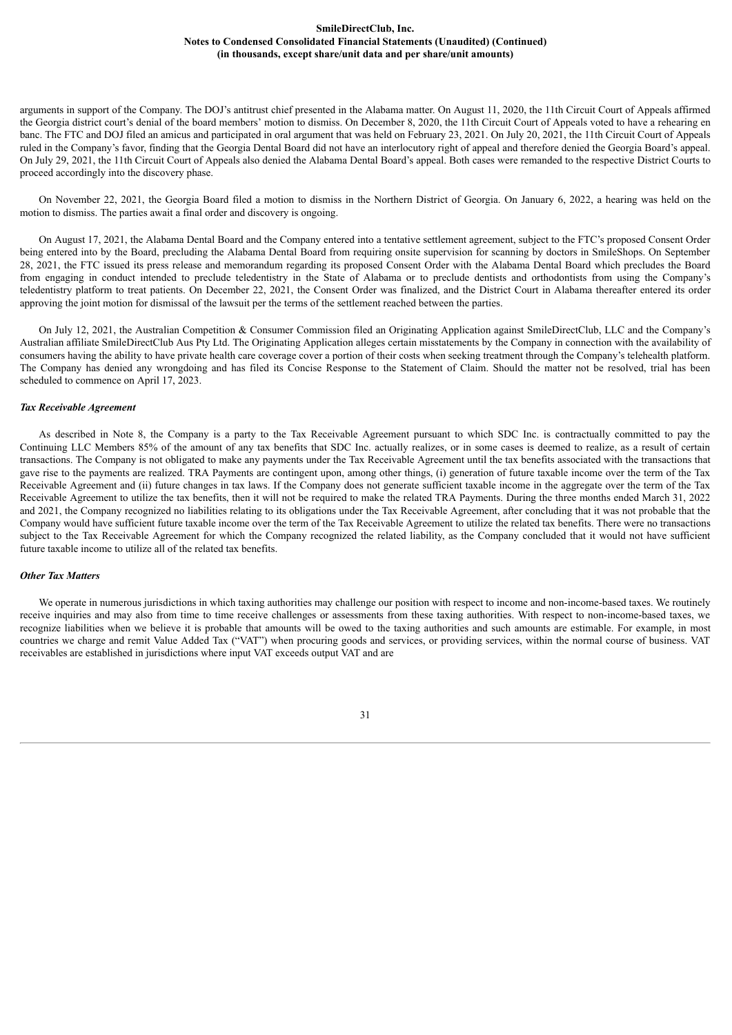arguments in support of the Company. The DOJ's antitrust chief presented in the Alabama matter. On August 11, 2020, the 11th Circuit Court of Appeals affirmed the Georgia district court's denial of the board members' motion to dismiss. On December 8, 2020, the 11th Circuit Court of Appeals voted to have a rehearing en banc. The FTC and DOJ filed an amicus and participated in oral argument that was held on February 23, 2021. On July 20, 2021, the 11th Circuit Court of Appeals ruled in the Company's favor, finding that the Georgia Dental Board did not have an interlocutory right of appeal and therefore denied the Georgia Board's appeal. On July 29, 2021, the 11th Circuit Court of Appeals also denied the Alabama Dental Board's appeal. Both cases were remanded to the respective District Courts to proceed accordingly into the discovery phase.

On November 22, 2021, the Georgia Board filed a motion to dismiss in the Northern District of Georgia. On January 6, 2022, a hearing was held on the motion to dismiss. The parties await a final order and discovery is ongoing.

On August 17, 2021, the Alabama Dental Board and the Company entered into a tentative settlement agreement, subject to the FTC's proposed Consent Order being entered into by the Board, precluding the Alabama Dental Board from requiring onsite supervision for scanning by doctors in SmileShops. On September 28, 2021, the FTC issued its press release and memorandum regarding its proposed Consent Order with the Alabama Dental Board which precludes the Board from engaging in conduct intended to preclude teledentistry in the State of Alabama or to preclude dentists and orthodontists from using the Company's teledentistry platform to treat patients. On December 22, 2021, the Consent Order was finalized, and the District Court in Alabama thereafter entered its order approving the joint motion for dismissal of the lawsuit per the terms of the settlement reached between the parties.

On July 12, 2021, the Australian Competition & Consumer Commission filed an Originating Application against SmileDirectClub, LLC and the Company's Australian affiliate SmileDirectClub Aus Pty Ltd. The Originating Application alleges certain misstatements by the Company in connection with the availability of consumers having the ability to have private health care coverage cover a portion of their costs when seeking treatment through the Company's telehealth platform. The Company has denied any wrongdoing and has filed its Concise Response to the Statement of Claim. Should the matter not be resolved, trial has been scheduled to commence on April 17, 2023.

#### *Tax Receivable Agreement*

As described in Note 8, the Company is a party to the Tax Receivable Agreement pursuant to which SDC Inc. is contractually committed to pay the Continuing LLC Members 85% of the amount of any tax benefits that SDC Inc. actually realizes, or in some cases is deemed to realize, as a result of certain transactions. The Company is not obligated to make any payments under the Tax Receivable Agreement until the tax benefits associated with the transactions that gave rise to the payments are realized. TRA Payments are contingent upon, among other things, (i) generation of future taxable income over the term of the Tax Receivable Agreement and (ii) future changes in tax laws. If the Company does not generate sufficient taxable income in the aggregate over the term of the Tax Receivable Agreement to utilize the tax benefits, then it will not be required to make the related TRA Payments. During the three months ended March 31, 2022 and 2021, the Company recognized no liabilities relating to its obligations under the Tax Receivable Agreement, after concluding that it was not probable that the Company would have sufficient future taxable income over the term of the Tax Receivable Agreement to utilize the related tax benefits. There were no transactions subject to the Tax Receivable Agreement for which the Company recognized the related liability, as the Company concluded that it would not have sufficient future taxable income to utilize all of the related tax benefits.

#### *Other Tax Matters*

We operate in numerous jurisdictions in which taxing authorities may challenge our position with respect to income and non-income-based taxes. We routinely receive inquiries and may also from time to time receive challenges or assessments from these taxing authorities. With respect to non-income-based taxes, we recognize liabilities when we believe it is probable that amounts will be owed to the taxing authorities and such amounts are estimable. For example, in most countries we charge and remit Value Added Tax ("VAT") when procuring goods and services, or providing services, within the normal course of business. VAT receivables are established in jurisdictions where input VAT exceeds output VAT and are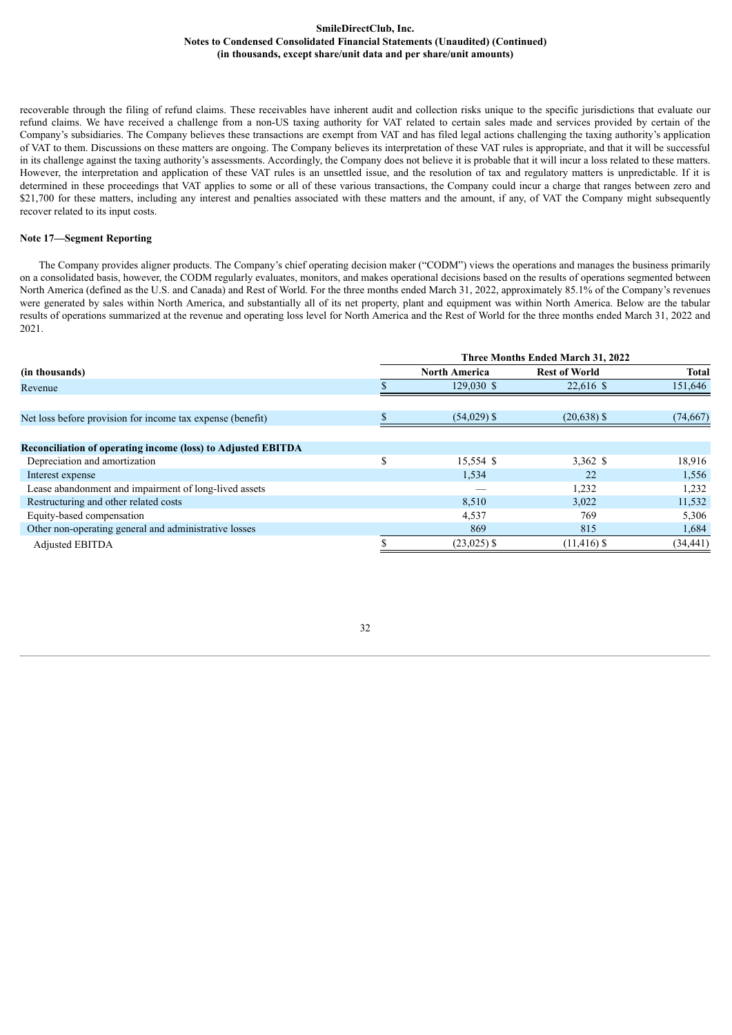recoverable through the filing of refund claims. These receivables have inherent audit and collection risks unique to the specific jurisdictions that evaluate our refund claims. We have received a challenge from a non-US taxing authority for VAT related to certain sales made and services provided by certain of the Company's subsidiaries. The Company believes these transactions are exempt from VAT and has filed legal actions challenging the taxing authority's application of VAT to them. Discussions on these matters are ongoing. The Company believes its interpretation of these VAT rules is appropriate, and that it will be successful in its challenge against the taxing authority's assessments. Accordingly, the Company does not believe it is probable that it will incur a loss related to these matters. However, the interpretation and application of these VAT rules is an unsettled issue, and the resolution of tax and regulatory matters is unpredictable. If it is determined in these proceedings that VAT applies to some or all of these various transactions, the Company could incur a charge that ranges between zero and \$21,700 for these matters, including any interest and penalties associated with these matters and the amount, if any, of VAT the Company might subsequently recover related to its input costs.

#### **Note 17—Segment Reporting**

The Company provides aligner products. The Company's chief operating decision maker ("CODM") views the operations and manages the business primarily on a consolidated basis, however, the CODM regularly evaluates, monitors, and makes operational decisions based on the results of operations segmented between North America (defined as the U.S. and Canada) and Rest of World. For the three months ended March 31, 2022, approximately 85.1% of the Company's revenues were generated by sales within North America, and substantially all of its net property, plant and equipment was within North America. Below are the tabular results of operations summarized at the revenue and operating loss level for North America and the Rest of World for the three months ended March 31, 2022 and 2021.

|                                                              | Three Months Ended March 31, 2022 |                      |                      |              |
|--------------------------------------------------------------|-----------------------------------|----------------------|----------------------|--------------|
| (in thousands)                                               |                                   | <b>North America</b> | <b>Rest of World</b> | <b>Total</b> |
| Revenue                                                      |                                   | $129.030 \text{ s}$  | 22,616 \$            | 151,646      |
|                                                              |                                   |                      |                      |              |
| Net loss before provision for income tax expense (benefit)   |                                   | $(54,029)$ \$        | $(20,638)$ \$        | (74, 667)    |
|                                                              |                                   |                      |                      |              |
| Reconciliation of operating income (loss) to Adjusted EBITDA |                                   |                      |                      |              |
| Depreciation and amortization                                | \$                                | 15,554 \$            | 3,362 \$             | 18,916       |
| Interest expense                                             |                                   | 1,534                | 22                   | 1,556        |
| Lease abandonment and impairment of long-lived assets        |                                   |                      | 1,232                | 1,232        |
| Restructuring and other related costs                        |                                   | 8,510                | 3,022                | 11,532       |
| Equity-based compensation                                    |                                   | 4,537                | 769                  | 5,306        |
| Other non-operating general and administrative losses        |                                   | 869                  | 815                  | 1,684        |
| <b>Adiusted EBITDA</b>                                       |                                   | $(23,025)$ \$        | $(11, 416)$ \$       | (34, 441)    |

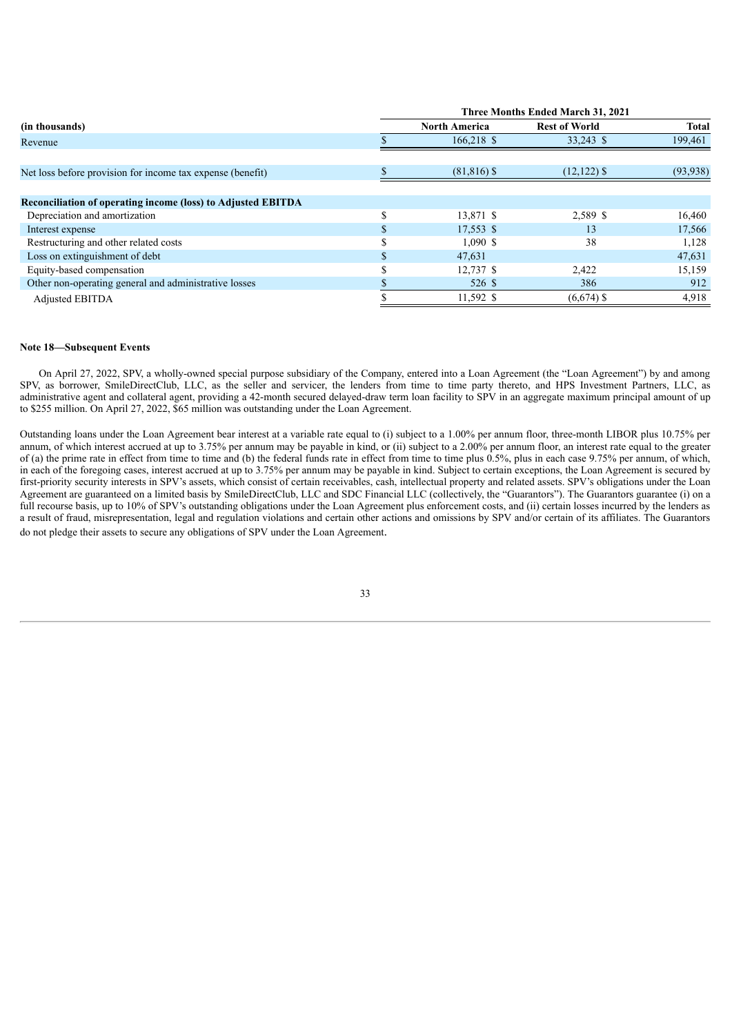|  | <b>North America</b> | <b>Rest of World</b> | <b>Total</b>                      |
|--|----------------------|----------------------|-----------------------------------|
|  | $166,218$ \$         | 33,243 \$            | 199,461                           |
|  |                      |                      |                                   |
|  | $(81,816)$ \$        | $(12,122)$ \$        | (93, 938)                         |
|  |                      |                      |                                   |
|  |                      |                      |                                   |
|  | 13,871 \$            | 2,589 \$             | 16,460                            |
|  | $17,553$ \$          | 13                   | 17,566                            |
|  | $1,090$ \$           | 38                   | 1,128                             |
|  | 47,631               |                      | 47,631                            |
|  | $12,737$ \$          | 2,422                | 15,159                            |
|  | 526 \$               | 386                  | 912                               |
|  | $11,592$ \$          | $(6,674)$ \$         | 4,918                             |
|  |                      |                      | Three Months Ended March 31, 2021 |

#### **Note 18—Subsequent Events**

On April 27, 2022, SPV, a wholly-owned special purpose subsidiary of the Company, entered into a Loan Agreement (the "Loan Agreement") by and among SPV, as borrower, SmileDirectClub, LLC, as the seller and servicer, the lenders from time to time party thereto, and HPS Investment Partners, LLC, as administrative agent and collateral agent, providing a 42-month secured delayed-draw term loan facility to SPV in an aggregate maximum principal amount of up to \$255 million. On April 27, 2022, \$65 million was outstanding under the Loan Agreement.

Outstanding loans under the Loan Agreement bear interest at a variable rate equal to (i) subject to a 1.00% per annum floor, three-month LIBOR plus 10.75% per annum, of which interest accrued at up to 3.75% per annum may be payable in kind, or (ii) subject to a 2.00% per annum floor, an interest rate equal to the greater of (a) the prime rate in effect from time to time and (b) the federal funds rate in effect from time to time plus 0.5%, plus in each case 9.75% per annum, of which, in each of the foregoing cases, interest accrued at up to 3.75% per annum may be payable in kind. Subject to certain exceptions, the Loan Agreement is secured by first-priority security interests in SPV's assets, which consist of certain receivables, cash, intellectual property and related assets. SPV's obligations under the Loan Agreement are guaranteed on a limited basis by SmileDirectClub, LLC and SDC Financial LLC (collectively, the "Guarantors"). The Guarantors guarantee (i) on a full recourse basis, up to 10% of SPV's outstanding obligations under the Loan Agreement plus enforcement costs, and (ii) certain losses incurred by the lenders as a result of fraud, misrepresentation, legal and regulation violations and certain other actions and omissions by SPV and/or certain of its affiliates. The Guarantors do not pledge their assets to secure any obligations of SPV under the Loan Agreement.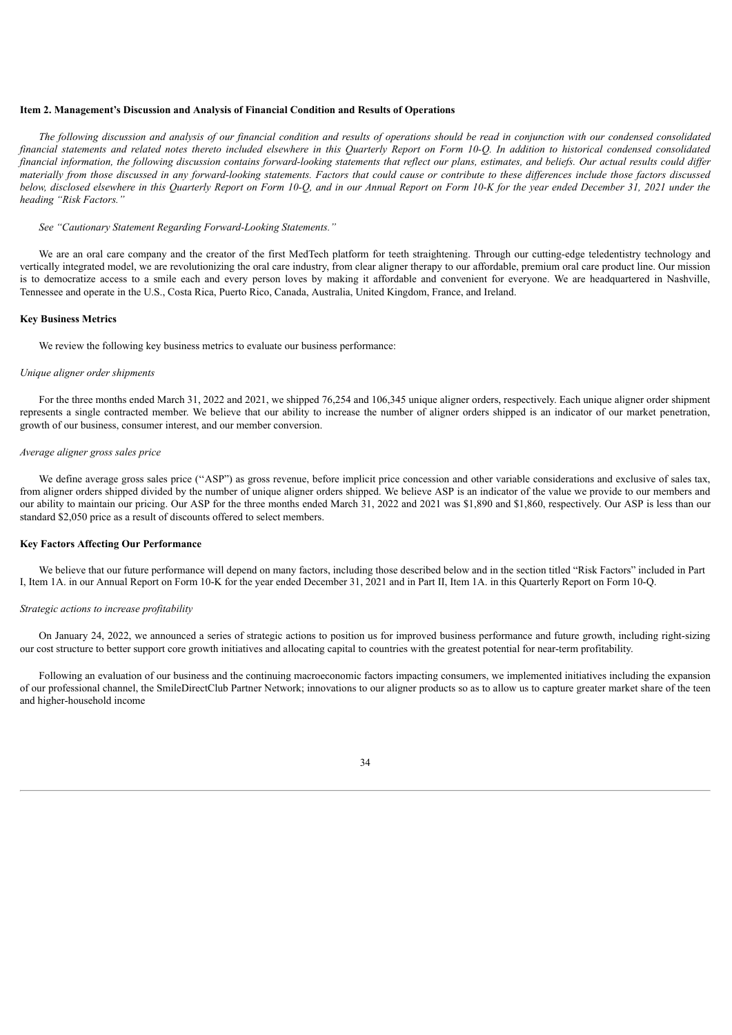#### **Item 2. Management's Discussion and Analysis of Financial Condition and Results of Operations**

<span id="page-36-0"></span>The following discussion and analysis of our financial condition and results of operations should be read in conjunction with our condensed consolidated financial statements and related notes thereto included elsewhere in this Quarterly Report on Form 10-Q. In addition to historical condensed consolidated financial information, the following discussion contains forward-looking statements that reflect our plans, estimates, and beliefs. Our actual results could differ materially from those discussed in any forward-looking statements. Factors that could cause or contribute to these differences include those factors discussed below, disclosed elsewhere in this Quarterly Report on Form 10-O, and in our Annual Report on Form 10-K for the vear ended December 31, 2021 under the *heading "Risk Factors."*

#### *See "Cautionary Statement Regarding Forward-Looking Statements."*

We are an oral care company and the creator of the first MedTech platform for teeth straightening. Through our cutting-edge teledentistry technology and vertically integrated model, we are revolutionizing the oral care industry, from clear aligner therapy to our affordable, premium oral care product line. Our mission is to democratize access to a smile each and every person loves by making it affordable and convenient for everyone. We are headquartered in Nashville, Tennessee and operate in the U.S., Costa Rica, Puerto Rico, Canada, Australia, United Kingdom, France, and Ireland.

#### **Key Business Metrics**

We review the following key business metrics to evaluate our business performance:

#### *Unique aligner order shipments*

For the three months ended March 31, 2022 and 2021, we shipped 76,254 and 106,345 unique aligner orders, respectively. Each unique aligner order shipment represents a single contracted member. We believe that our ability to increase the number of aligner orders shipped is an indicator of our market penetration, growth of our business, consumer interest, and our member conversion.

## *Average aligner gross sales price*

We define average gross sales price ("ASP") as gross revenue, before implicit price concession and other variable considerations and exclusive of sales tax, from aligner orders shipped divided by the number of unique aligner orders shipped. We believe ASP is an indicator of the value we provide to our members and our ability to maintain our pricing. Our ASP for the three months ended March 31, 2022 and 2021 was \$1,890 and \$1,860, respectively. Our ASP is less than our standard \$2,050 price as a result of discounts offered to select members.

#### **Key Factors Affecting Our Performance**

We believe that our future performance will depend on many factors, including those described below and in the section titled "Risk Factors" included in Part I, Item 1A. in our Annual Report on Form 10-K for the year ended December 31, 2021 and in Part II, Item 1A. in this Quarterly Report on Form 10-Q.

#### *Strategic actions to increase profitability*

On January 24, 2022, we announced a series of strategic actions to position us for improved business performance and future growth, including right-sizing our cost structure to better support core growth initiatives and allocating capital to countries with the greatest potential for near-term profitability.

Following an evaluation of our business and the continuing macroeconomic factors impacting consumers, we implemented initiatives including the expansion of our professional channel, the SmileDirectClub Partner Network; innovations to our aligner products so as to allow us to capture greater market share of the teen and higher-household income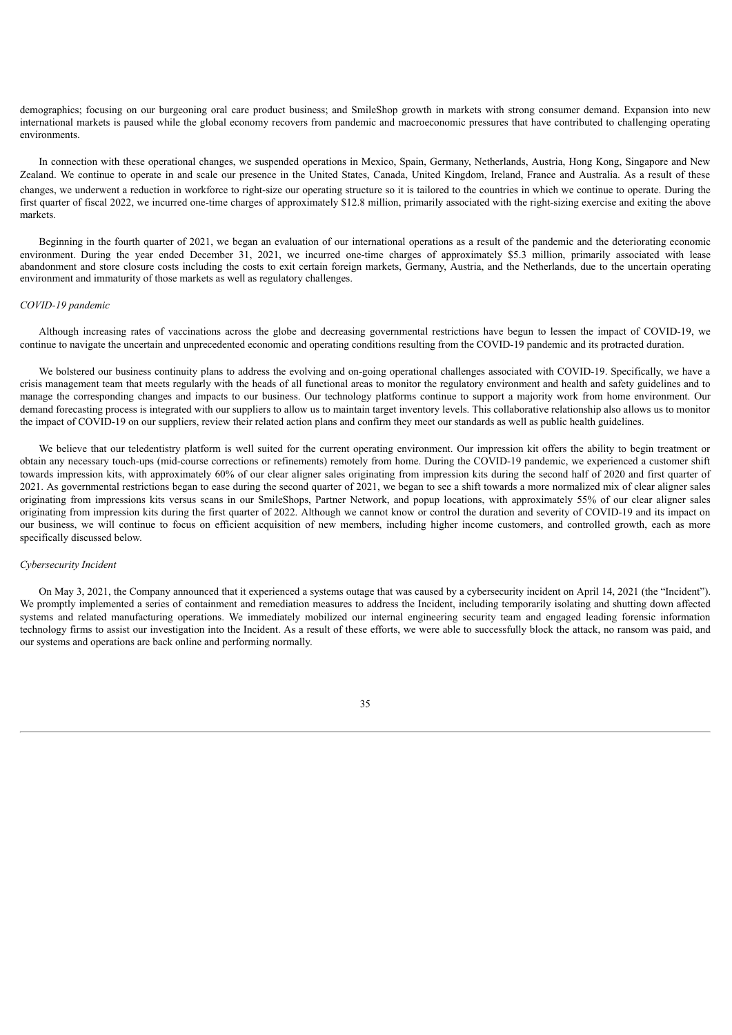demographics; focusing on our burgeoning oral care product business; and SmileShop growth in markets with strong consumer demand. Expansion into new international markets is paused while the global economy recovers from pandemic and macroeconomic pressures that have contributed to challenging operating environments.

In connection with these operational changes, we suspended operations in Mexico, Spain, Germany, Netherlands, Austria, Hong Kong, Singapore and New Zealand. We continue to operate in and scale our presence in the United States, Canada, United Kingdom, Ireland, France and Australia. As a result of these changes, we underwent a reduction in workforce to right-size our operating structure so it is tailored to the countries in which we continue to operate. During the first quarter of fiscal 2022, we incurred one-time charges of approximately \$12.8 million, primarily associated with the right-sizing exercise and exiting the above markets.

Beginning in the fourth quarter of 2021, we began an evaluation of our international operations as a result of the pandemic and the deteriorating economic environment. During the year ended December 31, 2021, we incurred one-time charges of approximately \$5.3 million, primarily associated with lease abandonment and store closure costs including the costs to exit certain foreign markets, Germany, Austria, and the Netherlands, due to the uncertain operating environment and immaturity of those markets as well as regulatory challenges.

## *COVID-19 pandemic*

Although increasing rates of vaccinations across the globe and decreasing governmental restrictions have begun to lessen the impact of COVID-19, we continue to navigate the uncertain and unprecedented economic and operating conditions resulting from the COVID-19 pandemic and its protracted duration.

We bolstered our business continuity plans to address the evolving and on-going operational challenges associated with COVID-19. Specifically, we have a crisis management team that meets regularly with the heads of all functional areas to monitor the regulatory environment and health and safety guidelines and to manage the corresponding changes and impacts to our business. Our technology platforms continue to support a majority work from home environment. Our demand forecasting process is integrated with our suppliers to allow us to maintain target inventory levels. This collaborative relationship also allows us to monitor the impact of COVID-19 on our suppliers, review their related action plans and confirm they meet our standards as well as public health guidelines.

We believe that our teledentistry platform is well suited for the current operating environment. Our impression kit offers the ability to begin treatment or obtain any necessary touch-ups (mid-course corrections or refinements) remotely from home. During the COVID-19 pandemic, we experienced a customer shift towards impression kits, with approximately 60% of our clear aligner sales originating from impression kits during the second half of 2020 and first quarter of 2021. As governmental restrictions began to ease during the second quarter of 2021, we began to see a shift towards a more normalized mix of clear aligner sales originating from impressions kits versus scans in our SmileShops, Partner Network, and popup locations, with approximately 55% of our clear aligner sales originating from impression kits during the first quarter of 2022. Although we cannot know or control the duration and severity of COVID-19 and its impact on our business, we will continue to focus on efficient acquisition of new members, including higher income customers, and controlled growth, each as more specifically discussed below.

#### *Cybersecurity Incident*

On May 3, 2021, the Company announced that it experienced a systems outage that was caused by a cybersecurity incident on April 14, 2021 (the "Incident"). We promptly implemented a series of containment and remediation measures to address the Incident, including temporarily isolating and shutting down affected systems and related manufacturing operations. We immediately mobilized our internal engineering security team and engaged leading forensic information technology firms to assist our investigation into the Incident. As a result of these efforts, we were able to successfully block the attack, no ransom was paid, and our systems and operations are back online and performing normally.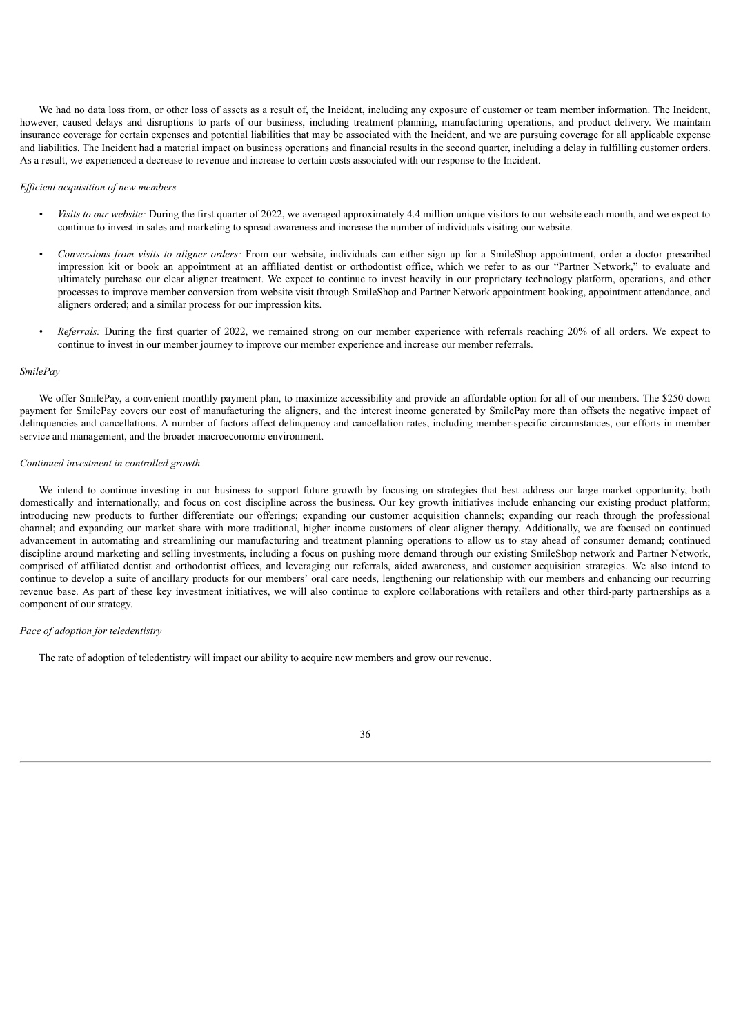We had no data loss from, or other loss of assets as a result of, the Incident, including any exposure of customer or team member information. The Incident, however, caused delays and disruptions to parts of our business, including treatment planning, manufacturing operations, and product delivery. We maintain insurance coverage for certain expenses and potential liabilities that may be associated with the Incident, and we are pursuing coverage for all applicable expense and liabilities. The Incident had a material impact on business operations and financial results in the second quarter, including a delay in fulfilling customer orders. As a result, we experienced a decrease to revenue and increase to certain costs associated with our response to the Incident.

#### *Ef icient acquisition of new members*

- *• Visits to our website:* During the first quarter of 2022, we averaged approximately 4.4 million unique visitors to our website each month, and we expect to continue to invest in sales and marketing to spread awareness and increase the number of individuals visiting our website.
- *• Conversions from visits to aligner orders:* From our website, individuals can either sign up for a SmileShop appointment, order a doctor prescribed impression kit or book an appointment at an affiliated dentist or orthodontist office, which we refer to as our "Partner Network," to evaluate and ultimately purchase our clear aligner treatment. We expect to continue to invest heavily in our proprietary technology platform, operations, and other processes to improve member conversion from website visit through SmileShop and Partner Network appointment booking, appointment attendance, and aligners ordered; and a similar process for our impression kits.
- *• Referrals:* During the first quarter of 2022, we remained strong on our member experience with referrals reaching 20% of all orders. We expect to continue to invest in our member journey to improve our member experience and increase our member referrals.

#### *SmilePay*

We offer SmilePay, a convenient monthly payment plan, to maximize accessibility and provide an affordable option for all of our members. The \$250 down payment for SmilePay covers our cost of manufacturing the aligners, and the interest income generated by SmilePay more than offsets the negative impact of delinquencies and cancellations. A number of factors affect delinquency and cancellation rates, including member-specific circumstances, our efforts in member service and management, and the broader macroeconomic environment.

## *Continued investment in controlled growth*

We intend to continue investing in our business to support future growth by focusing on strategies that best address our large market opportunity, both domestically and internationally, and focus on cost discipline across the business. Our key growth initiatives include enhancing our existing product platform; introducing new products to further differentiate our offerings; expanding our customer acquisition channels; expanding our reach through the professional channel; and expanding our market share with more traditional, higher income customers of clear aligner therapy. Additionally, we are focused on continued advancement in automating and streamlining our manufacturing and treatment planning operations to allow us to stay ahead of consumer demand; continued discipline around marketing and selling investments, including a focus on pushing more demand through our existing SmileShop network and Partner Network, comprised of affiliated dentist and orthodontist offices, and leveraging our referrals, aided awareness, and customer acquisition strategies. We also intend to continue to develop a suite of ancillary products for our members' oral care needs, lengthening our relationship with our members and enhancing our recurring revenue base. As part of these key investment initiatives, we will also continue to explore collaborations with retailers and other third-party partnerships as a component of our strategy.

#### *Pace of adoption for teledentistry*

The rate of adoption of teledentistry will impact our ability to acquire new members and grow our revenue.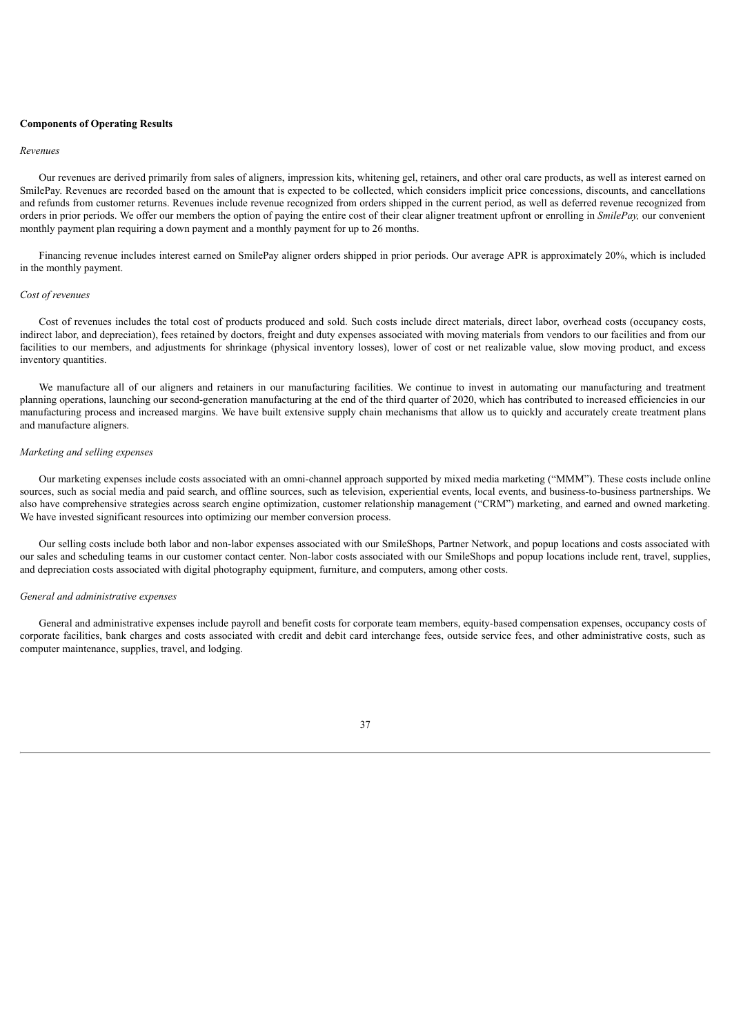#### **Components of Operating Results**

#### *Revenues*

Our revenues are derived primarily from sales of aligners, impression kits, whitening gel, retainers, and other oral care products, as well as interest earned on SmilePay. Revenues are recorded based on the amount that is expected to be collected, which considers implicit price concessions, discounts, and cancellations and refunds from customer returns. Revenues include revenue recognized from orders shipped in the current period, as well as deferred revenue recognized from orders in prior periods. We offer our members the option of paying the entire cost of their clear aligner treatment upfront or enrolling in *SmilePay,* our convenient monthly payment plan requiring a down payment and a monthly payment for up to 26 months.

Financing revenue includes interest earned on SmilePay aligner orders shipped in prior periods. Our average APR is approximately 20%, which is included in the monthly payment.

#### *Cost of revenues*

Cost of revenues includes the total cost of products produced and sold. Such costs include direct materials, direct labor, overhead costs (occupancy costs, indirect labor, and depreciation), fees retained by doctors, freight and duty expenses associated with moving materials from vendors to our facilities and from our facilities to our members, and adjustments for shrinkage (physical inventory losses), lower of cost or net realizable value, slow moving product, and excess inventory quantities.

We manufacture all of our aligners and retainers in our manufacturing facilities. We continue to invest in automating our manufacturing and treatment planning operations, launching our second-generation manufacturing at the end of the third quarter of 2020, which has contributed to increased efficiencies in our manufacturing process and increased margins. We have built extensive supply chain mechanisms that allow us to quickly and accurately create treatment plans and manufacture aligners.

#### *Marketing and selling expenses*

Our marketing expenses include costs associated with an omni-channel approach supported by mixed media marketing ("MMM"). These costs include online sources, such as social media and paid search, and offline sources, such as television, experiential events, local events, and business-to-business partnerships. We also have comprehensive strategies across search engine optimization, customer relationship management ("CRM") marketing, and earned and owned marketing. We have invested significant resources into optimizing our member conversion process.

Our selling costs include both labor and non-labor expenses associated with our SmileShops, Partner Network, and popup locations and costs associated with our sales and scheduling teams in our customer contact center. Non-labor costs associated with our SmileShops and popup locations include rent, travel, supplies, and depreciation costs associated with digital photography equipment, furniture, and computers, among other costs.

#### *General and administrative expenses*

General and administrative expenses include payroll and benefit costs for corporate team members, equity-based compensation expenses, occupancy costs of corporate facilities, bank charges and costs associated with credit and debit card interchange fees, outside service fees, and other administrative costs, such as computer maintenance, supplies, travel, and lodging.

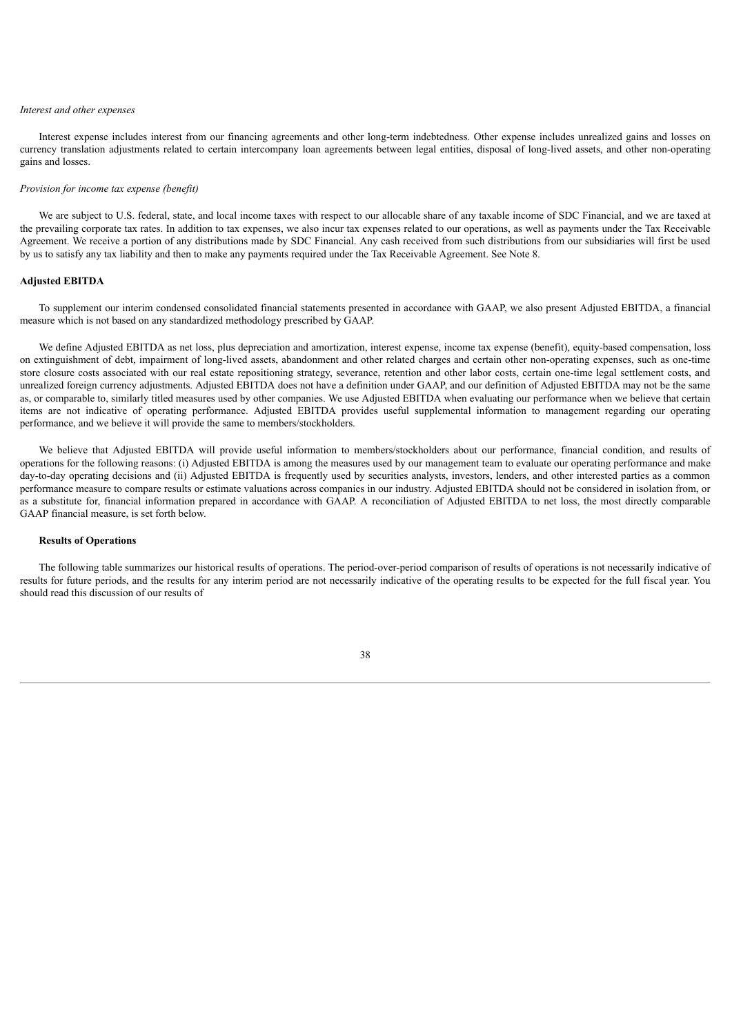#### *Interest and other expenses*

Interest expense includes interest from our financing agreements and other long-term indebtedness. Other expense includes unrealized gains and losses on currency translation adjustments related to certain intercompany loan agreements between legal entities, disposal of long-lived assets, and other non-operating gains and losses.

#### *Provision for income tax expense (benefit)*

We are subject to U.S. federal, state, and local income taxes with respect to our allocable share of any taxable income of SDC Financial, and we are taxed at the prevailing corporate tax rates. In addition to tax expenses, we also incur tax expenses related to our operations, as well as payments under the Tax Receivable Agreement. We receive a portion of any distributions made by SDC Financial. Any cash received from such distributions from our subsidiaries will first be used by us to satisfy any tax liability and then to make any payments required under the Tax Receivable Agreement. See Note 8.

#### **Adjusted EBITDA**

To supplement our interim condensed consolidated financial statements presented in accordance with GAAP, we also present Adjusted EBITDA, a financial measure which is not based on any standardized methodology prescribed by GAAP.

We define Adjusted EBITDA as net loss, plus depreciation and amortization, interest expense, income tax expense (benefit), equity-based compensation, loss on extinguishment of debt, impairment of long-lived assets, abandonment and other related charges and certain other non-operating expenses, such as one-time store closure costs associated with our real estate repositioning strategy, severance, retention and other labor costs, certain one-time legal settlement costs, and unrealized foreign currency adjustments. Adjusted EBITDA does not have a definition under GAAP, and our definition of Adjusted EBITDA may not be the same as, or comparable to, similarly titled measures used by other companies. We use Adjusted EBITDA when evaluating our performance when we believe that certain items are not indicative of operating performance. Adjusted EBITDA provides useful supplemental information to management regarding our operating performance, and we believe it will provide the same to members/stockholders.

We believe that Adjusted EBITDA will provide useful information to members/stockholders about our performance, financial condition, and results of operations for the following reasons: (i) Adjusted EBITDA is among the measures used by our management team to evaluate our operating performance and make day-to-day operating decisions and (ii) Adjusted EBITDA is frequently used by securities analysts, investors, lenders, and other interested parties as a common performance measure to compare results or estimate valuations across companies in our industry. Adjusted EBITDA should not be considered in isolation from, or as a substitute for, financial information prepared in accordance with GAAP. A reconciliation of Adjusted EBITDA to net loss, the most directly comparable GAAP financial measure, is set forth below.

#### **Results of Operations**

The following table summarizes our historical results of operations. The period-over-period comparison of results of operations is not necessarily indicative of results for future periods, and the results for any interim period are not necessarily indicative of the operating results to be expected for the full fiscal year. You should read this discussion of our results of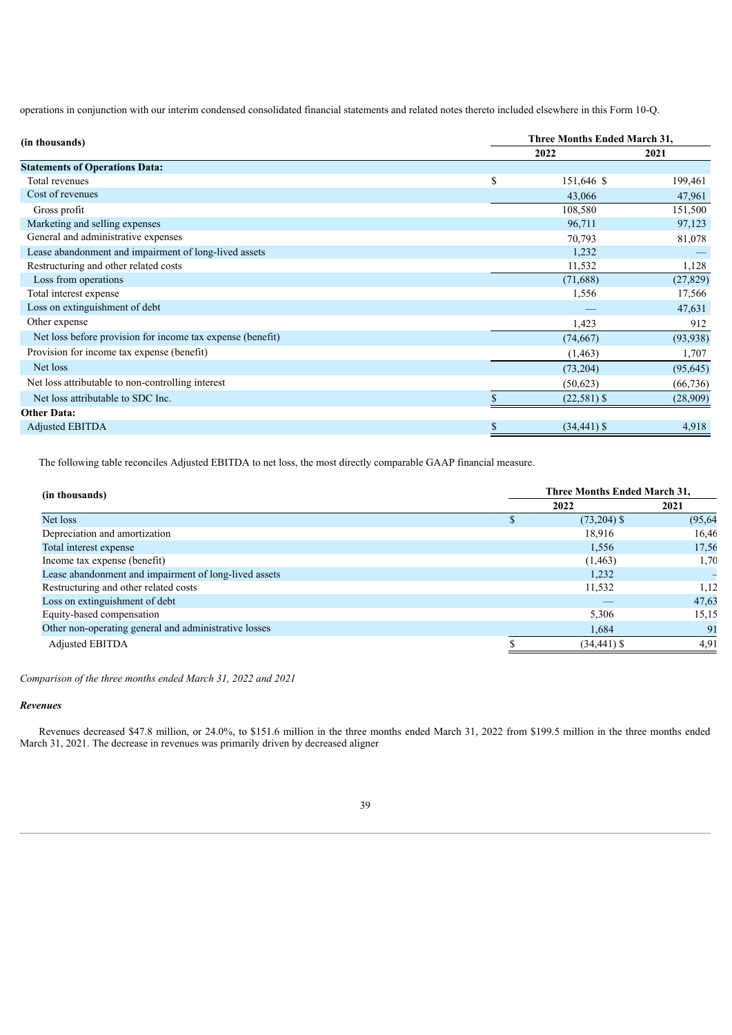operations in conjunction with our interim condensed consolidated financial statements and related notes thereto included elsewhere in this Form 10-Q.

| (in thousands)                                             |    | <b>Three Months Ended March 31,</b> |           |  |
|------------------------------------------------------------|----|-------------------------------------|-----------|--|
|                                                            |    | 2022                                | 2021      |  |
| <b>Statements of Operations Data:</b>                      |    |                                     |           |  |
| Total revenues                                             | \$ | 151,646 \$                          | 199,461   |  |
| Cost of revenues                                           |    | 43,066                              | 47,961    |  |
| Gross profit                                               |    | 108,580                             | 151,500   |  |
| Marketing and selling expenses                             |    | 96,711                              | 97,123    |  |
| General and administrative expenses                        |    | 70,793                              | 81,078    |  |
| Lease abandonment and impairment of long-lived assets      |    | 1,232                               |           |  |
| Restructuring and other related costs                      |    | 11,532                              | 1,128     |  |
| Loss from operations                                       |    | (71,688)                            | (27, 829) |  |
| Total interest expense                                     |    | 1,556                               | 17,566    |  |
| Loss on extinguishment of debt                             |    |                                     | 47,631    |  |
| Other expense                                              |    | 1,423                               | 912       |  |
| Net loss before provision for income tax expense (benefit) |    | (74,667)                            | (93, 938) |  |
| Provision for income tax expense (benefit)                 |    | (1, 463)                            | 1,707     |  |
| Net loss                                                   |    | (73,204)                            | (95, 645) |  |
| Net loss attributable to non-controlling interest          |    | (50,623)                            | (66, 736) |  |
| Net loss attributable to SDC Inc.                          |    | $(22,581)$ \$                       | (28,909)  |  |
| <b>Other Data:</b>                                         |    |                                     |           |  |
| <b>Adjusted EBITDA</b>                                     |    | $(34, 441)$ \$                      | 4,918     |  |

The following table reconciles Adjusted EBITDA to net loss, the most directly comparable GAAP financial measure.

| (in thousands)                                        |  | <b>Three Months Ended March 31,</b> |          |  |  |
|-------------------------------------------------------|--|-------------------------------------|----------|--|--|
|                                                       |  | 2022                                | 2021     |  |  |
| Net loss                                              |  | $(73,204)$ \$                       | (95, 64) |  |  |
| Depreciation and amortization                         |  | 18,916                              | 16,46    |  |  |
| Total interest expense                                |  | 1,556                               | 17,56    |  |  |
| Income tax expense (benefit)                          |  | (1, 463)                            | 1,70     |  |  |
| Lease abandonment and impairment of long-lived assets |  | 1,232                               |          |  |  |
| Restructuring and other related costs                 |  | 11,532                              | 1,12     |  |  |
| Loss on extinguishment of debt                        |  |                                     | 47,63    |  |  |
| Equity-based compensation                             |  | 5,306                               | 15,15    |  |  |
| Other non-operating general and administrative losses |  | 1.684                               | -91      |  |  |
| <b>Adjusted EBITDA</b>                                |  | $(34, 441)$ \$                      | 4,91     |  |  |

*Comparison of the three months ended March 31, 2022 and 2021*

## *Revenues*

Revenues decreased \$47.8 million, or 24.0%, to \$151.6 million in the three months ended March 31, 2022 from \$199.5 million in the three months ended March 31, 2021. The decrease in revenues was primarily driven by decreased aligner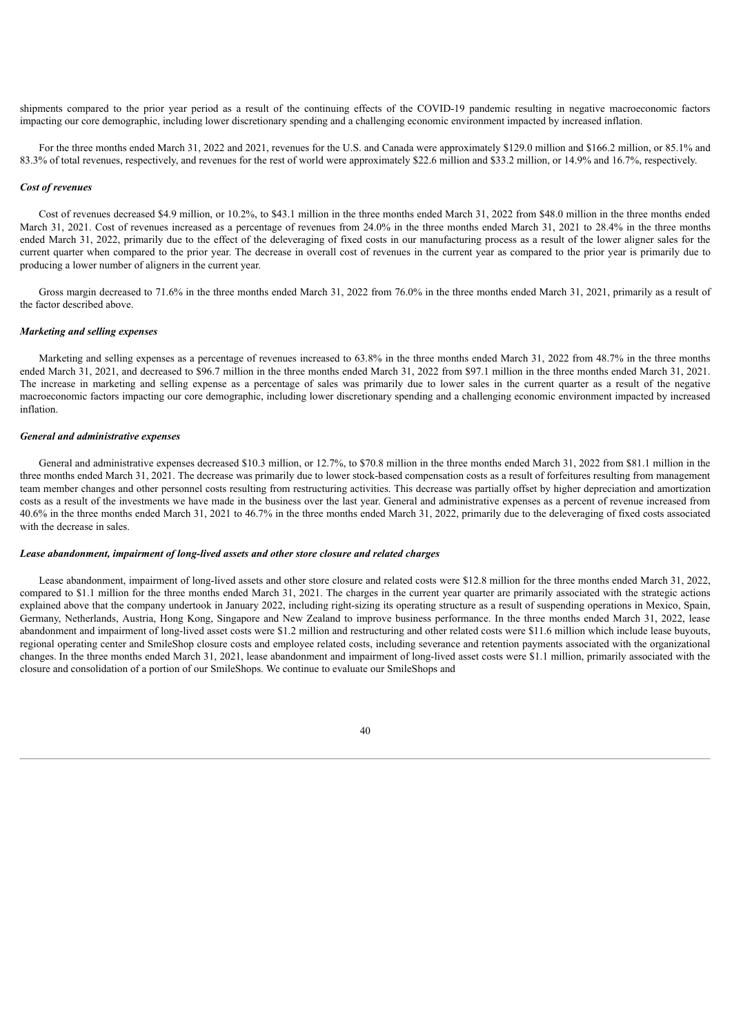shipments compared to the prior year period as a result of the continuing effects of the COVID-19 pandemic resulting in negative macroeconomic factors impacting our core demographic, including lower discretionary spending and a challenging economic environment impacted by increased inflation.

For the three months ended March 31, 2022 and 2021, revenues for the U.S. and Canada were approximately \$129.0 million and \$166.2 million, or 85.1% and 83.3% of total revenues, respectively, and revenues for the rest of world were approximately \$22.6 million and \$33.2 million, or 14.9% and 16.7%, respectively.

#### *Cost of revenues*

Cost of revenues decreased \$4.9 million, or 10.2%, to \$43.1 million in the three months ended March 31, 2022 from \$48.0 million in the three months ended March 31, 2021. Cost of revenues increased as a percentage of revenues from 24.0% in the three months ended March 31, 2021 to 28.4% in the three months ended March 31, 2022, primarily due to the effect of the deleveraging of fixed costs in our manufacturing process as a result of the lower aligner sales for the current quarter when compared to the prior year. The decrease in overall cost of revenues in the current year as compared to the prior year is primarily due to producing a lower number of aligners in the current year.

Gross margin decreased to 71.6% in the three months ended March 31, 2022 from 76.0% in the three months ended March 31, 2021, primarily as a result of the factor described above.

## *Marketing and selling expenses*

Marketing and selling expenses as a percentage of revenues increased to 63.8% in the three months ended March 31, 2022 from 48.7% in the three months ended March 31, 2021, and decreased to \$96.7 million in the three months ended March 31, 2022 from \$97.1 million in the three months ended March 31, 2021. The increase in marketing and selling expense as a percentage of sales was primarily due to lower sales in the current quarter as a result of the negative macroeconomic factors impacting our core demographic, including lower discretionary spending and a challenging economic environment impacted by increased inflation.

## *General and administrative expenses*

General and administrative expenses decreased \$10.3 million, or 12.7%, to \$70.8 million in the three months ended March 31, 2022 from \$81.1 million in the three months ended March 31, 2021. The decrease was primarily due to lower stock-based compensation costs as a result of forfeitures resulting from management team member changes and other personnel costs resulting from restructuring activities. This decrease was partially offset by higher depreciation and amortization costs as a result of the investments we have made in the business over the last year. General and administrative expenses as a percent of revenue increased from 40.6% in the three months ended March 31, 2021 to 46.7% in the three months ended March 31, 2022, primarily due to the deleveraging of fixed costs associated with the decrease in sales.

#### *Lease abandonment, impairment of long-lived assets and other store closure and related charges*

Lease abandonment, impairment of long-lived assets and other store closure and related costs were \$12.8 million for the three months ended March 31, 2022, compared to \$1.1 million for the three months ended March 31, 2021. The charges in the current year quarter are primarily associated with the strategic actions explained above that the company undertook in January 2022, including right-sizing its operating structure as a result of suspending operations in Mexico, Spain, Germany, Netherlands, Austria, Hong Kong, Singapore and New Zealand to improve business performance. In the three months ended March 31, 2022, lease abandonment and impairment of long-lived asset costs were \$1.2 million and restructuring and other related costs were \$11.6 million which include lease buyouts, regional operating center and SmileShop closure costs and employee related costs, including severance and retention payments associated with the organizational changes. In the three months ended March 31, 2021, lease abandonment and impairment of long-lived asset costs were \$1.1 million, primarily associated with the closure and consolidation of a portion of our SmileShops. We continue to evaluate our SmileShops and

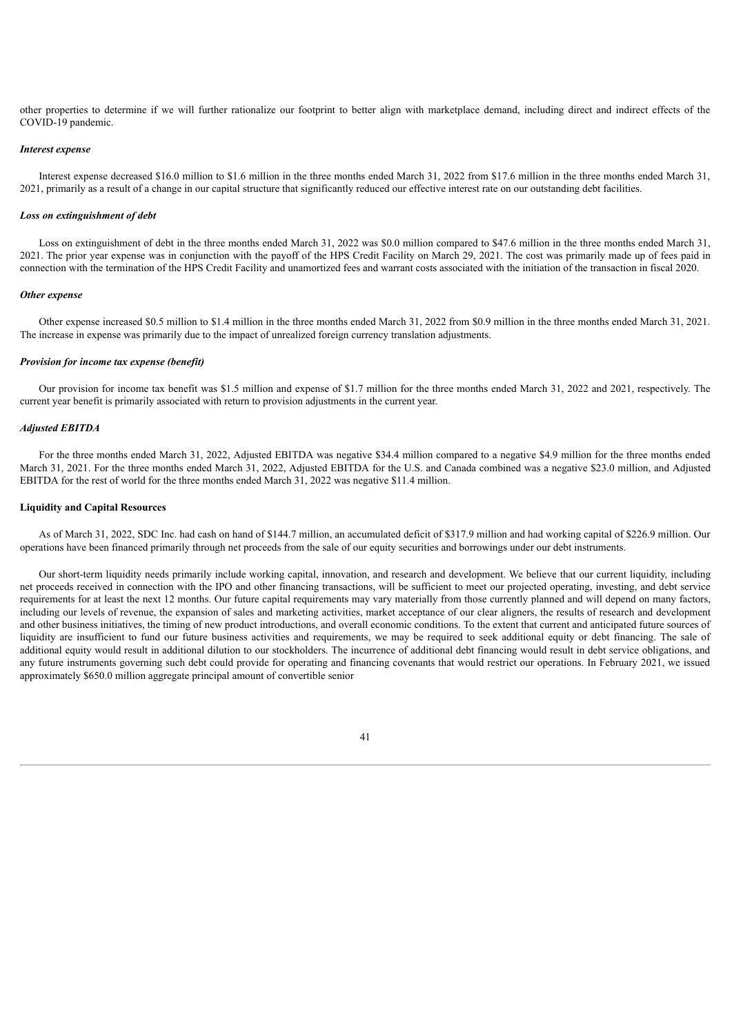other properties to determine if we will further rationalize our footprint to better align with marketplace demand, including direct and indirect effects of the COVID-19 pandemic.

#### *Interest expense*

Interest expense decreased \$16.0 million to \$1.6 million in the three months ended March 31, 2022 from \$17.6 million in the three months ended March 31, 2021, primarily as a result of a change in our capital structure that significantly reduced our effective interest rate on our outstanding debt facilities.

#### *Loss on extinguishment of debt*

Loss on extinguishment of debt in the three months ended March 31, 2022 was \$0.0 million compared to \$47.6 million in the three months ended March 31, 2021. The prior year expense was in conjunction with the payoff of the HPS Credit Facility on March 29, 2021. The cost was primarily made up of fees paid in connection with the termination of the HPS Credit Facility and unamortized fees and warrant costs associated with the initiation of the transaction in fiscal 2020.

## *Other expense*

Other expense increased \$0.5 million to \$1.4 million in the three months ended March 31, 2022 from \$0.9 million in the three months ended March 31, 2021. The increase in expense was primarily due to the impact of unrealized foreign currency translation adjustments.

#### *Provision for income tax expense (benefit)*

Our provision for income tax benefit was \$1.5 million and expense of \$1.7 million for the three months ended March 31, 2022 and 2021, respectively. The current year benefit is primarily associated with return to provision adjustments in the current year.

## *Adjusted EBITDA*

For the three months ended March 31, 2022, Adjusted EBITDA was negative \$34.4 million compared to a negative \$4.9 million for the three months ended March 31, 2021. For the three months ended March 31, 2022, Adjusted EBITDA for the U.S. and Canada combined was a negative \$23.0 million, and Adjusted EBITDA for the rest of world for the three months ended March 31, 2022 was negative \$11.4 million.

## **Liquidity and Capital Resources**

As of March 31, 2022, SDC Inc. had cash on hand of \$144.7 million, an accumulated deficit of \$317.9 million and had working capital of \$226.9 million. Our operations have been financed primarily through net proceeds from the sale of our equity securities and borrowings under our debt instruments.

Our short-term liquidity needs primarily include working capital, innovation, and research and development. We believe that our current liquidity, including net proceeds received in connection with the IPO and other financing transactions, will be sufficient to meet our projected operating, investing, and debt service requirements for at least the next 12 months. Our future capital requirements may vary materially from those currently planned and will depend on many factors, including our levels of revenue, the expansion of sales and marketing activities, market acceptance of our clear aligners, the results of research and development and other business initiatives, the timing of new product introductions, and overall economic conditions. To the extent that current and anticipated future sources of liquidity are insufficient to fund our future business activities and requirements, we may be required to seek additional equity or debt financing. The sale of additional equity would result in additional dilution to our stockholders. The incurrence of additional debt financing would result in debt service obligations, and any future instruments governing such debt could provide for operating and financing covenants that would restrict our operations. In February 2021, we issued approximately \$650.0 million aggregate principal amount of convertible senior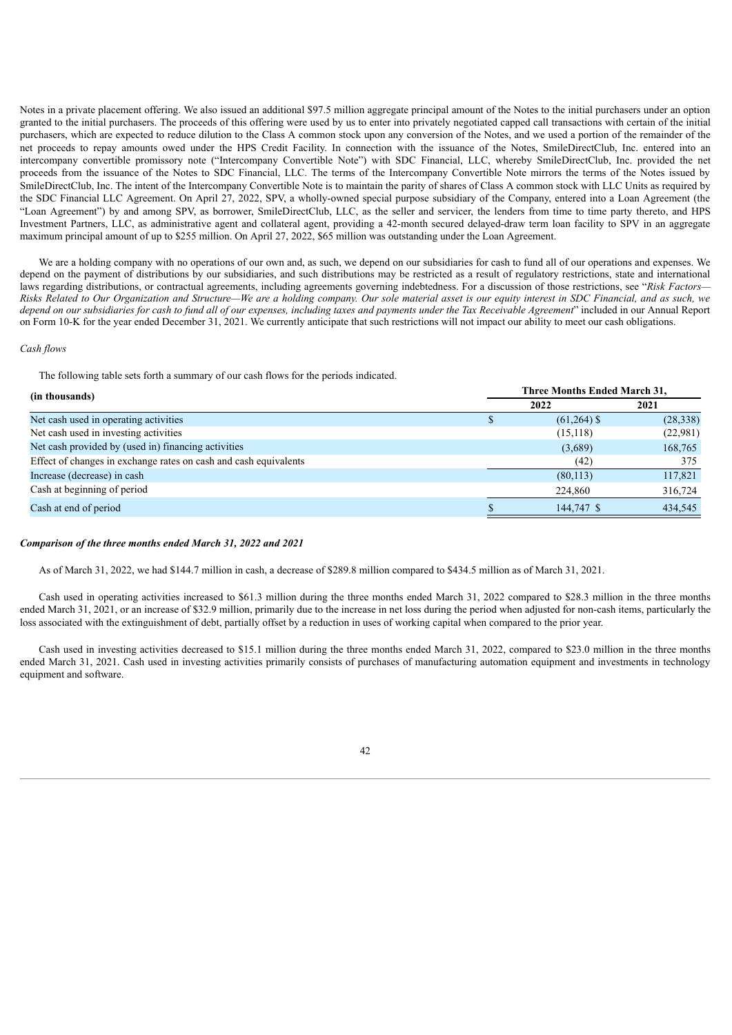Notes in a private placement offering. We also issued an additional \$97.5 million aggregate principal amount of the Notes to the initial purchasers under an option granted to the initial purchasers. The proceeds of this offering were used by us to enter into privately negotiated capped call transactions with certain of the initial purchasers, which are expected to reduce dilution to the Class A common stock upon any conversion of the Notes, and we used a portion of the remainder of the net proceeds to repay amounts owed under the HPS Credit Facility. In connection with the issuance of the Notes, SmileDirectClub, Inc. entered into an intercompany convertible promissory note ("Intercompany Convertible Note") with SDC Financial, LLC, whereby SmileDirectClub, Inc. provided the net proceeds from the issuance of the Notes to SDC Financial, LLC. The terms of the Intercompany Convertible Note mirrors the terms of the Notes issued by SmileDirectClub, Inc. The intent of the Intercompany Convertible Note is to maintain the parity of shares of Class A common stock with LLC Units as required by the SDC Financial LLC Agreement. On April 27, 2022, SPV, a wholly-owned special purpose subsidiary of the Company, entered into a Loan Agreement (the "Loan Agreement") by and among SPV, as borrower, SmileDirectClub, LLC, as the seller and servicer, the lenders from time to time party thereto, and HPS Investment Partners, LLC, as administrative agent and collateral agent, providing a 42-month secured delayed-draw term loan facility to SPV in an aggregate maximum principal amount of up to \$255 million. On April 27, 2022, \$65 million was outstanding under the Loan Agreement.

We are a holding company with no operations of our own and, as such, we depend on our subsidiaries for cash to fund all of our operations and expenses. We depend on the payment of distributions by our subsidiaries, and such distributions may be restricted as a result of regulatory restrictions, state and international laws regarding distributions, or contractual agreements, including agreements governing indebtedness. For a discussion of those restrictions, see "*Risk Factors—* Risks Related to Our Organization and Structure—We are a holding company. Our sole material asset is our equity interest in SDC Financial, and as such, we depend on our subsidiaries for cash to fund all of our expenses, including taxes and payments under the Tax Receivable Agreement" included in our Annual Report on Form 10-K for the year ended December 31, 2021. We currently anticipate that such restrictions will not impact our ability to meet our cash obligations.

#### *Cash flows*

The following table sets forth a summary of our cash flows for the periods indicated.

| (in thousands)                                                   |  | Three Months Ended March 31, |           |  |  |
|------------------------------------------------------------------|--|------------------------------|-----------|--|--|
|                                                                  |  | 2022                         | 2021      |  |  |
| Net cash used in operating activities                            |  | $(61,264)$ \$                | (28, 338) |  |  |
| Net cash used in investing activities                            |  | (15, 118)                    | (22,981)  |  |  |
| Net cash provided by (used in) financing activities              |  | (3,689)                      | 168,765   |  |  |
| Effect of changes in exchange rates on cash and cash equivalents |  | (42)                         | 375       |  |  |
| Increase (decrease) in cash                                      |  | (80, 113)                    | 117,821   |  |  |
| Cash at beginning of period                                      |  | 224,860                      | 316,724   |  |  |
| Cash at end of period                                            |  | 144,747 \$                   | 434,545   |  |  |

#### *Comparison of the three months ended March 31, 2022 and 2021*

As of March 31, 2022, we had \$144.7 million in cash, a decrease of \$289.8 million compared to \$434.5 million as of March 31, 2021.

Cash used in operating activities increased to \$61.3 million during the three months ended March 31, 2022 compared to \$28.3 million in the three months ended March 31, 2021, or an increase of \$32.9 million, primarily due to the increase in net loss during the period when adjusted for non-cash items, particularly the loss associated with the extinguishment of debt, partially offset by a reduction in uses of working capital when compared to the prior year.

Cash used in investing activities decreased to \$15.1 million during the three months ended March 31, 2022, compared to \$23.0 million in the three months ended March 31, 2021. Cash used in investing activities primarily consists of purchases of manufacturing automation equipment and investments in technology equipment and software.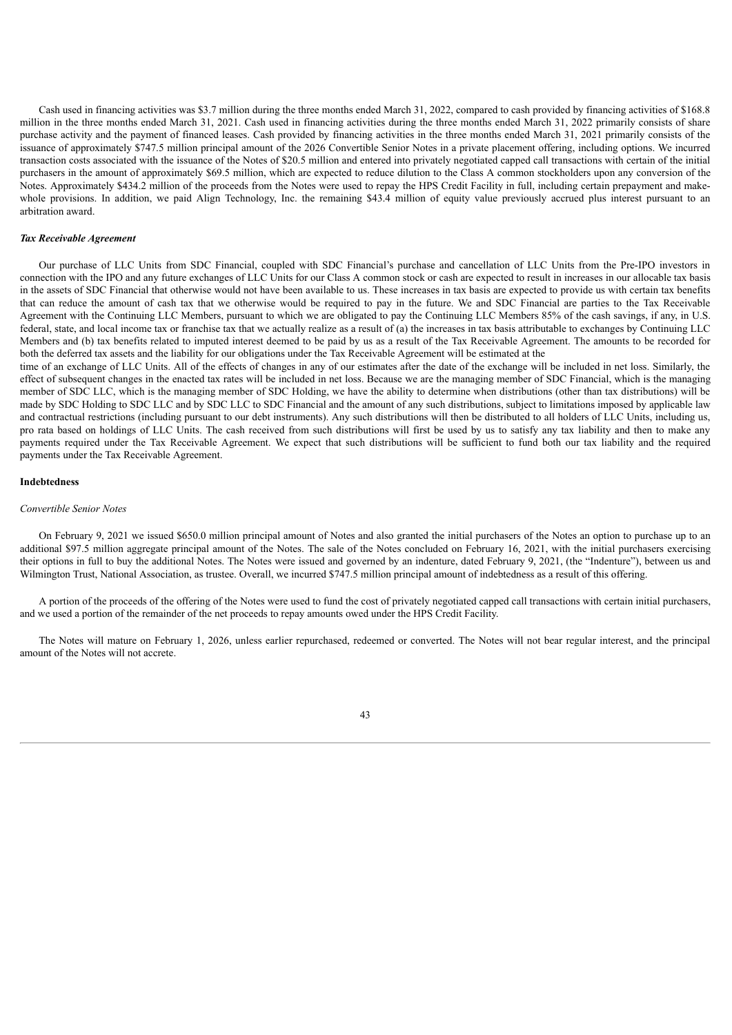Cash used in financing activities was \$3.7 million during the three months ended March 31, 2022, compared to cash provided by financing activities of \$168.8 million in the three months ended March 31, 2021. Cash used in financing activities during the three months ended March 31, 2022 primarily consists of share purchase activity and the payment of financed leases. Cash provided by financing activities in the three months ended March 31, 2021 primarily consists of the issuance of approximately \$747.5 million principal amount of the 2026 Convertible Senior Notes in a private placement offering, including options. We incurred transaction costs associated with the issuance of the Notes of \$20.5 million and entered into privately negotiated capped call transactions with certain of the initial purchasers in the amount of approximately \$69.5 million, which are expected to reduce dilution to the Class A common stockholders upon any conversion of the Notes. Approximately \$434.2 million of the proceeds from the Notes were used to repay the HPS Credit Facility in full, including certain prepayment and makewhole provisions. In addition, we paid Align Technology, Inc. the remaining \$43.4 million of equity value previously accrued plus interest pursuant to an arbitration award.

#### *Tax Receivable Agreement*

Our purchase of LLC Units from SDC Financial, coupled with SDC Financial's purchase and cancellation of LLC Units from the Pre-IPO investors in connection with the IPO and any future exchanges of LLC Units for our Class A common stock or cash are expected to result in increases in our allocable tax basis in the assets of SDC Financial that otherwise would not have been available to us. These increases in tax basis are expected to provide us with certain tax benefits that can reduce the amount of cash tax that we otherwise would be required to pay in the future. We and SDC Financial are parties to the Tax Receivable Agreement with the Continuing LLC Members, pursuant to which we are obligated to pay the Continuing LLC Members 85% of the cash savings, if any, in U.S. federal, state, and local income tax or franchise tax that we actually realize as a result of (a) the increases in tax basis attributable to exchanges by Continuing LLC Members and (b) tax benefits related to imputed interest deemed to be paid by us as a result of the Tax Receivable Agreement. The amounts to be recorded for both the deferred tax assets and the liability for our obligations under the Tax Receivable Agreement will be estimated at the

time of an exchange of LLC Units. All of the effects of changes in any of our estimates after the date of the exchange will be included in net loss. Similarly, the effect of subsequent changes in the enacted tax rates will be included in net loss. Because we are the managing member of SDC Financial, which is the managing member of SDC LLC, which is the managing member of SDC Holding, we have the ability to determine when distributions (other than tax distributions) will be made by SDC Holding to SDC LLC and by SDC LLC to SDC Financial and the amount of any such distributions, subject to limitations imposed by applicable law and contractual restrictions (including pursuant to our debt instruments). Any such distributions will then be distributed to all holders of LLC Units, including us, pro rata based on holdings of LLC Units. The cash received from such distributions will first be used by us to satisfy any tax liability and then to make any payments required under the Tax Receivable Agreement. We expect that such distributions will be sufficient to fund both our tax liability and the required payments under the Tax Receivable Agreement.

#### **Indebtedness**

## *Convertible Senior Notes*

On February 9, 2021 we issued \$650.0 million principal amount of Notes and also granted the initial purchasers of the Notes an option to purchase up to an additional \$97.5 million aggregate principal amount of the Notes. The sale of the Notes concluded on February 16, 2021, with the initial purchasers exercising their options in full to buy the additional Notes. The Notes were issued and governed by an indenture, dated February 9, 2021, (the "Indenture"), between us and Wilmington Trust, National Association, as trustee. Overall, we incurred \$747.5 million principal amount of indebtedness as a result of this offering.

A portion of the proceeds of the offering of the Notes were used to fund the cost of privately negotiated capped call transactions with certain initial purchasers, and we used a portion of the remainder of the net proceeds to repay amounts owed under the HPS Credit Facility.

The Notes will mature on February 1, 2026, unless earlier repurchased, redeemed or converted. The Notes will not bear regular interest, and the principal amount of the Notes will not accrete.

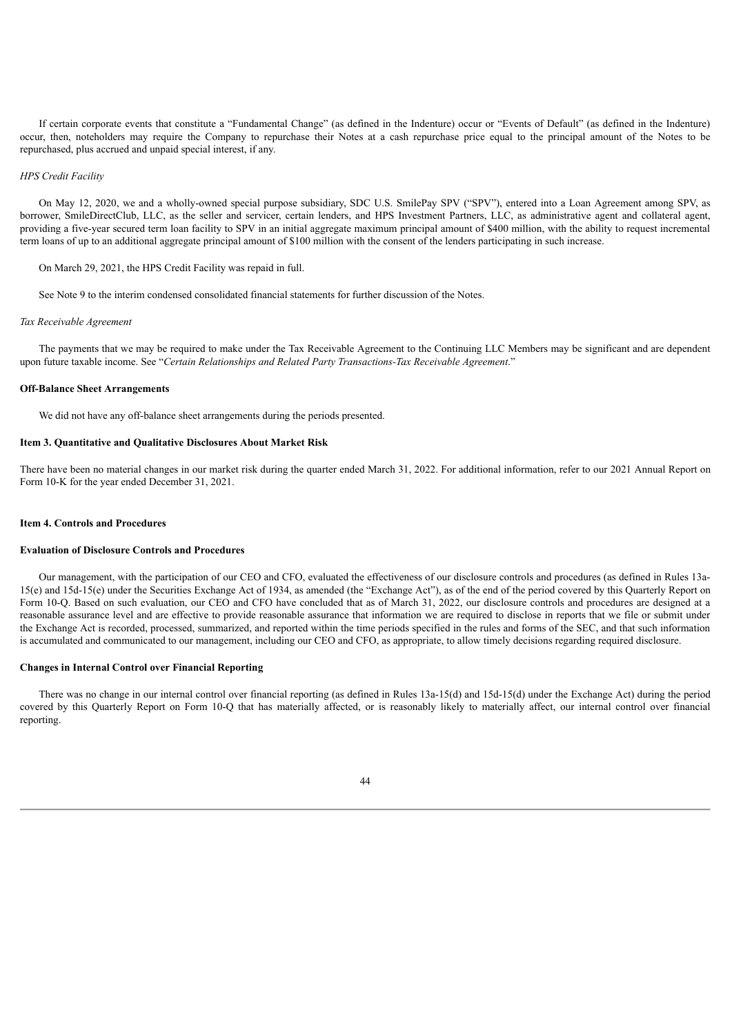If certain corporate events that constitute a "Fundamental Change" (as defined in the Indenture) occur or "Events of Default" (as defined in the Indenture) occur, then, noteholders may require the Company to repurchase their Notes at a cash repurchase price equal to the principal amount of the Notes to be repurchased, plus accrued and unpaid special interest, if any.

#### *HPS Credit Facility*

On May 12, 2020, we and a wholly-owned special purpose subsidiary, SDC U.S. SmilePay SPV ("SPV"), entered into a Loan Agreement among SPV, as borrower, SmileDirectClub, LLC, as the seller and servicer, certain lenders, and HPS Investment Partners, LLC, as administrative agent and collateral agent, providing a five-year secured term loan facility to SPV in an initial aggregate maximum principal amount of \$400 million, with the ability to request incremental term loans of up to an additional aggregate principal amount of \$100 million with the consent of the lenders participating in such increase.

On March 29, 2021, the HPS Credit Facility was repaid in full.

See Note 9 to the interim condensed consolidated financial statements for further discussion of the Notes.

#### *Tax Receivable Agreement*

The payments that we may be required to make under the Tax Receivable Agreement to the Continuing LLC Members may be significant and are dependent upon future taxable income. See "*Certain Relationships and Related Party Transactions-Tax Receivable Agreement*."

#### **Off-Balance Sheet Arrangements**

We did not have any off-balance sheet arrangements during the periods presented.

## **Item 3. Quantitative and Qualitative Disclosures About Market Risk**

There have been no material changes in our market risk during the quarter ended March 31, 2022. For additional information, refer to our 2021 Annual Report on Form 10-K for the year ended December 31, 2021.

#### **Item 4. Controls and Procedures**

#### **Evaluation of Disclosure Controls and Procedures**

Our management, with the participation of our CEO and CFO, evaluated the effectiveness of our disclosure controls and procedures (as defined in Rules 13a-15(e) and 15d-15(e) under the Securities Exchange Act of 1934, as amended (the "Exchange Act"), as of the end of the period covered by this Quarterly Report on Form 10-Q. Based on such evaluation, our CEO and CFO have concluded that as of March 31, 2022, our disclosure controls and procedures are designed at a reasonable assurance level and are effective to provide reasonable assurance that information we are required to disclose in reports that we file or submit under the Exchange Act is recorded, processed, summarized, and reported within the time periods specified in the rules and forms of the SEC, and that such information is accumulated and communicated to our management, including our CEO and CFO, as appropriate, to allow timely decisions regarding required disclosure.

#### **Changes in Internal Control over Financial Reporting**

<span id="page-46-0"></span>There was no change in our internal control over financial reporting (as defined in Rules 13a-15(d) and 15d-15(d) under the Exchange Act) during the period covered by this Quarterly Report on Form 10-Q that has materially affected, or is reasonably likely to materially affect, our internal control over financial reporting.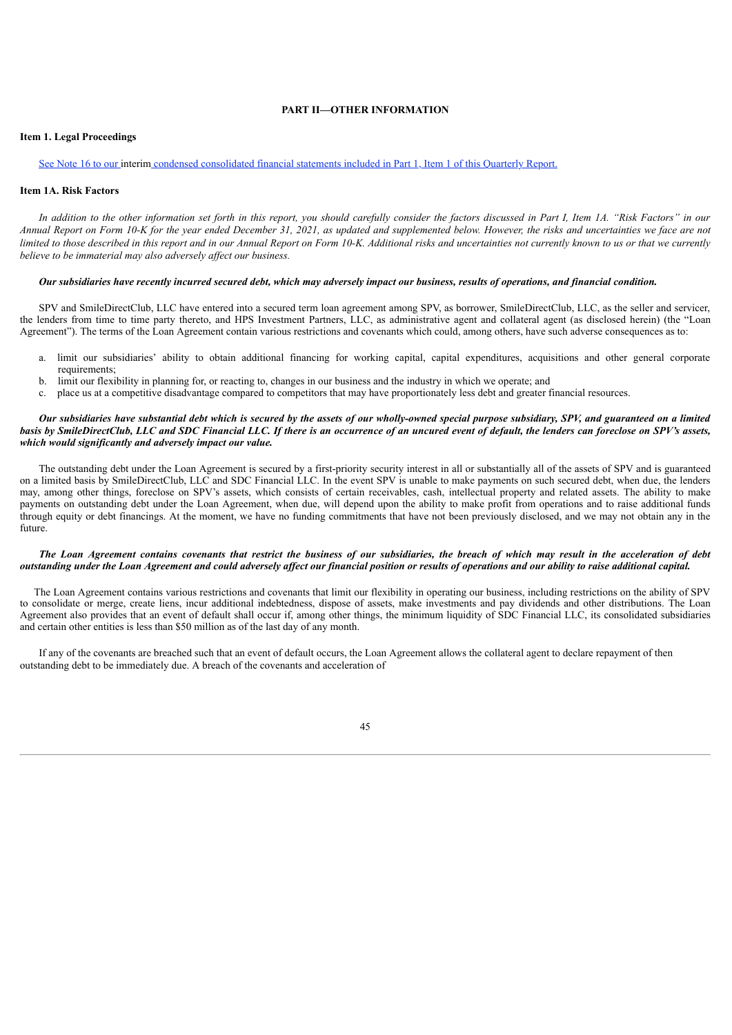#### **PART II—OTHER INFORMATION**

#### <span id="page-47-0"></span>**Item 1. Legal Proceedings**

See Note 16 to our interim condensed consolidated financial [statements](#page-31-0) included in Part 1, Item 1 of this Quarterly Report.

#### <span id="page-47-1"></span>**Item 1A. Risk Factors**

In addition to the other information set forth in this report, you should carefully consider the factors discussed in Part I, Item 1A. "Risk Factors" in our Annual Report on Form 10-K for the year ended December 31, 2021, as updated and supplemented below. However, the risks and uncertainties we face are not limited to those described in this report and in our Annual Report on Form 10-K. Additional risks and uncertainties not currently known to us or that we currently *believe to be immaterial may also adversely af ect our business.*

#### Our subsidiaries have recently incurred secured debt, which may adversely impact our business, results of operations, and financial condition.

SPV and SmileDirectClub, LLC have entered into a secured term loan agreement among SPV, as borrower, SmileDirectClub, LLC, as the seller and servicer, the lenders from time to time party thereto, and HPS Investment Partners, LLC, as administrative agent and collateral agent (as disclosed herein) (the "Loan Agreement"). The terms of the Loan Agreement contain various restrictions and covenants which could, among others, have such adverse consequences as to:

- limit our subsidiaries' ability to obtain additional financing for working capital, capital expenditures, acquisitions and other general corporate requirements;
- b. limit our flexibility in planning for, or reacting to, changes in our business and the industry in which we operate; and
- c. place us at a competitive disadvantage compared to competitors that may have proportionately less debt and greater financial resources.

#### Our subsidiaries have substantial debt which is secured by the assets of our wholly-owned special purpose subsidiary, SPV, and guaranteed on a limited basis by SmileDirectClub, LLC and SDC Financial LLC. If there is an occurrence of an uncured event of default, the lenders can foreclose on SPV's assets, *which would significantly and adversely impact our value.*

The outstanding debt under the Loan Agreement is secured by a first-priority security interest in all or substantially all of the assets of SPV and is guaranteed on a limited basis by SmileDirectClub, LLC and SDC Financial LLC. In the event SPV is unable to make payments on such secured debt, when due, the lenders may, among other things, foreclose on SPV's assets, which consists of certain receivables, cash, intellectual property and related assets. The ability to make payments on outstanding debt under the Loan Agreement, when due, will depend upon the ability to make profit from operations and to raise additional funds through equity or debt financings. At the moment, we have no funding commitments that have not been previously disclosed, and we may not obtain any in the future.

#### The Loan Agreement contains covenants that restrict the business of our subsidiaries, the breach of which may result in the acceleration of debt outstanding under the Loan Agreement and could adversely affect our financial position or results of operations and our ability to raise additional capital.

The Loan Agreement contains various restrictions and covenants that limit our flexibility in operating our business, including restrictions on the ability of SPV to consolidate or merge, create liens, incur additional indebtedness, dispose of assets, make investments and pay dividends and other distributions. The Loan Agreement also provides that an event of default shall occur if, among other things, the minimum liquidity of SDC Financial LLC, its consolidated subsidiaries and certain other entities is less than \$50 million as of the last day of any month.

If any of the covenants are breached such that an event of default occurs, the Loan Agreement allows the collateral agent to declare repayment of then outstanding debt to be immediately due. A breach of the covenants and acceleration of

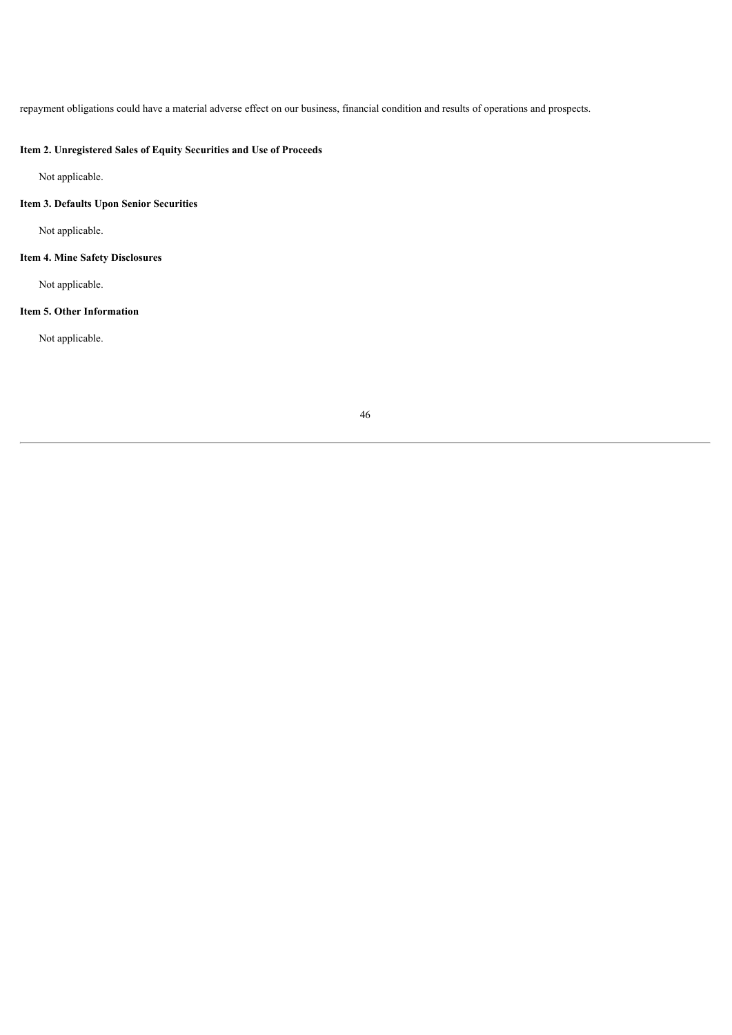repayment obligations could have a material adverse effect on our business, financial condition and results of operations and prospects.

## **Item 2. Unregistered Sales of Equity Securities and Use of Proceeds**

Not applicable.

## **Item 3. Defaults Upon Senior Securities**

Not applicable.

## **Item 4. Mine Safety Disclosures**

Not applicable.

## **Item 5. Other Information**

Not applicable.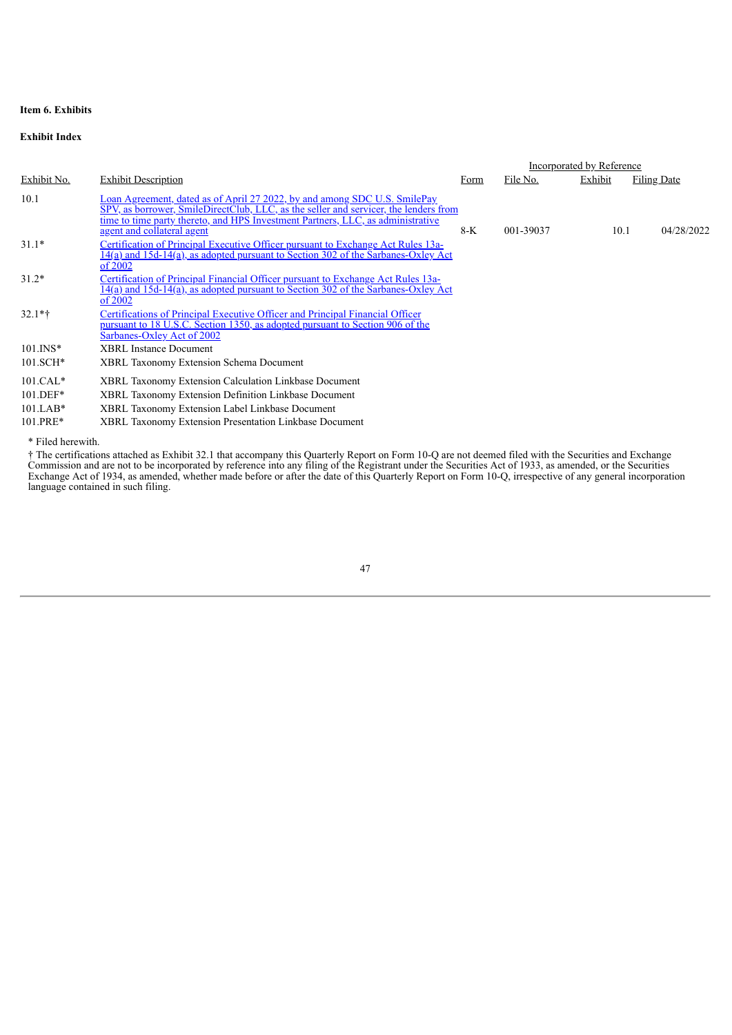#### **Item 6. Exhibits**

## <span id="page-49-0"></span>**Exhibit Index**

|                                                                                                                                                                                            |                            | Incorporated by Reference                                                            |         |             |
|--------------------------------------------------------------------------------------------------------------------------------------------------------------------------------------------|----------------------------|--------------------------------------------------------------------------------------|---------|-------------|
| <b>Exhibit Description</b>                                                                                                                                                                 | Form                       | File No.                                                                             | Exhibit | Filing Date |
| Loan Agreement, dated as of April 27 2022, by and among SDC U.S. SmilePay<br>time to time party thereto, and HPS Investment Partners, LLC, as administrative<br>agent and collateral agent | $8-K$                      | 001-39037                                                                            |         | 04/28/2022  |
| Certification of Principal Executive Officer pursuant to Exchange Act Rules 13a-<br>14(a) and 15d-14(a), as adopted pursuant to Section 302 of the Sarbanes-Oxley Act<br>of $2002$         |                            |                                                                                      |         |             |
| <u>Certification of Principal Financial Officer pursuant to Exchange Act Rules 13a-</u><br>14(a) and 15d-14(a), as adopted pursuant to Section 302 of the Sarbanes-Oxley Act<br>of $2002$  |                            |                                                                                      |         |             |
| Certifications of Principal Executive Officer and Principal Financial Officer<br>pursuant to 18 U.S.C. Section 1350, as adopted pursuant to Section 906 of the                             |                            |                                                                                      |         |             |
| <b>XBRL</b> Instance Document                                                                                                                                                              |                            |                                                                                      |         |             |
| <b>XBRL Taxonomy Extension Schema Document</b>                                                                                                                                             |                            |                                                                                      |         |             |
| <b>XBRL Taxonomy Extension Calculation Linkbase Document</b>                                                                                                                               |                            |                                                                                      |         |             |
| <b>XBRL Taxonomy Extension Definition Linkbase Document</b>                                                                                                                                |                            |                                                                                      |         |             |
| XBRL Taxonomy Extension Label Linkbase Document                                                                                                                                            |                            |                                                                                      |         |             |
| XBRL Taxonomy Extension Presentation Linkbase Document                                                                                                                                     |                            |                                                                                      |         |             |
|                                                                                                                                                                                            | Sarbanes-Oxley Act of 2002 | SPV, as borrower, SmileDirectClub, LLC, as the seller and servicer, the lenders from |         | 10.1        |

\* Filed herewith.

<span id="page-49-1"></span>† The certifications attached as Exhibit 32.1 that accompany this Quarterly Report on Form 10-Q are not deemed filed with the Securities and Exchange Commission and are not to be incorporated by reference into any filing of the Registrant under the Securities Act of 1933, as amended, or the Securities Exchange Act of 1934, as amended, whether made before or after the date of this Quarterly Report on Form 10-Q, irrespective of any general incorporation language contained in such filing.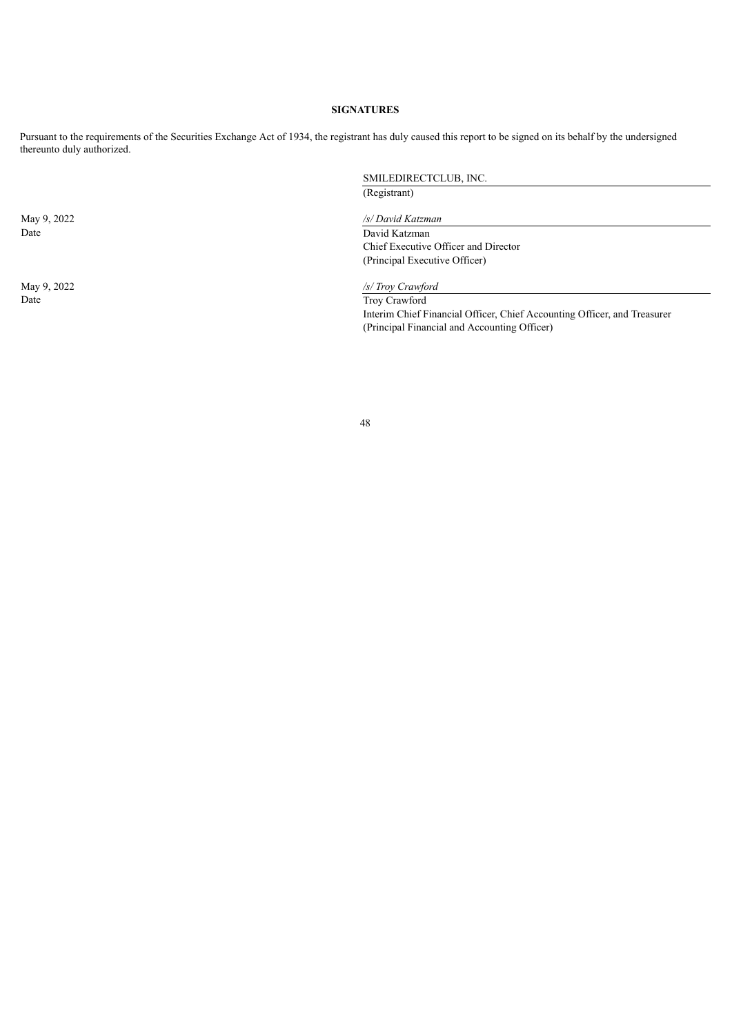## **SIGNATURES**

Pursuant to the requirements of the Securities Exchange Act of 1934, the registrant has duly caused this report to be signed on its behalf by the undersigned thereunto duly authorized.

Date David Katzman

Date Troy Crawford

SMILEDIRECTCLUB, INC.

(Registrant)

May 9, 2022 */s/ David Katzman*

Chief Executive Officer and Director (Principal Executive Officer)

May 9, 2022 */s/ Troy Crawford*

Interim Chief Financial Officer, Chief Accounting Officer, and Treasurer (Principal Financial and Accounting Officer)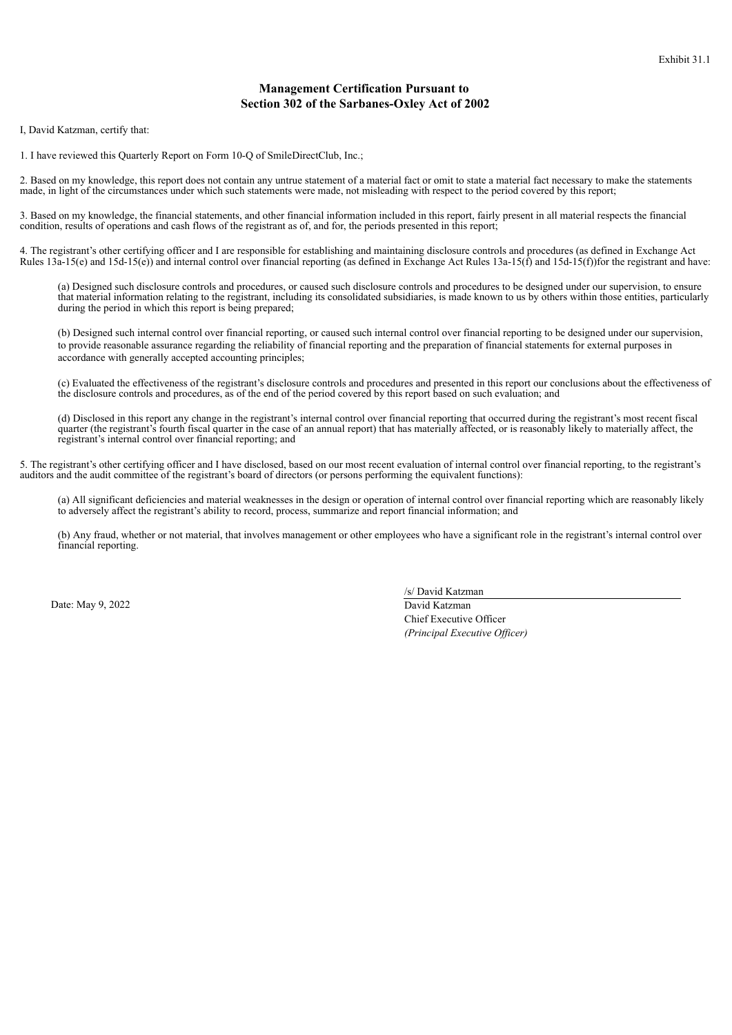## **Management Certification Pursuant to Section 302 of the Sarbanes-Oxley Act of 2002**

<span id="page-51-0"></span>I, David Katzman, certify that:

1. I have reviewed this Quarterly Report on Form 10-Q of SmileDirectClub, Inc.;

2. Based on my knowledge, this report does not contain any untrue statement of a material fact or omit to state a material fact necessary to make the statements made, in light of the circumstances under which such statements were made, not misleading with respect to the period covered by this report;

3. Based on my knowledge, the financial statements, and other financial information included in this report, fairly present in all material respects the financial condition, results of operations and cash flows of the registrant as of, and for, the periods presented in this report;

4. The registrant's other certifying officer and I are responsible for establishing and maintaining disclosure controls and procedures (as defined in Exchange Act Rules  $13a-15(e)$  and  $15d-15(e)$ ) and internal control over financial reporting (as defined in Exchange Act Rules  $13a-15(f)$  and  $15d-15(f)$ ) for the registrant and have:

(a) Designed such disclosure controls and procedures, or caused such disclosure controls and procedures to be designed under our supervision, to ensure that material information relating to the registrant, including its consolidated subsidiaries, is made known to us by others within those entities, particularly during the period in which this report is being prepared;

(b) Designed such internal control over financial reporting, or caused such internal control over financial reporting to be designed under our supervision, to provide reasonable assurance regarding the reliability of financial reporting and the preparation of financial statements for external purposes in accordance with generally accepted accounting principles;

(c) Evaluated the effectiveness of the registrant's disclosure controls and procedures and presented in this report our conclusions about the effectiveness of the disclosure controls and procedures, as of the end of the period covered by this report based on such evaluation; and

(d) Disclosed in this report any change in the registrant's internal control over financial reporting that occurred during the registrant's most recent fiscal quarter (the registrant's fourth fiscal quarter in the case of an annual report) that has materially affected, or is reasonably likely to materially affect, the registrant's internal control over financial reporting; and

5. The registrant's other certifying officer and I have disclosed, based on our most recent evaluation of internal control over financial reporting, to the registrant's auditors and the audit committee of the registrant's board of directors (or persons performing the equivalent functions):

(a) All significant deficiencies and material weaknesses in the design or operation of internal control over financial reporting which are reasonably likely to adversely affect the registrant's ability to record, process, summarize and report financial information; and

(b) Any fraud, whether or not material, that involves management or other employees who have a significant role in the registrant's internal control over financial reporting.

Date: May 9, 2022 David Katzman

/s/ David Katzman

Chief Executive Officer *(Principal Executive Of icer)*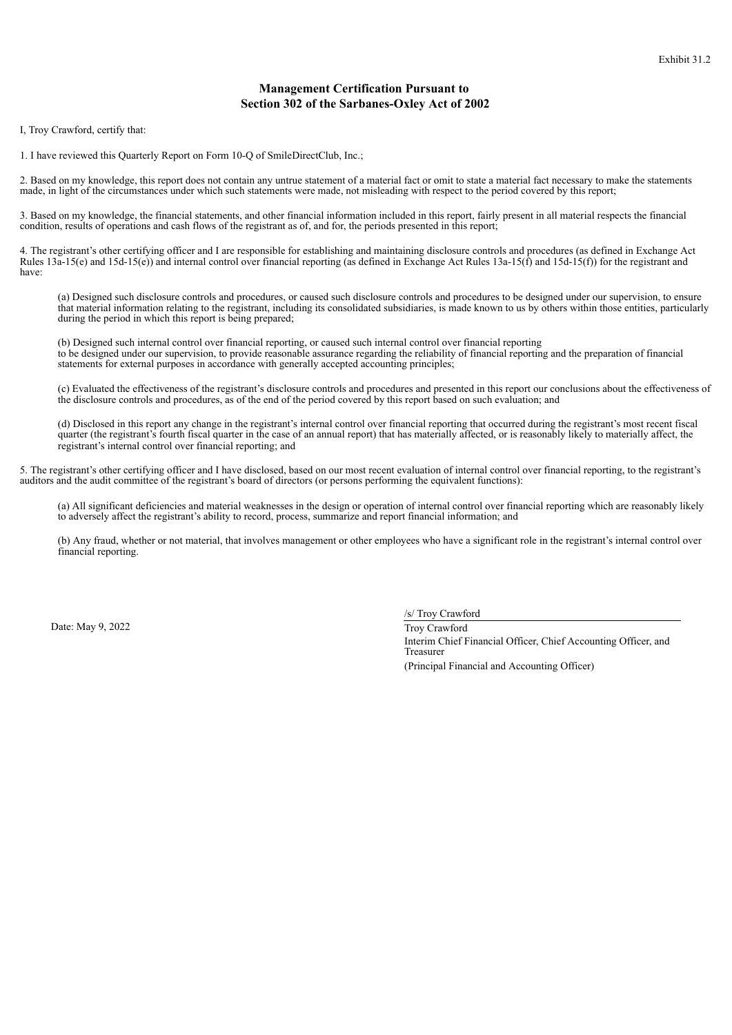## **Management Certification Pursuant to Section 302 of the Sarbanes-Oxley Act of 2002**

<span id="page-52-0"></span>I, Troy Crawford, certify that:

1. I have reviewed this Quarterly Report on Form 10-Q of SmileDirectClub, Inc.;

2. Based on my knowledge, this report does not contain any untrue statement of a material fact or omit to state a material fact necessary to make the statements made, in light of the circumstances under which such statements were made, not misleading with respect to the period covered by this report;

3. Based on my knowledge, the financial statements, and other financial information included in this report, fairly present in all material respects the financial condition, results of operations and cash flows of the registrant as of, and for, the periods presented in this report;

4. The registrant's other certifying officer and I are responsible for establishing and maintaining disclosure controls and procedures (as defined in Exchange Act Rules  $13a-15(e)$  and  $15d-15(e)$ ) and internal control over financial reporting (as defined in Exchange Act Rules  $13a-15(f)$  and  $15d-15(f)$ ) for the registrant and have:

(a) Designed such disclosure controls and procedures, or caused such disclosure controls and procedures to be designed under our supervision, to ensure that material information relating to the registrant, including its consolidated subsidiaries, is made known to us by others within those entities, particularly during the period in which this report is being prepared;

(b) Designed such internal control over financial reporting, or caused such internal control over financial reporting to be designed under our supervision, to provide reasonable assurance regarding the reliability of financial reporting and the preparation of financial statements for external purposes in accordance with generally accepted accounting principles;

(c) Evaluated the effectiveness of the registrant's disclosure controls and procedures and presented in this report our conclusions about the effectiveness of the disclosure controls and procedures, as of the end of the period covered by this report based on such evaluation; and

(d) Disclosed in this report any change in the registrant's internal control over financial reporting that occurred during the registrant's most recent fiscal quarter (the registrant's fourth fiscal quarter in the case of an annual report) that has materially affected, or is reasonably likely to materially affect, the registrant's internal control over financial reporting; and

5. The registrant's other certifying officer and I have disclosed, based on our most recent evaluation of internal control over financial reporting, to the registrant's  $\epsilon$ . The registrant is board of directors (or persons performing the equivalent functions):

(a) All significant deficiencies and material weaknesses in the design or operation of internal control over financial reporting which are reasonably likely to adversely affect the registrant's ability to record, process, summarize and report financial information; and

(b) Any fraud, whether or not material, that involves management or other employees who have a significant role in the registrant's internal control over financial reporting.

Date: May 9, 2022 Troy Crawford

/s/ Troy Crawford

Interim Chief Financial Officer, Chief Accounting Officer, and Treasurer (Principal Financial and Accounting Officer)